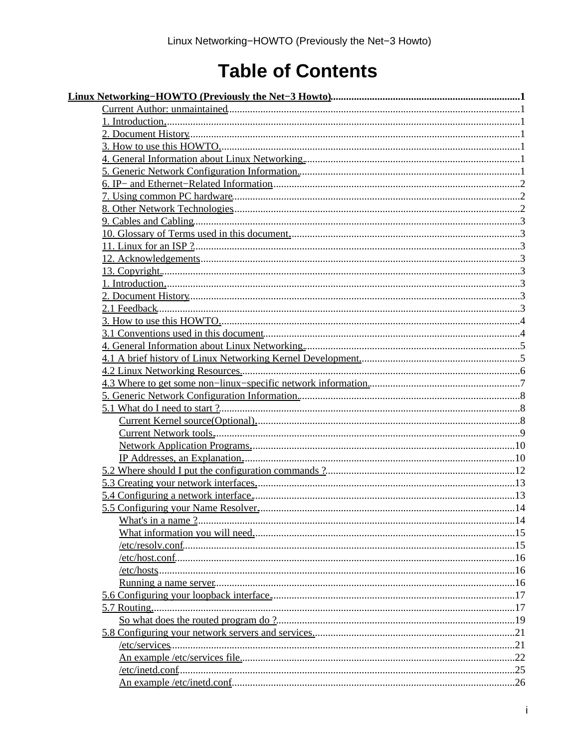# **Table of Contents**

| $/etc/inectd.comf$ 25 |  |
|-----------------------|--|
|                       |  |
|                       |  |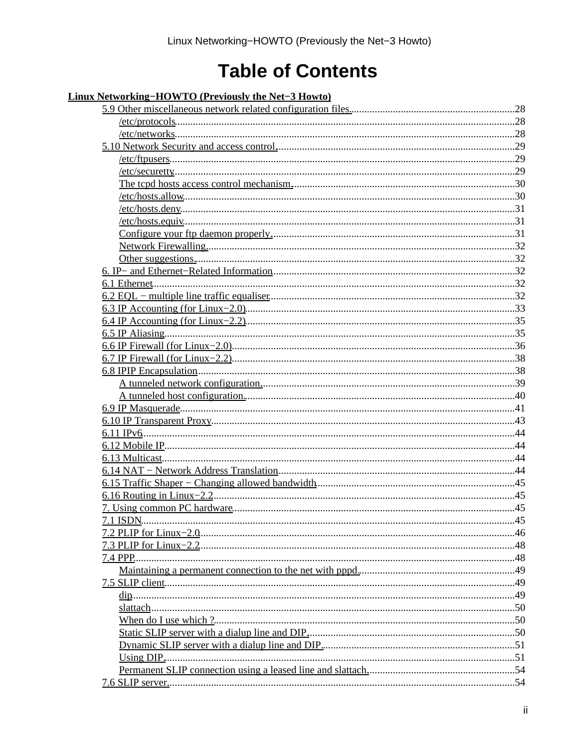# **Table of Contents**

### Linux Networking-HOWTO (Previously the Net-3 Howto)

| /etc/hosts. allow. 30 |  |
|-----------------------|--|
|                       |  |
|                       |  |
|                       |  |
|                       |  |
|                       |  |
|                       |  |
|                       |  |
|                       |  |
|                       |  |
|                       |  |
|                       |  |
|                       |  |
|                       |  |
|                       |  |
|                       |  |
|                       |  |
|                       |  |
|                       |  |
|                       |  |
|                       |  |
|                       |  |
|                       |  |
|                       |  |
|                       |  |
|                       |  |
|                       |  |
|                       |  |
|                       |  |
| 7.4 PPP               |  |
|                       |  |
|                       |  |
|                       |  |
|                       |  |
|                       |  |
|                       |  |
|                       |  |
| Using DIP.            |  |
|                       |  |
|                       |  |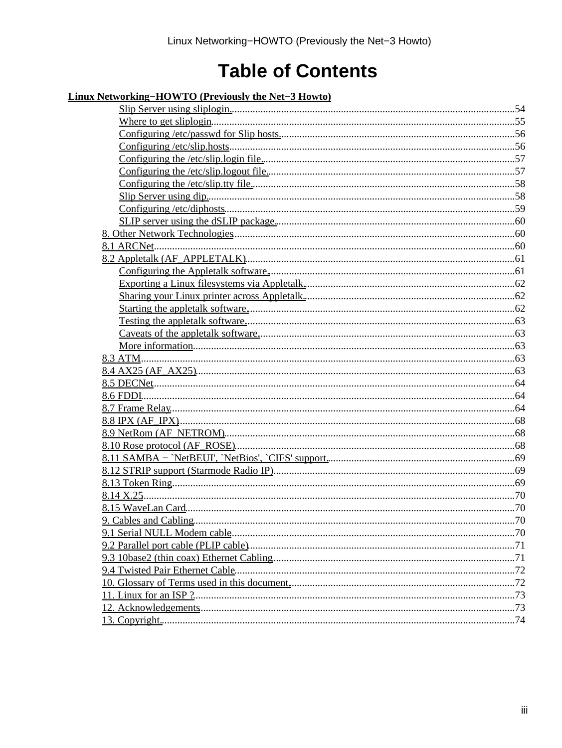# **Table of Contents**

### Linux Networking-HOWTO (Previously the Net-3 Howto)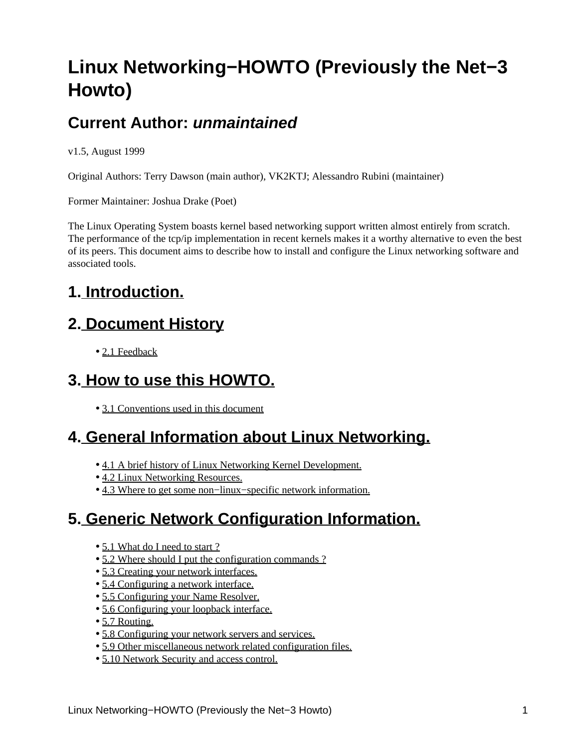# <span id="page-4-1"></span><span id="page-4-0"></span>**Current Author: unmaintained**

v1.5, August 1999

Original Authors: Terry Dawson (main author), VK2KTJ; Alessandro Rubini (maintainer)

Former Maintainer: Joshua Drake (Poet)

The Linux Operating System boasts kernel based networking support written almost entirely from scratch. The performance of the tcp/ip implementation in recent kernels makes it a worthy alternative to even the best of its peers. This document aims to describe how to install and configure the Linux networking software and associated tools.

# <span id="page-4-2"></span>**1[. Introduction.](#page-6-5)**

# <span id="page-4-3"></span>**2[. Document History](#page-6-6)**

• [2.1 Feedback](#page-6-7)

# <span id="page-4-4"></span>**3[. How to use this HOWTO.](#page-7-0)**

• [3.1 Conventions used in this document](#page-7-1)

# <span id="page-4-5"></span>**4[. General Information about Linux Networking.](#page-8-0)**

- [4.1 A brief history of Linux Networking Kernel Development.](#page-8-1)
- [4.2 Linux Networking Resources.](#page-9-0)
- [4.3 Where to get some non−linux−specific network information.](#page-10-0)

# <span id="page-4-6"></span>**5[. Generic Network Configuration Information.](#page-11-0)**

- 5.1 What do I need to start?
- [5.2 Where should I put the configuration commands ?](#page-15-0)
- [5.3 Creating your network interfaces.](#page-16-0)
- [5.4 Configuring a network interface.](#page-16-1)
- [5.5 Configuring your Name Resolver.](#page-17-0)
- [5.6 Configuring your loopback interface.](#page-20-0)
- [5.7 Routing.](#page-20-1)
- [5.8 Configuring your network servers and services.](#page-24-0)
- [5.9 Other miscellaneous network related configuration files.](#page-31-0)
- [5.10 Network Security and access control.](#page-32-0)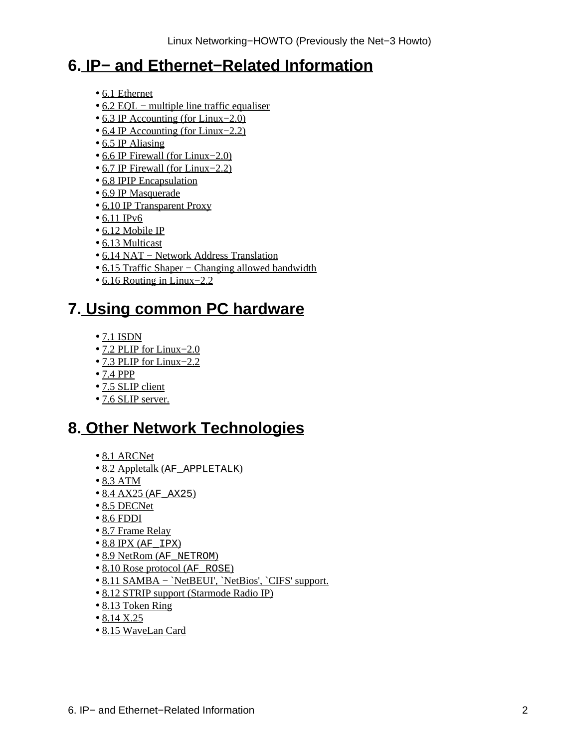## <span id="page-5-0"></span>**6[. IP− and Ethernet−Related Information](#page-35-2)**

- [6.1 Ethernet](#page-35-3)
- [6.2 EQL − multiple line traffic equaliser](#page-35-4)
- [6.3 IP Accounting \(for Linux−2.0\)](#page-36-0)
- [6.4 IP Accounting \(for Linux−2.2\)](#page-38-0)
- [6.5 IP Aliasing](#page-38-1)
- [6.6 IP Firewall \(for Linux−2.0\)](#page-39-0)
- [6.7 IP Firewall \(for Linux−2.2\)](#page-41-0)
- [6.8 IPIP Encapsulation](#page-41-1)
- [6.9 IP Masquerade](#page-44-0)
- [6.10 IP Transparent Proxy](#page-46-0)
- $\bullet$  [6.11 IPv6](#page-47-0)
- [6.12 Mobile IP](#page-47-1)
- [6.13 Multicast](#page-47-2)
- [6.14 NAT − Network Address Translation](#page-47-3)
- [6.15 Traffic Shaper − Changing allowed bandwidth](#page-48-0)
- [6.16 Routing in Linux−2.2](#page-48-1)

# <span id="page-5-1"></span>**7[. Using common PC hardware](#page-48-2)**

- $\bullet$  [7.1 ISDN](#page-48-3)
- [7.2 PLIP for Linux−2.0](#page-49-0)
- [7.3 PLIP for Linux−2.2](#page-51-0)
- [7.4 PPP](#page-51-1)
- [7.5 SLIP client](#page-52-1)
- [7.6 SLIP server.](#page-57-1)

## <span id="page-5-2"></span>**8[. Other Network Technologies](#page-63-1)**

- [8.1 ARCNet](#page-63-2)
- 8.2 Appletalk ([AF\\_APPLETALK](#page-64-0))
- $\bullet$  [8.3 ATM](#page-66-3)
- [8.4 AX25 \(](#page-66-4)AF AX25)
- [8.5 DECNet](#page-67-0)
- [8.6 FDDI](#page-67-1)
- [8.7 Frame Relay](#page-67-2)
- $\bullet$  [8.8 IPX \(](#page-71-0)AF IPX)
- [8.9 NetRom \(](#page-71-1)AF\_NETROM)
- [8.10 Rose protocol \(](#page-71-2)AF\_ROSE)
- [8.11 SAMBA − `NetBEUI', `NetBios', `CIFS' support.](#page-72-0)
- [8.12 STRIP support \(Starmode Radio IP\)](#page-72-1)
- [8.13 Token Ring](#page-72-2)
- $8.14 X.25$  $8.14 X.25$
- [8.15 WaveLan Card](#page-73-1)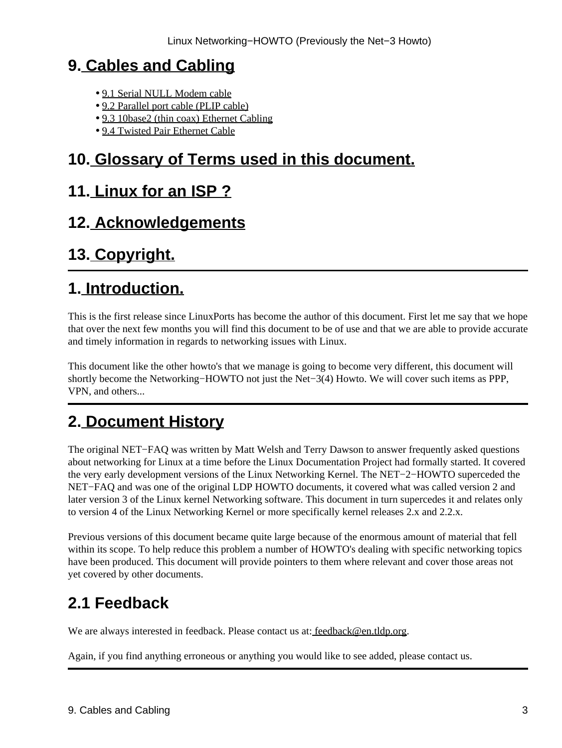# <span id="page-6-0"></span>**9[. Cables and Cabling](#page-73-2)**

- [9.1 Serial NULL Modem cable](#page-73-3)
- [9.2 Parallel port cable \(PLIP cable\)](#page-74-0)
- [9.3 10base2 \(thin coax\) Ethernet Cabling](#page-74-1)
- [9.4 Twisted Pair Ethernet Cable](#page-75-0)

## <span id="page-6-1"></span>**10. [Glossary of Terms used in this document.](#page-75-1)**

# <span id="page-6-2"></span>**11. [Linux for an ISP ?](#page-76-0)**

# <span id="page-6-3"></span>**12. [Acknowledgements](#page-76-1)**

# <span id="page-6-4"></span>**13. [Copyright.](#page-77-0)**

## <span id="page-6-5"></span>**1[. Introduction.](#page-4-2)**

This is the first release since LinuxPorts has become the author of this document. First let me say that we hope that over the next few months you will find this document to be of use and that we are able to provide accurate and timely information in regards to networking issues with Linux.

This document like the other howto's that we manage is going to become very different, this document will shortly become the Networking−HOWTO not just the Net−3(4) Howto. We will cover such items as PPP, VPN, and others...

# <span id="page-6-6"></span>**2[. Document History](#page-4-3)**

The original NET–FAQ was written by Matt Welsh and Terry Dawson to answer frequently asked questions about networking for Linux at a time before the Linux Documentation Project had formally started. It covered the very early development versions of the Linux Networking Kernel. The NET−2−HOWTO superceded the NET–FAQ and was one of the original LDP HOWTO documents, it covered what was called version 2 and later version 3 of the Linux kernel Networking software. This document in turn supercedes it and relates only to version 4 of the Linux Networking Kernel or more specifically kernel releases 2.x and 2.2.x.

Previous versions of this document became quite large because of the enormous amount of material that fell within its scope. To help reduce this problem a number of HOWTO's dealing with specific networking topics have been produced. This document will provide pointers to them where relevant and cover those areas not yet covered by other documents.

# <span id="page-6-7"></span>**2.1 Feedback**

We are always interested in feedback. Please contact us at[: feedback@en.tldp.org.](mailto:feedback@en.tldp.org)

Again, if you find anything erroneous or anything you would like to see added, please contact us.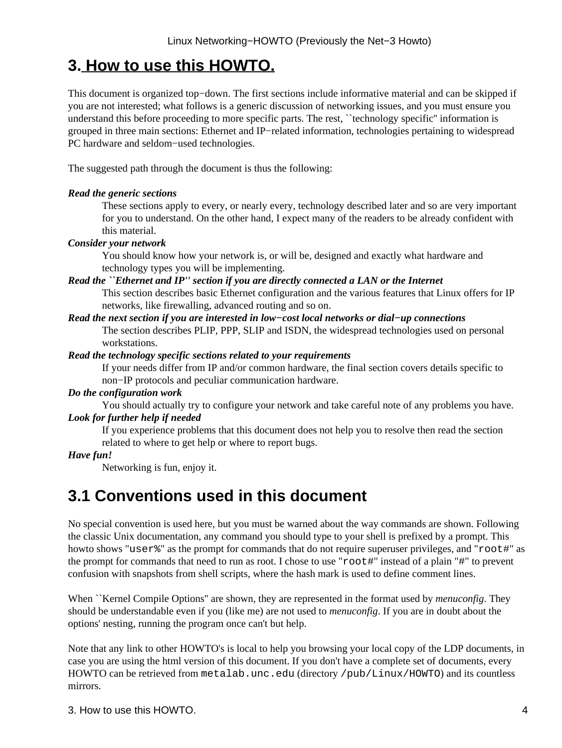## <span id="page-7-0"></span>**3[. How to use this HOWTO.](#page-4-4)**

This document is organized top−down. The first sections include informative material and can be skipped if you are not interested; what follows is a generic discussion of networking issues, and you must ensure you understand this before proceeding to more specific parts. The rest, ``technology specific'' information is grouped in three main sections: Ethernet and IP−related information, technologies pertaining to widespread PC hardware and seldom−used technologies.

The suggested path through the document is thus the following:

#### *Read the generic sections*

These sections apply to every, or nearly every, technology described later and so are very important for you to understand. On the other hand, I expect many of the readers to be already confident with this material.

#### *Consider your network*

You should know how your network is, or will be, designed and exactly what hardware and technology types you will be implementing.

*Read the ``Ethernet and IP'' section if you are directly connected a LAN or the Internet* This section describes basic Ethernet configuration and the various features that Linux offers for IP networks, like firewalling, advanced routing and so on.

*Read the next section if you are interested in low−cost local networks or dial−up connections* The section describes PLIP, PPP, SLIP and ISDN, the widespread technologies used on personal workstations.

*Read the technology specific sections related to your requirements*

If your needs differ from IP and/or common hardware, the final section covers details specific to non−IP protocols and peculiar communication hardware.

#### *Do the configuration work*

You should actually try to configure your network and take careful note of any problems you have. *Look for further help if needed*

If you experience problems that this document does not help you to resolve then read the section related to where to get help or where to report bugs.

#### *Have fun!*

Networking is fun, enjoy it.

## <span id="page-7-1"></span>**3.1 Conventions used in this document**

No special convention is used here, but you must be warned about the way commands are shown. Following the classic Unix documentation, any command you should type to your shell is prefixed by a prompt. This howto shows "user%" as the prompt for commands that do not require superuser privileges, and "root#" as the prompt for commands that need to run as root. I chose to use "root#" instead of a plain "#" to prevent confusion with snapshots from shell scripts, where the hash mark is used to define comment lines.

When ``Kernel Compile Options'' are shown, they are represented in the format used by *menuconfig*. They should be understandable even if you (like me) are not used to *menuconfig*. If you are in doubt about the options' nesting, running the program once can't but help.

Note that any link to other HOWTO's is local to help you browsing your local copy of the LDP documents, in case you are using the html version of this document. If you don't have a complete set of documents, every HOWTO can be retrieved from metalab.unc.edu (directory /pub/Linux/HOWTO) and its countless mirrors.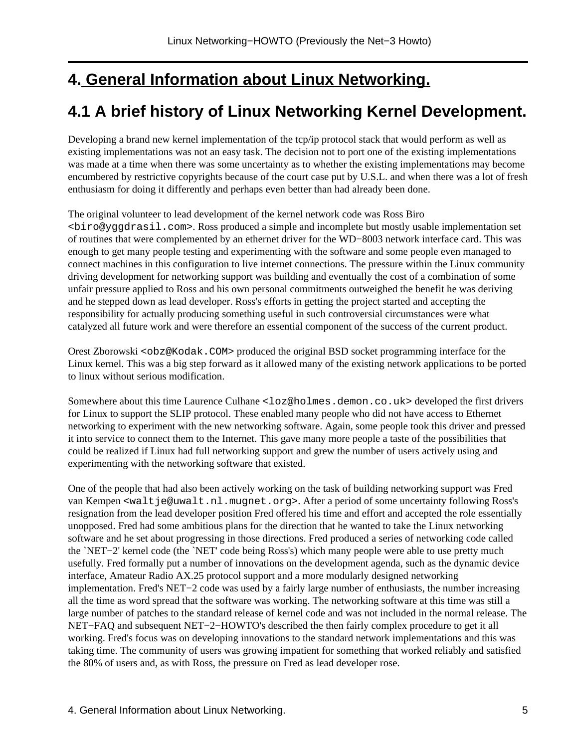# <span id="page-8-0"></span>**4[. General Information about Linux Networking.](#page-4-5)**

# <span id="page-8-1"></span>**4.1 A brief history of Linux Networking Kernel Development.**

Developing a brand new kernel implementation of the tcp/ip protocol stack that would perform as well as existing implementations was not an easy task. The decision not to port one of the existing implementations was made at a time when there was some uncertainty as to whether the existing implementations may become encumbered by restrictive copyrights because of the court case put by U.S.L. and when there was a lot of fresh enthusiasm for doing it differently and perhaps even better than had already been done.

The original volunteer to lead development of the kernel network code was Ross Biro <biro@yggdrasil.com>. Ross produced a simple and incomplete but mostly usable implementation set of routines that were complemented by an ethernet driver for the WD−8003 network interface card. This was enough to get many people testing and experimenting with the software and some people even managed to connect machines in this configuration to live internet connections. The pressure within the Linux community driving development for networking support was building and eventually the cost of a combination of some unfair pressure applied to Ross and his own personal commitments outweighed the benefit he was deriving and he stepped down as lead developer. Ross's efforts in getting the project started and accepting the responsibility for actually producing something useful in such controversial circumstances were what catalyzed all future work and were therefore an essential component of the success of the current product.

Orest Zborowski <obz@Kodak.COM> produced the original BSD socket programming interface for the Linux kernel. This was a big step forward as it allowed many of the existing network applications to be ported to linux without serious modification.

Somewhere about this time Laurence Culhane <loz@holmes.demon.co.uk> developed the first drivers for Linux to support the SLIP protocol. These enabled many people who did not have access to Ethernet networking to experiment with the new networking software. Again, some people took this driver and pressed it into service to connect them to the Internet. This gave many more people a taste of the possibilities that could be realized if Linux had full networking support and grew the number of users actively using and experimenting with the networking software that existed.

One of the people that had also been actively working on the task of building networking support was Fred van Kempen <waltje@uwalt.nl.mugnet.org>. After a period of some uncertainty following Ross's resignation from the lead developer position Fred offered his time and effort and accepted the role essentially unopposed. Fred had some ambitious plans for the direction that he wanted to take the Linux networking software and he set about progressing in those directions. Fred produced a series of networking code called the `NET−2' kernel code (the `NET' code being Ross's) which many people were able to use pretty much usefully. Fred formally put a number of innovations on the development agenda, such as the dynamic device interface, Amateur Radio AX.25 protocol support and a more modularly designed networking implementation. Fred's NET−2 code was used by a fairly large number of enthusiasts, the number increasing all the time as word spread that the software was working. The networking software at this time was still a large number of patches to the standard release of kernel code and was not included in the normal release. The NET–FAQ and subsequent NET–2–HOWTO's described the then fairly complex procedure to get it all working. Fred's focus was on developing innovations to the standard network implementations and this was taking time. The community of users was growing impatient for something that worked reliably and satisfied the 80% of users and, as with Ross, the pressure on Fred as lead developer rose.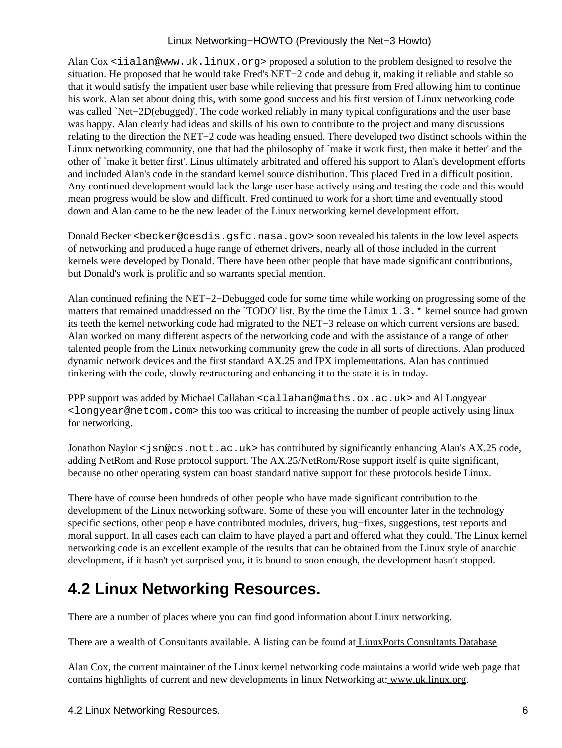Alan Cox  $\le$  i alan@www.uk.linux.org> proposed a solution to the problem designed to resolve the situation. He proposed that he would take Fred's NET−2 code and debug it, making it reliable and stable so that it would satisfy the impatient user base while relieving that pressure from Fred allowing him to continue his work. Alan set about doing this, with some good success and his first version of Linux networking code was called `Net−2D(ebugged)'. The code worked reliably in many typical configurations and the user base was happy. Alan clearly had ideas and skills of his own to contribute to the project and many discussions relating to the direction the NET−2 code was heading ensued. There developed two distinct schools within the Linux networking community, one that had the philosophy of `make it work first, then make it better' and the other of `make it better first'. Linus ultimately arbitrated and offered his support to Alan's development efforts and included Alan's code in the standard kernel source distribution. This placed Fred in a difficult position. Any continued development would lack the large user base actively using and testing the code and this would mean progress would be slow and difficult. Fred continued to work for a short time and eventually stood down and Alan came to be the new leader of the Linux networking kernel development effort.

Donald Becker <br/>becker@cesdis.gsfc.nasa.gov> soon revealed his talents in the low level aspects of networking and produced a huge range of ethernet drivers, nearly all of those included in the current kernels were developed by Donald. There have been other people that have made significant contributions, but Donald's work is prolific and so warrants special mention.

Alan continued refining the NET−2−Debugged code for some time while working on progressing some of the matters that remained unaddressed on the `TODO' list. By the time the Linux 1.3.\* kernel source had grown its teeth the kernel networking code had migrated to the NET−3 release on which current versions are based. Alan worked on many different aspects of the networking code and with the assistance of a range of other talented people from the Linux networking community grew the code in all sorts of directions. Alan produced dynamic network devices and the first standard AX.25 and IPX implementations. Alan has continued tinkering with the code, slowly restructuring and enhancing it to the state it is in today.

PPP support was added by Michael Callahan <callahan@maths.ox.ac.uk> and Al Longyear <longyear@netcom.com> this too was critical to increasing the number of people actively using linux for networking.

Jonathon Naylor < jsn@cs.nott.ac.uk> has contributed by significantly enhancing Alan's AX.25 code, adding NetRom and Rose protocol support. The AX.25/NetRom/Rose support itself is quite significant, because no other operating system can boast standard native support for these protocols beside Linux.

There have of course been hundreds of other people who have made significant contribution to the development of the Linux networking software. Some of these you will encounter later in the technology specific sections, other people have contributed modules, drivers, bug−fixes, suggestions, test reports and moral support. In all cases each can claim to have played a part and offered what they could. The Linux kernel networking code is an excellent example of the results that can be obtained from the Linux style of anarchic development, if it hasn't yet surprised you, it is bound to soon enough, the development hasn't stopped.

# <span id="page-9-0"></span>**4.2 Linux Networking Resources.**

There are a number of places where you can find good information about Linux networking.

There are a wealth of Consultants available. A listing can be found at [LinuxPorts Consultants Database](http://www.linuxports.com/)

Alan Cox, the current maintainer of the Linux kernel networking code maintains a world wide web page that contains highlights of current and new developments in linux Networking at[: www.uk.linux.org.](http://www.uk.linux.org/NetNews.html)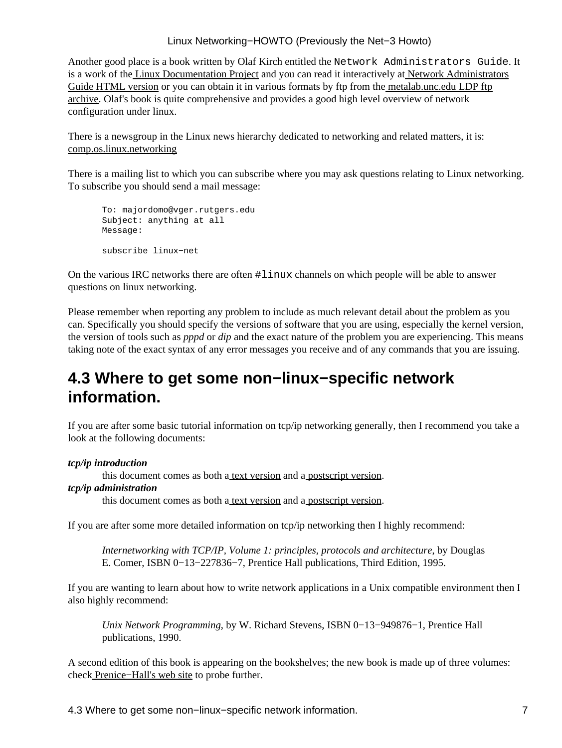Another good place is a book written by Olaf Kirch entitled the Network Administrators Guide. It is a work of th[e Linux Documentation Project](http://www.linuxdoc.org/) and you can read it interactively at [Network Administrators](http://metalab.unc.edu/LDP/LDP/nag/nag.html) [Guide HTML version](http://metalab.unc.edu/LDP/LDP/nag/nag.html) or you can obtain it in various formats by ftp from th[e metalab.unc.edu LDP ftp](ftp://metalab.unc.edu/pub/Linux/docs/LDP/network-guide/) [archive](ftp://metalab.unc.edu/pub/Linux/docs/LDP/network-guide/). Olaf's book is quite comprehensive and provides a good high level overview of network configuration under linux.

There is a newsgroup in the Linux news hierarchy dedicated to networking and related matters, it is: comp.os.linux.networking

There is a mailing list to which you can subscribe where you may ask questions relating to Linux networking. To subscribe you should send a mail message:

```
To: majordomo@vger.rutgers.edu
Subject: anything at all
Message:
subscribe linux−net
```
On the various IRC networks there are often #linux channels on which people will be able to answer questions on linux networking.

Please remember when reporting any problem to include as much relevant detail about the problem as you can. Specifically you should specify the versions of software that you are using, especially the kernel version, the version of tools such as *pppd* or *dip* and the exact nature of the problem you are experiencing. This means taking note of the exact syntax of any error messages you receive and of any commands that you are issuing.

## <span id="page-10-0"></span>**4.3 Where to get some non−linux−specific network information.**

If you are after some basic tutorial information on tcp/ip networking generally, then I recommend you take a look at the following documents:

#### *tcp/ip introduction*

this document comes as both a [text version](ftp://athos.rutgers.edu/runet/tcp-ip-intro.doc) and [a postscript version](ftp://athos.rutgers.edu/runet/tcp-ip-intro.ps).

*tcp/ip administration*

this document comes as both a [text version](ftp://athos.rutgers.edu/runet/tcp-ip-admin.doc) and [a postscript version](ftp://athos.rutgers.edu/runet/tcp-ip-admin.ps).

If you are after some more detailed information on tcp/ip networking then I highly recommend:

*Internetworking with TCP/IP, Volume 1: principles, protocols and architecture*, by Douglas E. Comer, ISBN 0−13−227836−7, Prentice Hall publications, Third Edition, 1995.

If you are wanting to learn about how to write network applications in a Unix compatible environment then I also highly recommend:

*Unix Network Programming*, by W. Richard Stevens, ISBN 0−13−949876−1, Prentice Hall publications, 1990.

A second edition of this book is appearing on the bookshelves; the new book is made up of three volumes: check [Prenice−Hall's web site](http://www.phptr.com/) to probe further.

4.3 Where to get some non−linux−specific network information. 7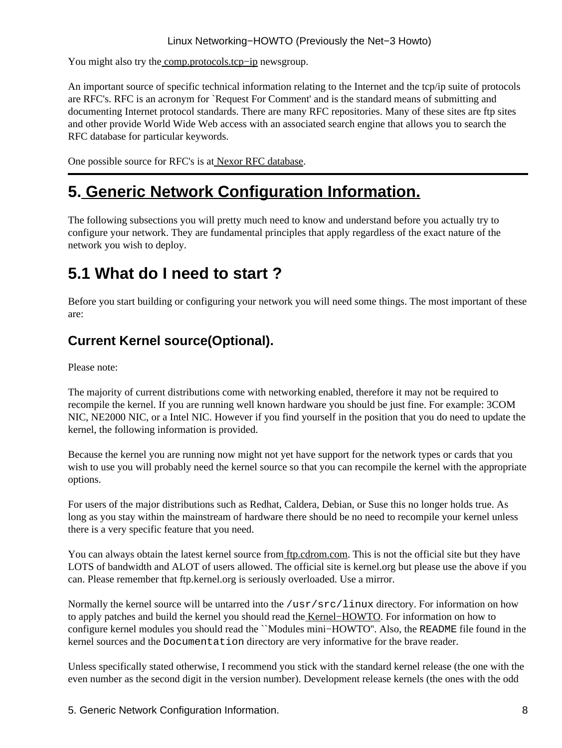You might also try the comp.protocols.tcp−ip newsgroup.

An important source of specific technical information relating to the Internet and the tcp/ip suite of protocols are RFC's. RFC is an acronym for `Request For Comment' and is the standard means of submitting and documenting Internet protocol standards. There are many RFC repositories. Many of these sites are ftp sites and other provide World Wide Web access with an associated search engine that allows you to search the RFC database for particular keywords.

One possible source for RFC's is at [Nexor RFC database](http://pubweb.nexor.co.uk/public/rfc/index/rfc.html).

## <span id="page-11-0"></span>**5[. Generic Network Configuration Information.](#page-4-6)**

The following subsections you will pretty much need to know and understand before you actually try to configure your network. They are fundamental principles that apply regardless of the exact nature of the network you wish to deploy.

## <span id="page-11-1"></span>**5.1 What do I need to start ?**

Before you start building or configuring your network you will need some things. The most important of these are:

## <span id="page-11-2"></span>**Current Kernel source(Optional).**

Please note:

The majority of current distributions come with networking enabled, therefore it may not be required to recompile the kernel. If you are running well known hardware you should be just fine. For example: 3COM NIC, NE2000 NIC, or a Intel NIC. However if you find yourself in the position that you do need to update the kernel, the following information is provided.

Because the kernel you are running now might not yet have support for the network types or cards that you wish to use you will probably need the kernel source so that you can recompile the kernel with the appropriate options.

For users of the major distributions such as Redhat, Caldera, Debian, or Suse this no longer holds true. As long as you stay within the mainstream of hardware there should be no need to recompile your kernel unless there is a very specific feature that you need.

You can always obtain the latest kernel source fro[m ftp.cdrom.com](ftp://ftp.cdrom.com/pub/linux/sunsite/kernel.org/pub/linux/kernel). This is not the official site but they have LOTS of bandwidth and ALOT of users allowed. The official site is kernel.org but please use the above if you can. Please remember that ftp.kernel.org is seriously overloaded. Use a mirror.

Normally the kernel source will be untarred into the /usr/src/linux directory. For information on how to apply patches and build the kernel you should read the Kernel−HOWTO. For information on how to configure kernel modules you should read the ``Modules mini−HOWTO''. Also, the README file found in the kernel sources and the Documentation directory are very informative for the brave reader.

Unless specifically stated otherwise, I recommend you stick with the standard kernel release (the one with the even number as the second digit in the version number). Development release kernels (the ones with the odd

5. Generic Network Configuration Information. 8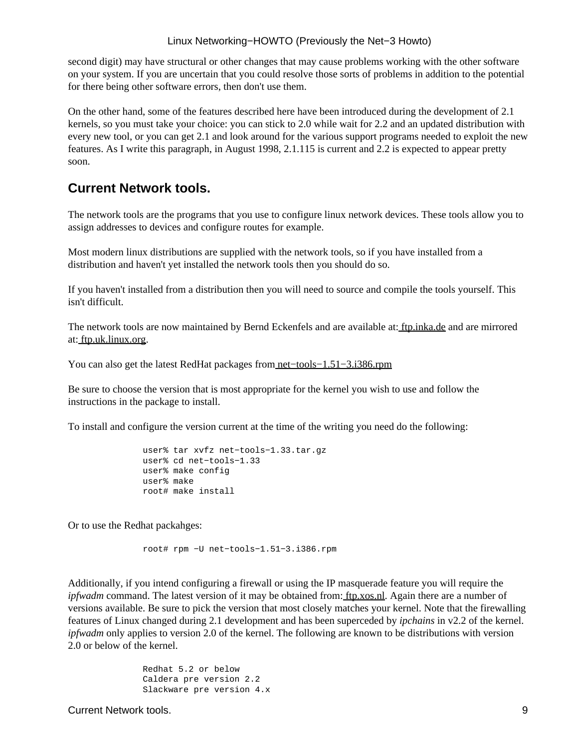second digit) may have structural or other changes that may cause problems working with the other software on your system. If you are uncertain that you could resolve those sorts of problems in addition to the potential for there being other software errors, then don't use them.

On the other hand, some of the features described here have been introduced during the development of 2.1 kernels, so you must take your choice: you can stick to 2.0 while wait for 2.2 and an updated distribution with every new tool, or you can get 2.1 and look around for the various support programs needed to exploit the new features. As I write this paragraph, in August 1998, 2.1.115 is current and 2.2 is expected to appear pretty soon.

### <span id="page-12-0"></span>**Current Network tools.**

The network tools are the programs that you use to configure linux network devices. These tools allow you to assign addresses to devices and configure routes for example.

Most modern linux distributions are supplied with the network tools, so if you have installed from a distribution and haven't yet installed the network tools then you should do so.

If you haven't installed from a distribution then you will need to source and compile the tools yourself. This isn't difficult.

The network tools are now maintained by Bernd Eckenfels and are available at[: ftp.inka.de](ftp://ftp.inka.de/pub/comp/Linux/networking/NetTools/) and are mirrored at: [ftp.uk.linux.org](ftp://ftp.uk.linux.org/pub/linux/Networking/base/).

You can also get the latest RedHat packages fro[m net−tools−1.51−3.i386.rpm](ftp://ftp.cdrom.com/pub/linux/redhat/redhat-6.0/i386/base/)

Be sure to choose the version that is most appropriate for the kernel you wish to use and follow the instructions in the package to install.

To install and configure the version current at the time of the writing you need do the following:

```
 user% tar xvfz net−tools−1.33.tar.gz
 user% cd net−tools−1.33
 user% make config
 user% make
 root# make install
```
Or to use the Redhat packahges:

root# rpm −U net−tools−1.51−3.i386.rpm

Additionally, if you intend configuring a firewall or using the IP masquerade feature you will require the *ipfwadm* command. The latest version of it may be obtained from: <u>ftp.xos.nl</u>. Again there are a number of versions available. Be sure to pick the version that most closely matches your kernel. Note that the firewalling features of Linux changed during 2.1 development and has been superceded by *ipchains* in v2.2 of the kernel. *ipfwadm* only applies to version 2.0 of the kernel. The following are known to be distributions with version 2.0 or below of the kernel.

> Redhat 5.2 or below Caldera pre version 2.2 Slackware pre version 4.x

Current Network tools. 9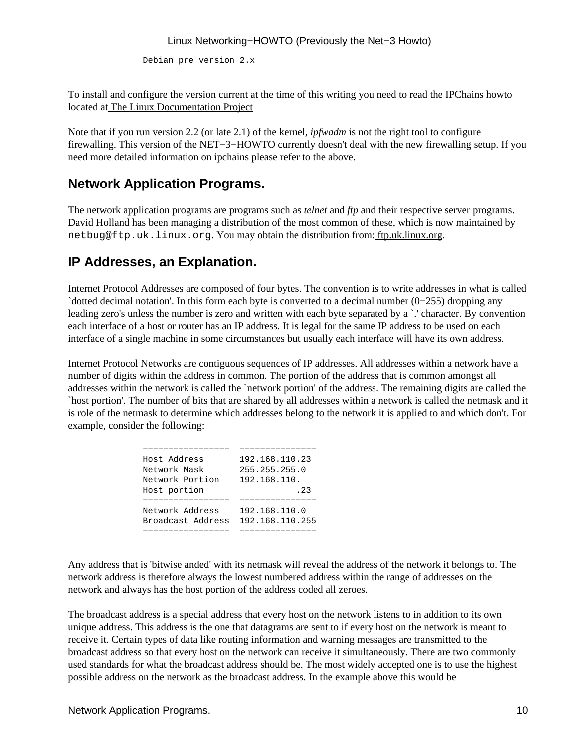Debian pre version 2.x

To install and configure the version current at the time of this writing you need to read the IPChains howto located a[t The Linux Documentation Project](http://www.linuxdoc.org/)

Note that if you run version 2.2 (or late 2.1) of the kernel, *ipfwadm* is not the right tool to configure firewalling. This version of the NET−3−HOWTO currently doesn't deal with the new firewalling setup. If you need more detailed information on ipchains please refer to the above.

## <span id="page-13-0"></span>**Network Application Programs.**

The network application programs are programs such as *telnet* and *ftp* and their respective server programs. David Holland has been managing a distribution of the most common of these, which is now maintained by netbug@ftp.uk.linux.org. You may obtain the distribution from[: ftp.uk.linux.org](ftp://ftp.uk.linux.org/pub/linux/Networking/base).

## <span id="page-13-1"></span>**IP Addresses, an Explanation.**

Internet Protocol Addresses are composed of four bytes. The convention is to write addresses in what is called `dotted decimal notation'. In this form each byte is converted to a decimal number (0−255) dropping any leading zero's unless the number is zero and written with each byte separated by a `.' character. By convention each interface of a host or router has an IP address. It is legal for the same IP address to be used on each interface of a single machine in some circumstances but usually each interface will have its own address.

Internet Protocol Networks are contiguous sequences of IP addresses. All addresses within a network have a number of digits within the address in common. The portion of the address that is common amongst all addresses within the network is called the `network portion' of the address. The remaining digits are called the `host portion'. The number of bits that are shared by all addresses within a network is called the netmask and it is role of the netmask to determine which addresses belong to the network it is applied to and which don't. For example, consider the following:

| Host Address<br>Network Mask<br>Network Portion<br>Host portion | 192.168.110.23<br>255.255.255.0<br>192.168.110.<br>.23 |
|-----------------------------------------------------------------|--------------------------------------------------------|
|                                                                 |                                                        |
| Network Address<br>Broadcast Address                            | 192.168.110.0<br>192.168.110.255                       |
|                                                                 |                                                        |

Any address that is 'bitwise anded' with its netmask will reveal the address of the network it belongs to. The network address is therefore always the lowest numbered address within the range of addresses on the network and always has the host portion of the address coded all zeroes.

The broadcast address is a special address that every host on the network listens to in addition to its own unique address. This address is the one that datagrams are sent to if every host on the network is meant to receive it. Certain types of data like routing information and warning messages are transmitted to the broadcast address so that every host on the network can receive it simultaneously. There are two commonly used standards for what the broadcast address should be. The most widely accepted one is to use the highest possible address on the network as the broadcast address. In the example above this would be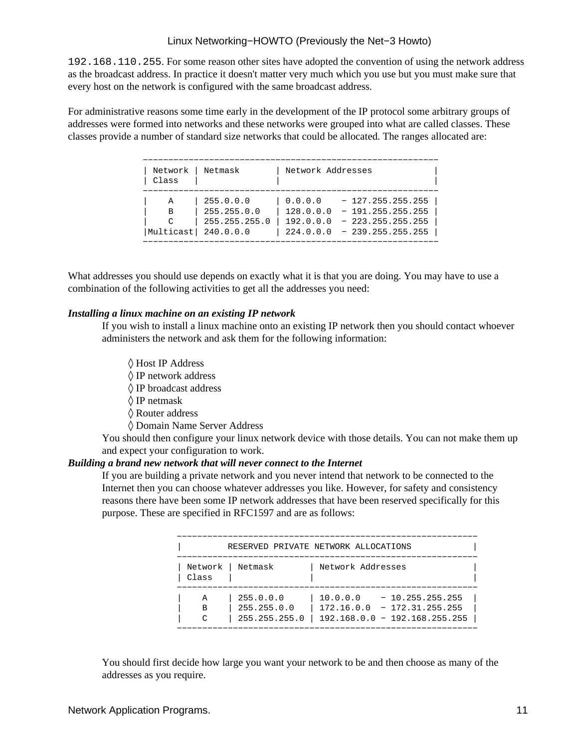192.168.110.255. For some reason other sites have adopted the convention of using the network address as the broadcast address. In practice it doesn't matter very much which you use but you must make sure that every host on the network is configured with the same broadcast address.

For administrative reasons some time early in the development of the IP protocol some arbitrary groups of addresses were formed into networks and these networks were grouped into what are called classes. These classes provide a number of standard size networks that could be allocated. The ranges allocated are:

| Network<br>Netmask<br>Class | Network Addresses             |
|-----------------------------|-------------------------------|
| 255.0.0.0                   | $-127.255.255.255$<br>0.0.0.0 |
| 255.255.0.0                 | 128.0.0.0                     |
| B                           | $-191.255.255.255$            |
| 255.255.255.0               | 192.0.0.0                     |
| C                           | $-223.255.255.255$            |
| Multicast                   | $-239.255.255.255$            |
| 240.0.0.0                   | 224.0.0.0                     |

What addresses you should use depends on exactly what it is that you are doing. You may have to use a combination of the following activities to get all the addresses you need:

#### *Installing a linux machine on an existing IP network*

If you wish to install a linux machine onto an existing IP network then you should contact whoever administers the network and ask them for the following information:

- ◊ Host IP Address ◊ IP network address ◊ IP broadcast address
- ◊ IP netmask
- ◊ Router address
- ◊ Domain Name Server Address

You should then configure your linux network device with those details. You can not make them up and expect your configuration to work.

#### *Building a brand new network that will never connect to the Internet*

If you are building a private network and you never intend that network to be connected to the Internet then you can choose whatever addresses you like. However, for safety and consistency reasons there have been some IP network addresses that have been reserved specifically for this purpose. These are specified in RFC1597 and are as follows:

|                  |                                           | RESERVED PRIVATE NETWORK ALLOCATIONS                                                              |  |
|------------------|-------------------------------------------|---------------------------------------------------------------------------------------------------|--|
| Network<br>Class | Netmask                                   | Network Addresses                                                                                 |  |
| A<br>B<br>C      | 255.0.0.0<br>255.255.0.0<br>255.255.255.0 | 10.0.0.0<br>$-10.255.255.255$<br>$172.16.0.0 - 172.31.255.255$<br>$192.168.0.0 - 192.168.255.255$ |  |

You should first decide how large you want your network to be and then choose as many of the addresses as you require.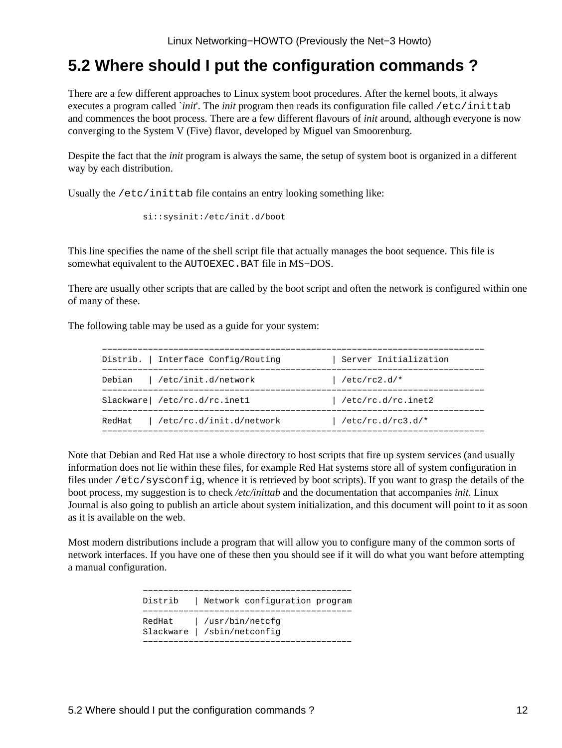## <span id="page-15-0"></span>**5.2 Where should I put the configuration commands ?**

There are a few different approaches to Linux system boot procedures. After the kernel boots, it always executes a program called `*init*'. The *init* program then reads its configuration file called /etc/inittab and commences the boot process. There are a few different flavours of *init* around, although everyone is now converging to the System V (Five) flavor, developed by Miguel van Smoorenburg.

Despite the fact that the *init* program is always the same, the setup of system boot is organized in a different way by each distribution.

Usually the /etc/inittab file contains an entry looking something like:

```
 si::sysinit:/etc/init.d/boot
```
This line specifies the name of the shell script file that actually manages the boot sequence. This file is somewhat equivalent to the AUTOEXEC. BAT file in MS-DOS.

There are usually other scripts that are called by the boot script and often the network is configured within one of many of these.

The following table may be used as a guide for your system:

| Distrib.   Interface Config/Routing | Server Initialization |
|-------------------------------------|-----------------------|
| Debian   /etc/init.d/network        | /etc/rc2.d/*          |
| Slackware / /etc/rc.d/rc.inet1      | /etc/rc.d/rc.inet2    |
| RedHat   /etc/rc.d/init.d/network   | /etc/rc.d/rc3.d/*     |
|                                     |                       |

Note that Debian and Red Hat use a whole directory to host scripts that fire up system services (and usually information does not lie within these files, for example Red Hat systems store all of system configuration in files under /etc/sysconfig, whence it is retrieved by boot scripts). If you want to grasp the details of the boot process, my suggestion is to check */etc/inittab* and the documentation that accompanies *init*. Linux Journal is also going to publish an article about system initialization, and this document will point to it as soon as it is available on the web.

Most modern distributions include a program that will allow you to configure many of the common sorts of network interfaces. If you have one of these then you should see if it will do what you want before attempting a manual configuration.

| Distrib | Network configuration program                         |
|---------|-------------------------------------------------------|
|         | RedHat /usr/bin/netcfq<br>Slackware   /sbin/netconfig |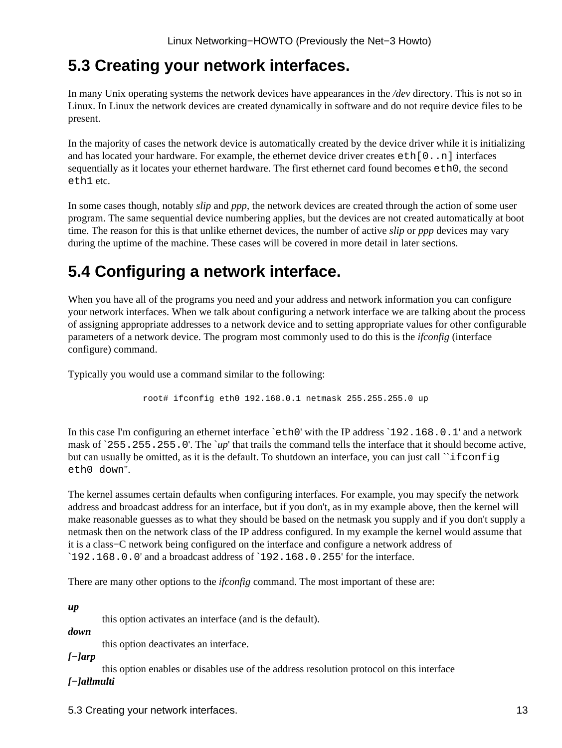## <span id="page-16-0"></span>**5.3 Creating your network interfaces.**

In many Unix operating systems the network devices have appearances in the */dev* directory. This is not so in Linux. In Linux the network devices are created dynamically in software and do not require device files to be present.

In the majority of cases the network device is automatically created by the device driver while it is initializing and has located your hardware. For example, the ethernet device driver creates eth[0..n] interfaces sequentially as it locates your ethernet hardware. The first ethernet card found becomes eth0, the second eth1 etc.

In some cases though, notably *slip* and *ppp*, the network devices are created through the action of some user program. The same sequential device numbering applies, but the devices are not created automatically at boot time. The reason for this is that unlike ethernet devices, the number of active *slip* or *ppp* devices may vary during the uptime of the machine. These cases will be covered in more detail in later sections.

# <span id="page-16-1"></span>**5.4 Configuring a network interface.**

When you have all of the programs you need and your address and network information you can configure your network interfaces. When we talk about configuring a network interface we are talking about the process of assigning appropriate addresses to a network device and to setting appropriate values for other configurable parameters of a network device. The program most commonly used to do this is the *ifconfig* (interface configure) command.

Typically you would use a command similar to the following:

root# ifconfig eth0 192.168.0.1 netmask 255.255.255.0 up

In this case I'm configuring an ethernet interface 'eth0' with the IP address '192.168.0.1' and a network mask of `255.255.255.0'. The `*up*' that trails the command tells the interface that it should become active, but can usually be omitted, as it is the default. To shutdown an interface, you can just call "if config eth0 down''.

The kernel assumes certain defaults when configuring interfaces. For example, you may specify the network address and broadcast address for an interface, but if you don't, as in my example above, then the kernel will make reasonable guesses as to what they should be based on the netmask you supply and if you don't supply a netmask then on the network class of the IP address configured. In my example the kernel would assume that it is a class−C network being configured on the interface and configure a network address of  $\text{192.168.0.0'}$  and a broadcast address of  $\text{192.168.0.255'}$  for the interface.

There are many other options to the *ifconfig* command. The most important of these are:

*up*

this option activates an interface (and is the default).

*down*

this option deactivates an interface.

*[−]arp*

this option enables or disables use of the address resolution protocol on this interface *[−]allmulti*

5.3 Creating your network interfaces. 13 According to the state of the state of the state of the state of the state of the state of the state of the state of the state of the state of the state of the state of the state of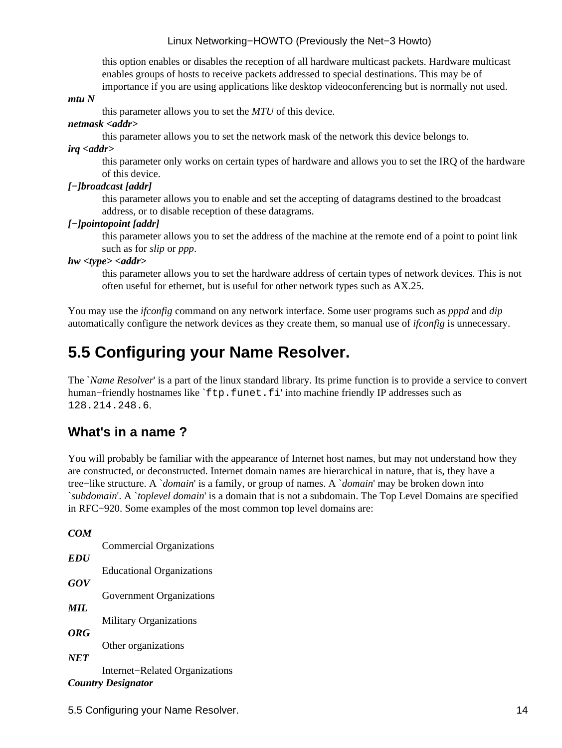this option enables or disables the reception of all hardware multicast packets. Hardware multicast enables groups of hosts to receive packets addressed to special destinations. This may be of importance if you are using applications like desktop videoconferencing but is normally not used.

*mtu N*

this parameter allows you to set the *MTU* of this device.

#### *netmask <addr>*

this parameter allows you to set the network mask of the network this device belongs to.

*irq <addr>*

this parameter only works on certain types of hardware and allows you to set the IRQ of the hardware of this device.

#### *[−]broadcast [addr]*

this parameter allows you to enable and set the accepting of datagrams destined to the broadcast address, or to disable reception of these datagrams.

#### *[−]pointopoint [addr]*

this parameter allows you to set the address of the machine at the remote end of a point to point link such as for *slip* or *ppp*.

#### *hw <type> <addr>*

this parameter allows you to set the hardware address of certain types of network devices. This is not often useful for ethernet, but is useful for other network types such as AX.25.

You may use the *ifconfig* command on any network interface. Some user programs such as *pppd* and *dip* automatically configure the network devices as they create them, so manual use of *ifconfig* is unnecessary.

## <span id="page-17-0"></span>**5.5 Configuring your Name Resolver.**

The `*Name Resolver*' is a part of the linux standard library. Its prime function is to provide a service to convert human-friendly hostnames like `ftp.funet.fi' into machine friendly IP addresses such as 128.214.248.6.

### <span id="page-17-1"></span>**What's in a name ?**

You will probably be familiar with the appearance of Internet host names, but may not understand how they are constructed, or deconstructed. Internet domain names are hierarchical in nature, that is, they have a tree−like structure. A `*domain*' is a family, or group of names. A `*domain*' may be broken down into `*subdomain*'. A `*toplevel domain*' is a domain that is not a subdomain. The Top Level Domains are specified in RFC−920. Some examples of the most common top level domains are:

*COM* Commercial Organizations *EDU* Educational Organizations *GOV* Government Organizations *MIL* Military Organizations *ORG* Other organizations *NET* Internet−Related Organizations *Country Designator*

5.5 Configuring your Name Resolver. 14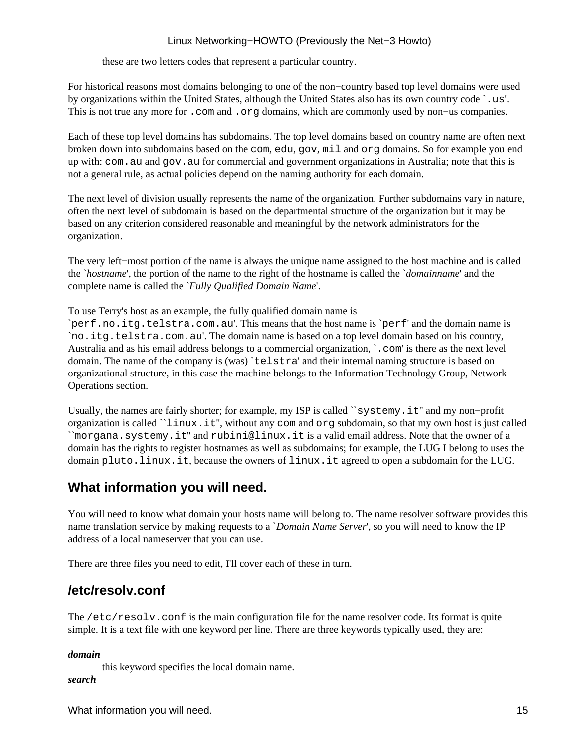these are two letters codes that represent a particular country.

For historical reasons most domains belonging to one of the non−country based top level domains were used by organizations within the United States, although the United States also has its own country code `.us'. This is not true any more for .com and .org domains, which are commonly used by non−us companies.

Each of these top level domains has subdomains. The top level domains based on country name are often next broken down into subdomains based on the com, edu, gov, mil and org domains. So for example you end up with: com.au and gov.au for commercial and government organizations in Australia; note that this is not a general rule, as actual policies depend on the naming authority for each domain.

The next level of division usually represents the name of the organization. Further subdomains vary in nature, often the next level of subdomain is based on the departmental structure of the organization but it may be based on any criterion considered reasonable and meaningful by the network administrators for the organization.

The very left−most portion of the name is always the unique name assigned to the host machine and is called the `*hostname*', the portion of the name to the right of the hostname is called the `*domainname*' and the complete name is called the `*Fully Qualified Domain Name*'.

To use Terry's host as an example, the fully qualified domain name is

`perf.no.itg.telstra.com.au'. This means that the host name is `perf' and the domain name is `no.itg.telstra.com.au'. The domain name is based on a top level domain based on his country, Australia and as his email address belongs to a commercial organization, `.com' is there as the next level domain. The name of the company is (was) `telstra' and their internal naming structure is based on organizational structure, in this case the machine belongs to the Information Technology Group, Network Operations section.

Usually, the names are fairly shorter; for example, my ISP is called ``systemy.it'' and my non−profit organization is called ``linux.it'', without any com and org subdomain, so that my own host is just called ``morgana.systemy.it'' and rubini@linux.it is a valid email address. Note that the owner of a domain has the rights to register hostnames as well as subdomains; for example, the LUG I belong to uses the domain pluto.linux.it, because the owners of linux.it agreed to open a subdomain for the LUG.

## <span id="page-18-0"></span>**What information you will need.**

You will need to know what domain your hosts name will belong to. The name resolver software provides this name translation service by making requests to a `*Domain Name Server*', so you will need to know the IP address of a local nameserver that you can use.

There are three files you need to edit, I'll cover each of these in turn.

## <span id="page-18-1"></span>**/etc/resolv.conf**

The /etc/resolv.conf is the main configuration file for the name resolver code. Its format is quite simple. It is a text file with one keyword per line. There are three keywords typically used, they are:

#### *domain*

this keyword specifies the local domain name.

#### *search*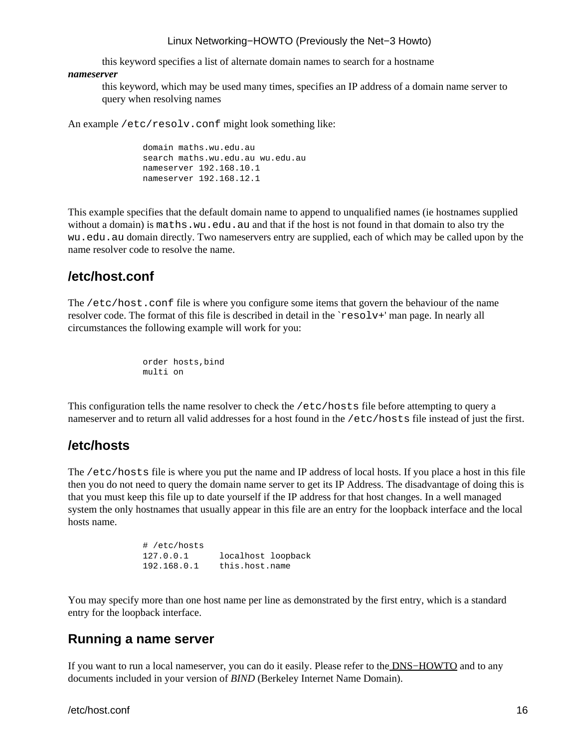this keyword specifies a list of alternate domain names to search for a hostname

#### *nameserver*

this keyword, which may be used many times, specifies an IP address of a domain name server to query when resolving names

An example /etc/resolv.conf might look something like:

```
 domain maths.wu.edu.au
 search maths.wu.edu.au wu.edu.au
 nameserver 192.168.10.1
 nameserver 192.168.12.1
```
This example specifies that the default domain name to append to unqualified names (ie hostnames supplied without a domain) is maths.wu.edu.au and that if the host is not found in that domain to also try the wu.edu.au domain directly. Two nameservers entry are supplied, each of which may be called upon by the name resolver code to resolve the name.

### <span id="page-19-0"></span>**/etc/host.conf**

The /etc/host.conf file is where you configure some items that govern the behaviour of the name resolver code. The format of this file is described in detail in the `resolv+' man page. In nearly all circumstances the following example will work for you:

```
 order hosts,bind 
 multi on
```
This configuration tells the name resolver to check the /etc/hosts file before attempting to query a nameserver and to return all valid addresses for a host found in the /etc/hosts file instead of just the first.

### <span id="page-19-1"></span>**/etc/hosts**

The /etc/hosts file is where you put the name and IP address of local hosts. If you place a host in this file then you do not need to query the domain name server to get its IP Address. The disadvantage of doing this is that you must keep this file up to date yourself if the IP address for that host changes. In a well managed system the only hostnames that usually appear in this file are an entry for the loopback interface and the local hosts name.

```
 # /etc/hosts
 127.0.0.1 localhost loopback
 192.168.0.1 this.host.name
```
You may specify more than one host name per line as demonstrated by the first entry, which is a standard entry for the loopback interface.

### <span id="page-19-2"></span>**Running a name server**

If you want to run a local nameserver, you can do it easily. Please refer to the DNS−HOWTO and to any documents included in your version of *BIND* (Berkeley Internet Name Domain).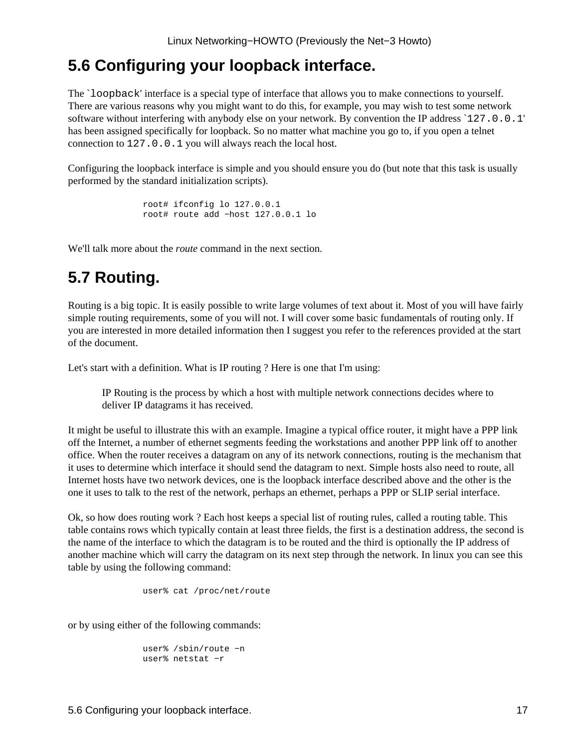## <span id="page-20-0"></span>**5.6 Configuring your loopback interface.**

The `loopback' interface is a special type of interface that allows you to make connections to yourself. There are various reasons why you might want to do this, for example, you may wish to test some network software without interfering with anybody else on your network. By convention the IP address `127.0.0.1' has been assigned specifically for loopback. So no matter what machine you go to, if you open a telnet connection to 127.0.0.1 you will always reach the local host.

Configuring the loopback interface is simple and you should ensure you do (but note that this task is usually performed by the standard initialization scripts).

```
 root# ifconfig lo 127.0.0.1
 root# route add −host 127.0.0.1 lo
```
We'll talk more about the *route* command in the next section.

## <span id="page-20-1"></span>**5.7 Routing.**

Routing is a big topic. It is easily possible to write large volumes of text about it. Most of you will have fairly simple routing requirements, some of you will not. I will cover some basic fundamentals of routing only. If you are interested in more detailed information then I suggest you refer to the references provided at the start of the document.

Let's start with a definition. What is IP routing ? Here is one that I'm using:

IP Routing is the process by which a host with multiple network connections decides where to deliver IP datagrams it has received.

It might be useful to illustrate this with an example. Imagine a typical office router, it might have a PPP link off the Internet, a number of ethernet segments feeding the workstations and another PPP link off to another office. When the router receives a datagram on any of its network connections, routing is the mechanism that it uses to determine which interface it should send the datagram to next. Simple hosts also need to route, all Internet hosts have two network devices, one is the loopback interface described above and the other is the one it uses to talk to the rest of the network, perhaps an ethernet, perhaps a PPP or SLIP serial interface.

Ok, so how does routing work ? Each host keeps a special list of routing rules, called a routing table. This table contains rows which typically contain at least three fields, the first is a destination address, the second is the name of the interface to which the datagram is to be routed and the third is optionally the IP address of another machine which will carry the datagram on its next step through the network. In linux you can see this table by using the following command:

```
 user% cat /proc/net/route
```
or by using either of the following commands:

```
 user% /sbin/route −n
 user% netstat −r
```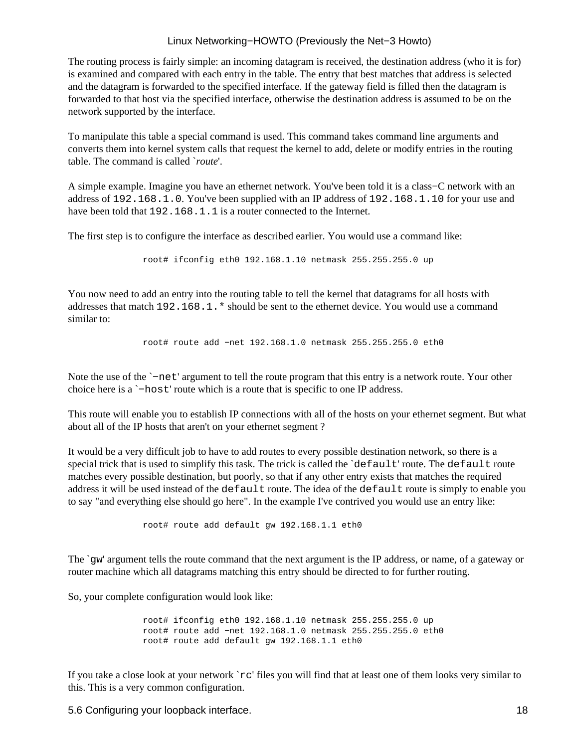The routing process is fairly simple: an incoming datagram is received, the destination address (who it is for) is examined and compared with each entry in the table. The entry that best matches that address is selected and the datagram is forwarded to the specified interface. If the gateway field is filled then the datagram is forwarded to that host via the specified interface, otherwise the destination address is assumed to be on the network supported by the interface.

To manipulate this table a special command is used. This command takes command line arguments and converts them into kernel system calls that request the kernel to add, delete or modify entries in the routing table. The command is called `*route*'.

A simple example. Imagine you have an ethernet network. You've been told it is a class−C network with an address of 192.168.1.0. You've been supplied with an IP address of 192.168.1.10 for your use and have been told that 192.168.1.1 is a router connected to the Internet.

The first step is to configure the interface as described earlier. You would use a command like:

root# ifconfig eth0 192.168.1.10 netmask 255.255.255.0 up

You now need to add an entry into the routing table to tell the kernel that datagrams for all hosts with addresses that match 192.168.1.\* should be sent to the ethernet device. You would use a command similar to:

root# route add −net 192.168.1.0 netmask 255.255.255.0 eth0

Note the use of the `−net' argument to tell the route program that this entry is a network route. Your other choice here is a `−host' route which is a route that is specific to one IP address.

This route will enable you to establish IP connections with all of the hosts on your ethernet segment. But what about all of the IP hosts that aren't on your ethernet segment ?

It would be a very difficult job to have to add routes to every possible destination network, so there is a special trick that is used to simplify this task. The trick is called the `default' route. The default route matches every possible destination, but poorly, so that if any other entry exists that matches the required address it will be used instead of the default route. The idea of the default route is simply to enable you to say "and everything else should go here". In the example I've contrived you would use an entry like:

root# route add default gw 192.168.1.1 eth0

The `gw' argument tells the route command that the next argument is the IP address, or name, of a gateway or router machine which all datagrams matching this entry should be directed to for further routing.

So, your complete configuration would look like:

 root# ifconfig eth0 192.168.1.10 netmask 255.255.255.0 up root# route add −net 192.168.1.0 netmask 255.255.255.0 eth0 root# route add default gw 192.168.1.1 eth0

If you take a close look at your network ` $rc'$  files you will find that at least one of them looks very similar to this. This is a very common configuration.

5.6 Configuring your loopback interface. 18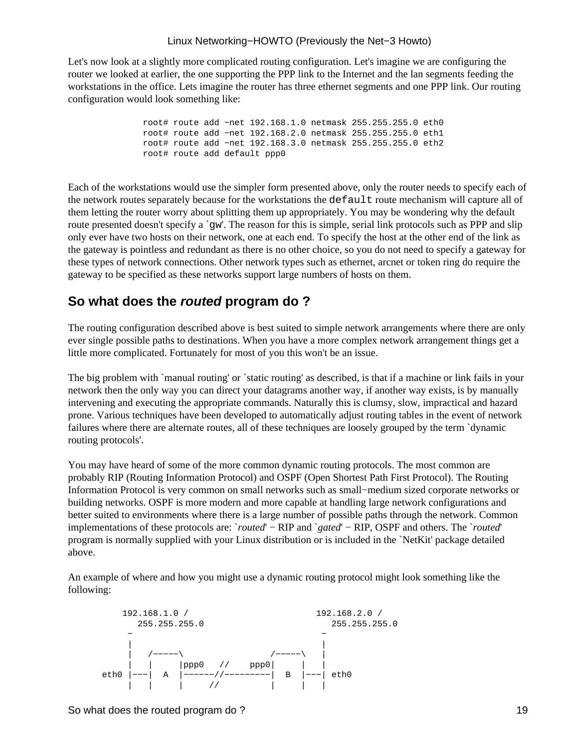Let's now look at a slightly more complicated routing configuration. Let's imagine we are configuring the router we looked at earlier, the one supporting the PPP link to the Internet and the lan segments feeding the workstations in the office. Lets imagine the router has three ethernet segments and one PPP link. Our routing configuration would look something like:

> root# route add −net 192.168.1.0 netmask 255.255.255.0 eth0 root# route add −net 192.168.2.0 netmask 255.255.255.0 eth1 root# route add −net 192.168.3.0 netmask 255.255.255.0 eth2 root# route add default ppp0

Each of the workstations would use the simpler form presented above, only the router needs to specify each of the network routes separately because for the workstations the default route mechanism will capture all of them letting the router worry about splitting them up appropriately. You may be wondering why the default route presented doesn't specify a `gw'. The reason for this is simple, serial link protocols such as PPP and slip only ever have two hosts on their network, one at each end. To specify the host at the other end of the link as the gateway is pointless and redundant as there is no other choice, so you do not need to specify a gateway for these types of network connections. Other network types such as ethernet, arcnet or token ring do require the gateway to be specified as these networks support large numbers of hosts on them.

### <span id="page-22-0"></span>**So what does the routed program do ?**

The routing configuration described above is best suited to simple network arrangements where there are only ever single possible paths to destinations. When you have a more complex network arrangement things get a little more complicated. Fortunately for most of you this won't be an issue.

The big problem with `manual routing' or `static routing' as described, is that if a machine or link fails in your network then the only way you can direct your datagrams another way, if another way exists, is by manually intervening and executing the appropriate commands. Naturally this is clumsy, slow, impractical and hazard prone. Various techniques have been developed to automatically adjust routing tables in the event of network failures where there are alternate routes, all of these techniques are loosely grouped by the term `dynamic routing protocols'.

You may have heard of some of the more common dynamic routing protocols. The most common are probably RIP (Routing Information Protocol) and OSPF (Open Shortest Path First Protocol). The Routing Information Protocol is very common on small networks such as small−medium sized corporate networks or building networks. OSPF is more modern and more capable at handling large network configurations and better suited to environments where there is a large number of possible paths through the network. Common implementations of these protocols are: `*routed*' − RIP and `*gated*' − RIP, OSPF and others. The `*routed*' program is normally supplied with your Linux distribution or is included in the `NetKit' package detailed above.

An example of where and how you might use a dynamic routing protocol might look something like the following:

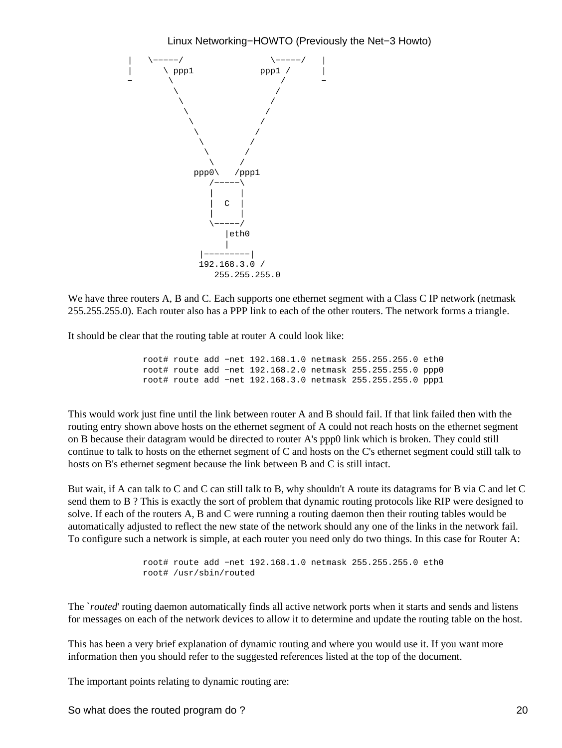

We have three routers A, B and C. Each supports one ethernet segment with a Class C IP network (netmask 255.255.255.0). Each router also has a PPP link to each of the other routers. The network forms a triangle.

It should be clear that the routing table at router A could look like:

 root# route add −net 192.168.1.0 netmask 255.255.255.0 eth0 root# route add −net 192.168.2.0 netmask 255.255.255.0 ppp0 root# route add −net 192.168.3.0 netmask 255.255.255.0 ppp1

This would work just fine until the link between router A and B should fail. If that link failed then with the routing entry shown above hosts on the ethernet segment of A could not reach hosts on the ethernet segment on B because their datagram would be directed to router A's ppp0 link which is broken. They could still continue to talk to hosts on the ethernet segment of C and hosts on the C's ethernet segment could still talk to hosts on B's ethernet segment because the link between B and C is still intact.

But wait, if A can talk to C and C can still talk to B, why shouldn't A route its datagrams for B via C and let C send them to B ? This is exactly the sort of problem that dynamic routing protocols like RIP were designed to solve. If each of the routers A, B and C were running a routing daemon then their routing tables would be automatically adjusted to reflect the new state of the network should any one of the links in the network fail. To configure such a network is simple, at each router you need only do two things. In this case for Router A:

```
 root# route add −net 192.168.1.0 netmask 255.255.255.0 eth0
 root# /usr/sbin/routed
```
The `*routed*' routing daemon automatically finds all active network ports when it starts and sends and listens for messages on each of the network devices to allow it to determine and update the routing table on the host.

This has been a very brief explanation of dynamic routing and where you would use it. If you want more information then you should refer to the suggested references listed at the top of the document.

The important points relating to dynamic routing are:

So what does the routed program do ? 20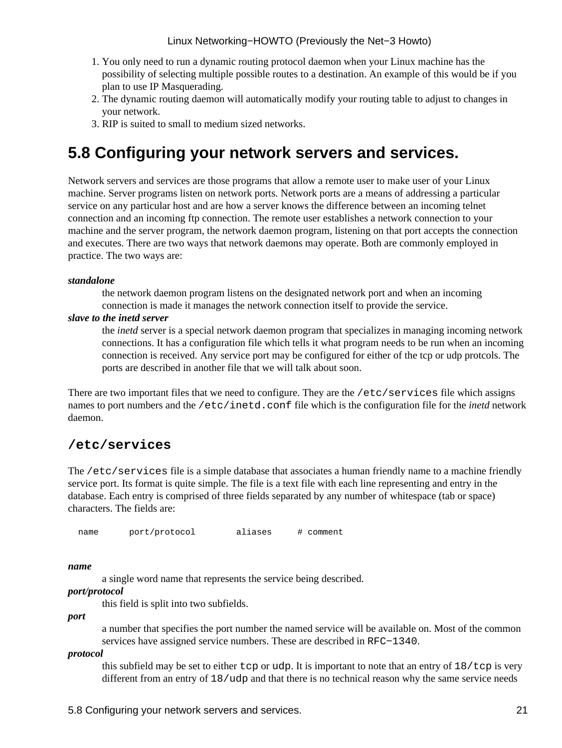- 1. You only need to run a dynamic routing protocol daemon when your Linux machine has the possibility of selecting multiple possible routes to a destination. An example of this would be if you plan to use IP Masquerading.
- 2. The dynamic routing daemon will automatically modify your routing table to adjust to changes in your network.
- 3. RIP is suited to small to medium sized networks.

## <span id="page-24-0"></span>**5.8 Configuring your network servers and services.**

Network servers and services are those programs that allow a remote user to make user of your Linux machine. Server programs listen on network ports. Network ports are a means of addressing a particular service on any particular host and are how a server knows the difference between an incoming telnet connection and an incoming ftp connection. The remote user establishes a network connection to your machine and the server program, the network daemon program, listening on that port accepts the connection and executes. There are two ways that network daemons may operate. Both are commonly employed in practice. The two ways are:

#### *standalone*

the network daemon program listens on the designated network port and when an incoming connection is made it manages the network connection itself to provide the service.

#### *slave to the inetd server*

the *inetd* server is a special network daemon program that specializes in managing incoming network connections. It has a configuration file which tells it what program needs to be run when an incoming connection is received. Any service port may be configured for either of the tcp or udp protcols. The ports are described in another file that we will talk about soon.

There are two important files that we need to configure. They are the /etc/services file which assigns names to port numbers and the /etc/inetd.conf file which is the configuration file for the *inetd* network daemon.

### <span id="page-24-1"></span>**/etc/services**

The /etc/services file is a simple database that associates a human friendly name to a machine friendly service port. Its format is quite simple. The file is a text file with each line representing and entry in the database. Each entry is comprised of three fields separated by any number of whitespace (tab or space) characters. The fields are:

name port/protocol aliases # comment

#### *name*

a single word name that represents the service being described.

## *port/protocol*

this field is split into two subfields.

*port*

a number that specifies the port number the named service will be available on. Most of the common services have assigned service numbers. These are described in RFC-1340.

#### *protocol*

this subfield may be set to either  $tcp$  or udp. It is important to note that an entry of  $18/tcp$  is very different from an entry of 18/udp and that there is no technical reason why the same service needs

5.8 Configuring your network servers and services. 21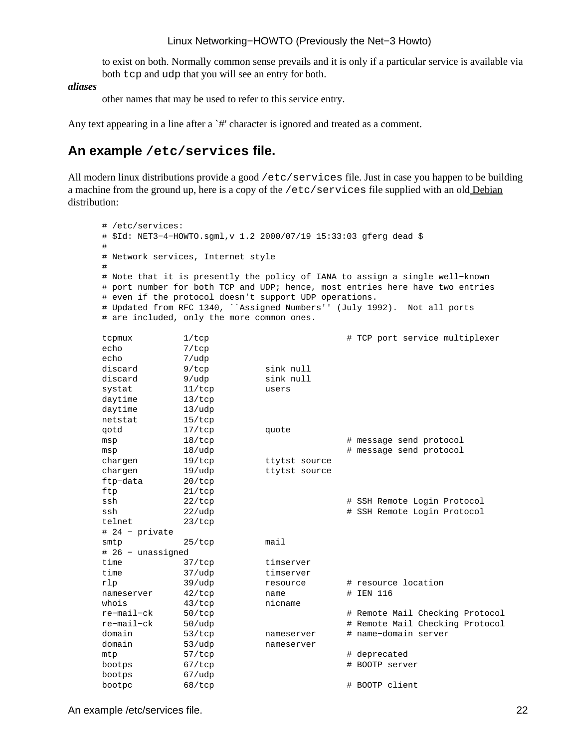to exist on both. Normally common sense prevails and it is only if a particular service is available via both tcp and udp that you will see an entry for both.

*aliases*

other names that may be used to refer to this service entry.

Any text appearing in a line after a  $\ddagger$ " character is ignored and treated as a comment.

### <span id="page-25-0"></span>**An example /etc/services file.**

All modern linux distributions provide a good /etc/services file. Just in case you happen to be building a machine from the ground up, here is a copy of the /etc/services file supplied with an old [Debian](http://www.debian.org/) distribution:

```
# /etc/services:
# $Id: NET3−4−HOWTO.sgml,v 1.2 2000/07/19 15:33:03 gferg dead $
#
# Network services, Internet style
#
# Note that it is presently the policy of IANA to assign a single well−known
# port number for both TCP and UDP; hence, most entries here have two entries
# even if the protocol doesn't support UDP operations.
# Updated from RFC 1340, ``Assigned Numbers'' (July 1992). Not all ports
# are included, only the more common ones.
tcpmux 1/tcp 1/tcp # TCP port service multiplexer
echo 7/tcp
echo 7/udp<br>discard 9/tcp
discard 9/tcp sink null<br>discard 9/udp sink null
           9/udp sink null
systat 11/tcp users
daytime 13/tcp
daytime 13/udp
netstat 15/tcp
qotd 17/tcp quote
msp 18/1cp 18/1cp \# message send protocol
msp 18/udp # message send protocol
chargen 19/tcp ttytst source
chargen 19/udp ttytst source
ftp−data 20/tcp
ftp 21/topssh 22/tcp + SSH Remote Login Protocol
ssh 22/udp # SSH Remote Login Protocol
telnet 23/tcp
# 24 − private
smtp 25/tcp mail
# 26 − unassigned
time 37/tcp timserver
time 37/udp timserver<br>rlp 39/udp resource
rlp 39/udp resource # resource location
nameserver 42/\text{top} name # IEN 116
whois 43/top nicname<br>re-mail-ck 50/topre−mail−ck 50/tcp # Remote Mail Checking Protocol
re−mail−ck 50/udp # Remote Mail Checking Protocol<br>domain 53/tcp nameserver # name-domain server
domain 53/tcp nameserver # name-domain server<br>domain 53/udp nameserver
           53/udp nameserver
mtp 57/tcp 57/tcp # deprecated
bootps 67/tcp # BOOTP server
bootps 67/udp
bootpc 68/tcp # BOOTP client
```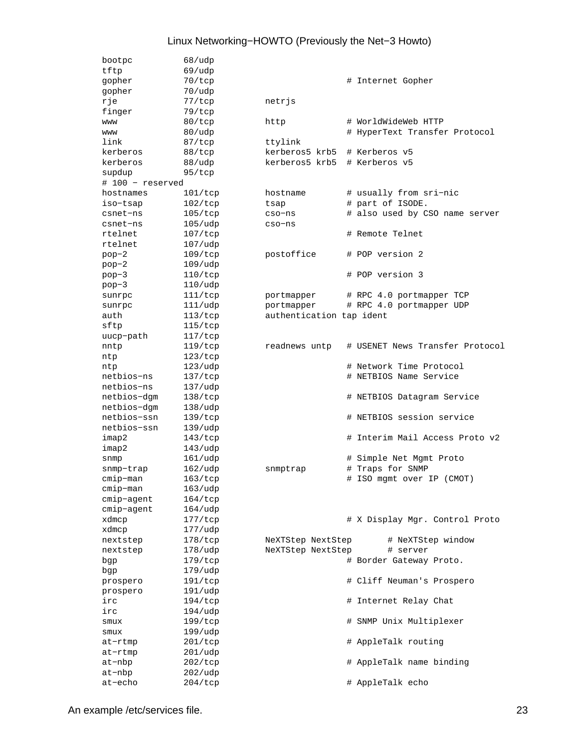| bootpc           | 68/udp           |                          |                                                      |
|------------------|------------------|--------------------------|------------------------------------------------------|
| tftp             | 69/udp           |                          |                                                      |
| gopher           | 70/tcp           |                          | # Internet Gopher                                    |
| gopher           | 70/udp           |                          |                                                      |
| rje              | 77/tcp           | netrjs                   |                                                      |
| finger           | 79/tcp           |                          |                                                      |
| www              | $80/\text{tcp}$  | http                     | # WorldWideWeb HTTP                                  |
| www              | 80/udp           |                          | # HyperText Transfer Protocol                        |
| link             | $87/\text{tcp}$  | ttylink                  |                                                      |
| kerberos         | 88/tcp           | kerberos5 krb5           | # Kerberos v5                                        |
| kerberos         | 88/udp           | kerberos5 krb5           | # Kerberos v5                                        |
| supdup           | 95/top           |                          |                                                      |
| # 100 - reserved |                  |                          |                                                      |
| hostnames        | 101/top          | hostname                 | # usually from sri-nic                               |
| iso-tsap         | $102/\text{tcp}$ | tsap                     | # part of ISODE.                                     |
| csnet-ns         | 105/tcp          | $cso-ns$                 | # also used by CSO name server                       |
| csnet-ns         | 105/udp          | $cso-ns$                 |                                                      |
| rtelnet          | 107/tcp          |                          | # Remote Telnet                                      |
| rtelnet          | $107/$ udp       |                          |                                                      |
| pop-2            | 109/tcp          | postoffice               | # POP version 2                                      |
| pop-2            | 109/udp          |                          |                                                      |
| pop-3            | 110/top          |                          | # POP version 3                                      |
| pop-3            | $110/$ udp       |                          |                                                      |
|                  |                  |                          |                                                      |
| sunrpc           | 111/top          | portmapper               | # RPC 4.0 portmapper TCP<br># RPC 4.0 portmapper UDP |
| sunrpc           | $111/$ udp       | portmapper               |                                                      |
| auth             | 113/top          | authentication tap ident |                                                      |
| sftp             | 115/top          |                          |                                                      |
| uucp-path        | 117/top          |                          |                                                      |
| nntp             | 119/top          | readnews untp            | # USENET News Transfer Protocol                      |
| ntp              | 123/top          |                          |                                                      |
| ntp              | $123/\text{udp}$ |                          | # Network Time Protocol                              |
| netbios-ns       | 137/top          |                          | # NETBIOS Name Service                               |
| netbios-ns       | $137/$ udp       |                          |                                                      |
| netbios-dgm      | 138/top          |                          | # NETBIOS Datagram Service                           |
| netbios-dgm      | $138/\text{udp}$ |                          |                                                      |
| netbios-ssn      | 139/tcp          |                          | # NETBIOS session service                            |
| netbios-ssn      | 139/udp          |                          |                                                      |
| imap2            | 143/top          |                          | # Interim Mail Access Proto v2                       |
| imap2            | 143/udp          |                          |                                                      |
| snmp             | $161/$ udp       |                          | # Simple Net Mgmt Proto                              |
| snmp-trap        | $162/\text{udp}$ | snmptrap                 | # Traps for SNMP                                     |
| cmip-man         | 163/top          |                          | # ISO mgmt over IP (CMOT)                            |
| cmip-man         | 163/udp          |                          |                                                      |
| cmip-agent       | 164/top          |                          |                                                      |
| cmip-agent       | $164/\text{udp}$ |                          |                                                      |
| xdmcp            | 177/tcp          |                          | # X Display Mgr. Control Proto                       |
| xdmcp            | $177/$ udp       |                          |                                                      |
| nextstep         | $178/\text{tcp}$ | NeXTStep NextStep        | # NeXTStep window                                    |
| nextstep         | $178/\text{udp}$ | NeXTStep NextStep        | # server                                             |
| qpd              | 179/top          |                          | # Border Gateway Proto.                              |
| qpd              | $179/$ udp       |                          |                                                      |
| prospero         | 191/tcp          |                          | # Cliff Neuman's Prospero                            |
| prospero         | 191/udp          |                          |                                                      |
| irc              | 194/tcp          |                          | # Internet Relay Chat                                |
| irc              | 194/udp          |                          |                                                      |
| smux             | 199/tcp          |                          | # SNMP Unix Multiplexer                              |
| smux             | 199/udp          |                          |                                                      |
| at-rtmp          | 201/top          |                          | # AppleTalk routing                                  |
| at-rtmp          | 201/udp          |                          |                                                      |
|                  |                  |                          | # AppleTalk name binding                             |
| at-nbp           | $202/\text{tcp}$ |                          |                                                      |
| at-nbp           | $202/\text{udp}$ |                          |                                                      |
| at-echo          | 204/tcp          |                          | # AppleTalk echo                                     |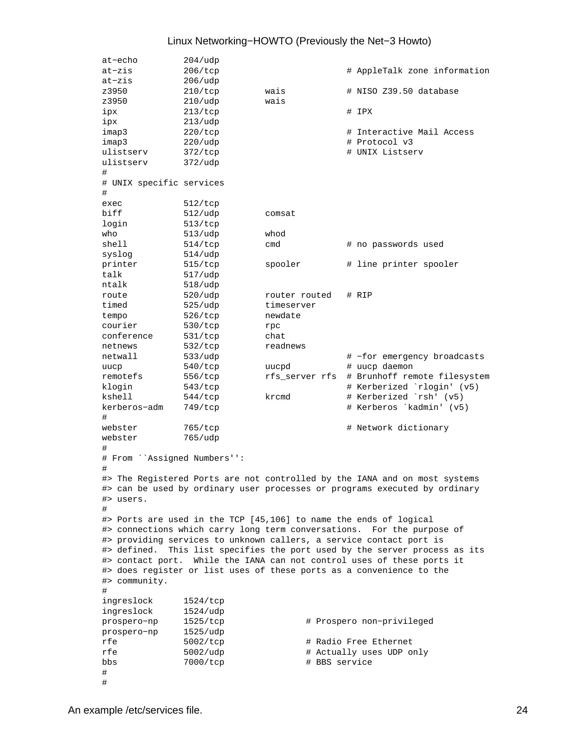| at-echo                  | 204/udp                      |                |                                                                                                                                                          |
|--------------------------|------------------------------|----------------|----------------------------------------------------------------------------------------------------------------------------------------------------------|
| at-zis                   | $206/$ tcp                   |                | # AppleTalk zone information                                                                                                                             |
| at-zis                   | 206/udp                      |                |                                                                                                                                                          |
| z3950                    | 210/top                      | wais           | # NISO Z39.50 database                                                                                                                                   |
| z3950                    | 210/udp                      | wais           |                                                                                                                                                          |
| ipx                      | 213/top                      |                | # IPX                                                                                                                                                    |
| ipx                      | 213/udp                      |                |                                                                                                                                                          |
| imap3                    | 220/top                      |                | # Interactive Mail Access                                                                                                                                |
| imap3                    | 220/udp                      |                | # Protocol v3                                                                                                                                            |
| ulistserv                | 372/top                      |                | # UNIX Listserv                                                                                                                                          |
| ulistserv                | $372/\text{udp}$             |                |                                                                                                                                                          |
| #                        |                              |                |                                                                                                                                                          |
| # UNIX specific services |                              |                |                                                                                                                                                          |
| #                        |                              |                |                                                                                                                                                          |
| exec                     | 512/top                      |                |                                                                                                                                                          |
| biff                     | $512/$ udp                   | comsat         |                                                                                                                                                          |
| login                    | 513/top                      |                |                                                                                                                                                          |
| who                      | 513/ udp                     | whod           |                                                                                                                                                          |
| shell                    | 514/top                      | cmd            | # no passwords used                                                                                                                                      |
| syslog                   | 514/udp                      |                |                                                                                                                                                          |
| printer                  | 515/top                      | spooler        | # line printer spooler                                                                                                                                   |
| talk                     | $517/$ udp                   |                |                                                                                                                                                          |
| ntalk                    | $518/\text{udp}$             |                |                                                                                                                                                          |
| route                    | 520/udp                      | router routed  | # RIP                                                                                                                                                    |
| timed                    | 525/udp                      | timeserver     |                                                                                                                                                          |
| tempo                    | 526/top                      | newdate        |                                                                                                                                                          |
| courier                  | 530/top                      | rpc            |                                                                                                                                                          |
| conference               | 531/top                      | chat           |                                                                                                                                                          |
| netnews                  | 532/top                      | readnews       |                                                                                                                                                          |
| netwall                  | 533/udp                      |                | # -for emergency broadcasts                                                                                                                              |
| uucp                     | 540/top                      | uucpd          | # uucp daemon                                                                                                                                            |
| remotefs                 | 556/tcp                      | rfs_server rfs | # Brunhoff remote filesystem                                                                                                                             |
| klogin                   | 543/tcp                      |                | # Kerberized `rlogin' (v5)                                                                                                                               |
| kshell                   | 544/tcp                      | krcmd          | # Kerberized 'rsh' (v5)                                                                                                                                  |
| kerberos-adm             | 749/tcp                      |                | # Kerberos 'kadmin' (v5)                                                                                                                                 |
| #                        |                              |                |                                                                                                                                                          |
| webster                  | 765/tcp                      |                | # Network dictionary                                                                                                                                     |
| webster                  | 765/udp                      |                |                                                                                                                                                          |
| #<br>$\#$<br>#> users.   | # From ``Assigned Numbers'': |                | #> The Registered Ports are not controlled by the IANA and on most systems<br>#> can be used by ordinary user processes or programs executed by ordinary |
| #                        |                              |                |                                                                                                                                                          |
|                          |                              |                | #> Ports are used in the TCP [45,106] to name the ends of logical                                                                                        |
|                          |                              |                | #> connections which carry long term conversations. For the purpose of                                                                                   |
|                          |                              |                | #> providing services to unknown callers, a service contact port is                                                                                      |
|                          |                              |                | #> defined. This list specifies the port used by the server process as its                                                                               |
|                          |                              |                | #> contact port. While the IANA can not control uses of these ports it                                                                                   |
| #> community.<br>#       |                              |                | #> does register or list uses of these ports as a convenience to the                                                                                     |
| ingreslock               | 1524/tcp                     |                |                                                                                                                                                          |
| ingreslock               | 1524/udp                     |                |                                                                                                                                                          |
| prospero-np              | 1525/tcp                     |                | # Prospero non-privileged                                                                                                                                |
| prospero-np              | 1525/udp                     |                |                                                                                                                                                          |
| rfe                      | $5002/\text{tcp}$            |                | # Radio Free Ethernet                                                                                                                                    |
| rfe                      | $5002/\text{udp}$            |                | # Actually uses UDP only                                                                                                                                 |
| bbs                      | 7000/tcp                     | # BBS service  |                                                                                                                                                          |
| $\#$                     |                              |                |                                                                                                                                                          |
| $_{\rm \#}$              |                              |                |                                                                                                                                                          |
|                          |                              |                |                                                                                                                                                          |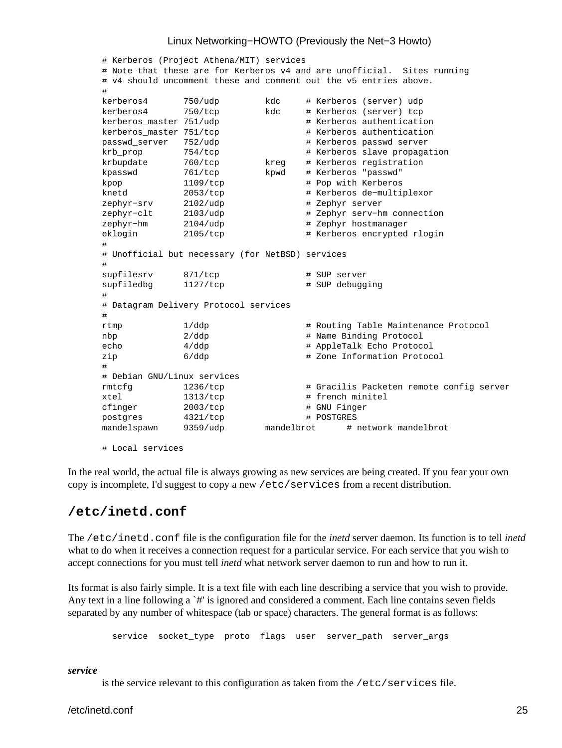```
# Kerberos (Project Athena/MIT) services
# Note that these are for Kerberos v4 and are unofficial. Sites running
# v4 should uncomment these and comment out the v5 entries above.
#
kerberos4 750/udp kdc # Kerberos (server) udp
kerberos4 750/tcp kdc # Kerberos (server) tcp
kerberos_master 751/udp # Kerberos authentication
kerberos_master 751/tcp # Kerberos authentication
passwd_server 752/udp # Kerberos passwd server
krb_prop     754/tcp           # Kerberos slave propagation
                        kreg # Kerberos registration<br>kpwd # Kerberos "passwd"
kpasswd 761/tcp kpwd # Kerberos "passwd"
kpop 1109/\text{tcp} # Pop with Kerberos
knetd 2053/tcp # Kerberos de−multiplexor
zephyr−srv 2102/udp # Zephyr server
                                zephyr−clt 2103/udp # Zephyr serv−hm connection
zephyr−hm 2104/udp # Zephyr hostmanager
                                # Kerberos encrypted rlogin
#
# Unofficial but necessary (for NetBSD) services
#
supfilesrv 871/tcp # SUP server
supfiledbg 1127/tcp # SUP debugging
#
# Datagram Delivery Protocol services
#
rtmp 1/ddp 1/ddp # Routing Table Maintenance Protocol
nbp 2/ddp # Name Binding Protocol
echo 4/\text{ddp} # AppleTalk Echo Protocol
zip 6/ddp # Zone Information Protocol
#
# Debian GNU/Linux services
rmtcfg 1236/tcp # Gracilis Packeten remote config server
xtel 1313/tcp # french minitel<br>cfinger 2003/tcp # GNU Finger
cfinger 2003/tcp # GNU Finger<br>postgres 4321/tcp # POSTGRES
            4321/tcp # POSTGRES<br>9359/udp mandelbrot # r
mandelspawn 9359/udp mandelbrot # network mandelbrot
# Local services
```
In the real world, the actual file is always growing as new services are being created. If you fear your own copy is incomplete, I'd suggest to copy a new /etc/services from a recent distribution.

### <span id="page-28-0"></span>**/etc/inetd.conf**

The /etc/inetd.conf file is the configuration file for the *inetd* server daemon. Its function is to tell *inetd* what to do when it receives a connection request for a particular service. For each service that you wish to accept connections for you must tell *inetd* what network server daemon to run and how to run it.

Its format is also fairly simple. It is a text file with each line describing a service that you wish to provide. Any text in a line following a `#' is ignored and considered a comment. Each line contains seven fields separated by any number of whitespace (tab or space) characters. The general format is as follows:

service socket\_type proto flags user server\_path server\_args

*service*

is the service relevant to this configuration as taken from the /etc/services file.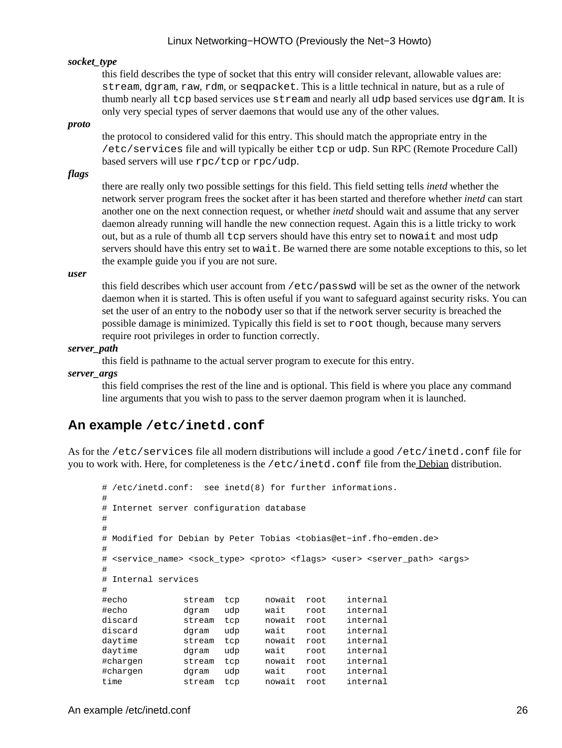#### *socket\_type*

this field describes the type of socket that this entry will consider relevant, allowable values are: stream, dgram, raw, rdm, or seqpacket. This is a little technical in nature, but as a rule of thumb nearly all tcp based services use stream and nearly all udp based services use dgram. It is only very special types of server daemons that would use any of the other values.

#### *proto*

the protocol to considered valid for this entry. This should match the appropriate entry in the /etc/services file and will typically be either tcp or udp. Sun RPC (Remote Procedure Call) based servers will use rpc/tcp or rpc/udp.

#### *flags*

there are really only two possible settings for this field. This field setting tells *inetd* whether the network server program frees the socket after it has been started and therefore whether *inetd* can start another one on the next connection request, or whether *inetd* should wait and assume that any server daemon already running will handle the new connection request. Again this is a little tricky to work out, but as a rule of thumb all tcp servers should have this entry set to nowait and most udp servers should have this entry set to wait. Be warned there are some notable exceptions to this, so let the example guide you if you are not sure.

*user*

this field describes which user account from /etc/passwd will be set as the owner of the network daemon when it is started. This is often useful if you want to safeguard against security risks. You can set the user of an entry to the nobody user so that if the network server security is breached the possible damage is minimized. Typically this field is set to root though, because many servers require root privileges in order to function correctly.

#### *server\_path*

this field is pathname to the actual server program to execute for this entry.

#### *server\_args*

this field comprises the rest of the line and is optional. This field is where you place any command line arguments that you wish to pass to the server daemon program when it is launched.

### <span id="page-29-0"></span>**An example /etc/inetd.conf**

As for the /etc/services file all modern distributions will include a good /etc/inetd.conf file for you to work with. Here, for completeness is the /etc/inetd.conf file from th[e Debian](http://www.debian.org/) distribution.

```
# /etc/inetd.conf: see inetd(8) for further informations.
#
# Internet server configuration database
#
#
# Modified for Debian by Peter Tobias <tobias@et−inf.fho−emden.de>
#
# <service name> <sock type> <proto> <flags> <user> <server path> <args>
#
# Internal services
#
#echo stream tcp nowait root internal
#echo dgram udp wait root internal
discard stream tcp nowait root internal
discard dgram udp wait root internal
daytime stream tcp nowait root internal
daytime dgram udp wait root internal
#chargen stream tcp nowait root internal
#chargen dgram udp wait root internal
time stream tcp nowait root internal
```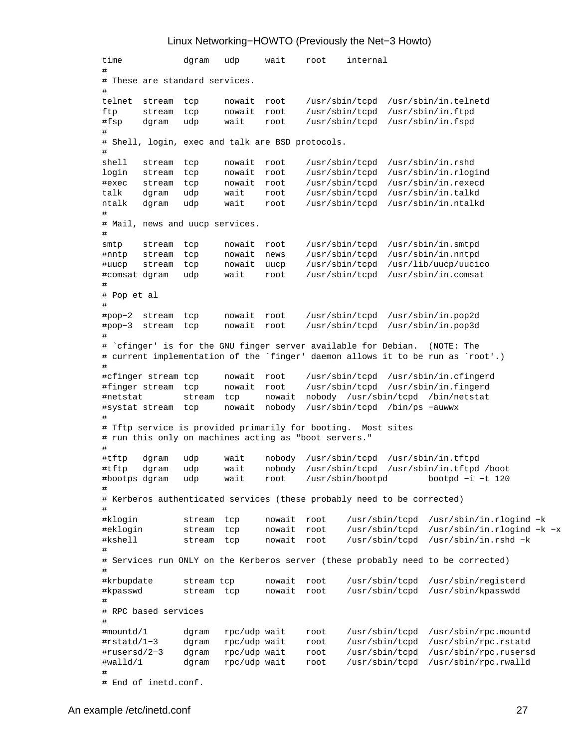time dgram udp wait root internal # # These are standard services. # telnet stream tcp nowait root /usr/sbin/tcpd /usr/sbin/in.telnetd ftp stream tcp nowait root /usr/sbin/tcpd /usr/sbin/in.ftpd #fsp dgram udp wait root /usr/sbin/tcpd /usr/sbin/in.fspd # # Shell, login, exec and talk are BSD protocols. # shell stream tcp nowait root /usr/sbin/tcpd /usr/sbin/in.rshd<br>login stream tcp nowait root /usr/sbin/tcpd /usr/sbin/in.rlog nowait root /usr/sbin/tcpd /usr/sbin/in.rlogind<br>nowait root /usr/sbin/tcpd /usr/sbin/in.rexecd #exec stream tcp nowait root /usr/sbin/tcpd /usr/sbin/in.rexecd talk dgram udp wait root /usr/sbin/tcpd /usr/sbin/in.talkd<br>ntalk dgram udp wait root /usr/sbin/tcpd /usr/sbin/in.ntalkd ntalk dgram udp wait root /usr/sbin/tcpd /usr/sbin/in.ntalkd # # Mail, news and uucp services. # smtp stream tcp nowait root /usr/sbin/tcpd /usr/sbin/in.smtpd #nntp stream tcp nowait news /usr/sbin/tcpd /usr/sbin/in.nntpd #uucp stream tcp nowait uucp /usr/sbin/tcpd /usr/lib/uucp/uucico #comsat dgram udp wait root /usr/sbin/tcpd /usr/sbin/in.comsat # # Pop et al # #pop−2 stream tcp nowait root /usr/sbin/tcpd /usr/sbin/in.pop2d #pop−3 stream tcp nowait root /usr/sbin/tcpd /usr/sbin/in.pop3d # # `cfinger' is for the GNU finger server available for Debian. (NOTE: The # current implementation of the `finger' daemon allows it to be run as `root'.) # #cfinger stream tcp nowait root /usr/sbin/tcpd /usr/sbin/in.cfingerd #finger stream tcp nowait root /usr/sbin/tcpd /usr/sbin/in.fingerd #netstat stream tcp nowait nobody /usr/sbin/tcpd /bin/netstat #systat stream tcp nowait nobody /usr/sbin/tcpd /bin/ps −auwwx # # Tftp service is provided primarily for booting. Most sites # run this only on machines acting as "boot servers." # #tftp dgram udp wait nobody /usr/sbin/tcpd /usr/sbin/in.tftpd #tftp dgram udp wait nobody /usr/sbin/tcpd /usr/sbin/in.tftpd /boot #bootps dgram udp wait root /usr/sbin/bootpd bootpd −i −t 120 # # Kerberos authenticated services (these probably need to be corrected) # #klogin stream tcp nowait root /usr/sbin/tcpd /usr/sbin/in.rlogind −k #eklogin stream tcp nowait root /usr/sbin/tcpd /usr/sbin/in.rlogind −k −x #kshell stream tcp nowait root /usr/sbin/tcpd /usr/sbin/in.rshd −k # # Services run ONLY on the Kerberos server (these probably need to be corrected) # #krbupdate stream tcp nowait root /usr/sbin/tcpd /usr/sbin/registerd #kpasswd stream tcp nowait root /usr/sbin/tcpd /usr/sbin/kpasswdd # # RPC based services # #mountd/1 dgram rpc/udp wait root /usr/sbin/tcpd /usr/sbin/rpc.mountd #rstatd/1−3 dgram rpc/udp wait root /usr/sbin/tcpd /usr/sbin/rpc.rstatd #rusersd/2−3 dgram rpc/udp wait root /usr/sbin/tcpd /usr/sbin/rpc.rusersd #walld/1 dgram rpc/udp wait root /usr/sbin/tcpd /usr/sbin/rpc.rwalld # # End of inetd.conf.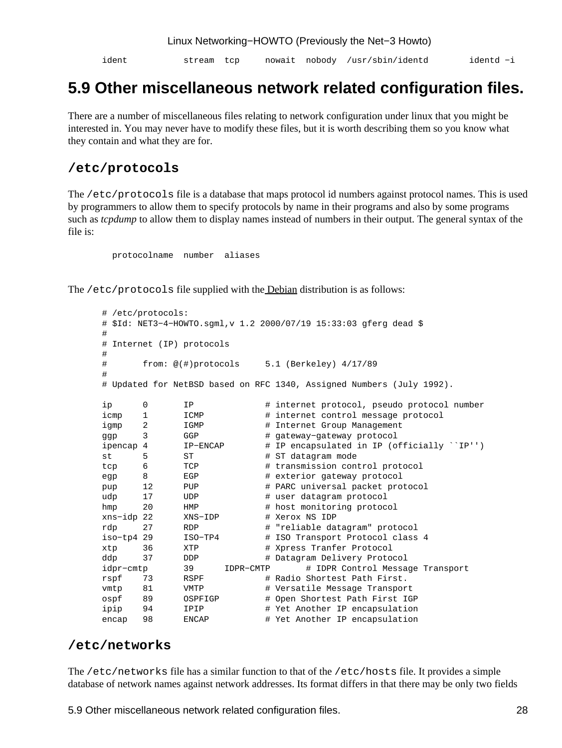ident stream tcp nowait nobody /usr/sbin/identd identd −i

## <span id="page-31-0"></span>**5.9 Other miscellaneous network related configuration files.**

There are a number of miscellaneous files relating to network configuration under linux that you might be interested in. You may never have to modify these files, but it is worth describing them so you know what they contain and what they are for.

### <span id="page-31-1"></span>**/etc/protocols**

The /etc/protocols file is a database that maps protocol id numbers against protocol names. This is used by programmers to allow them to specify protocols by name in their programs and also by some programs such as *tcpdump* to allow them to display names instead of numbers in their output. The general syntax of the file is:

protocolname number aliases

The /etc/protocols file supplied with th[e Debian](http://www.debian.org/) distribution is as follows:

```
# /etc/protocols:
# $Id: NET3−4−HOWTO.sgml,v 1.2 2000/07/19 15:33:03 gferg dead $
#
# Internet (IP) protocols
#
# from: @(#)protocols 5.1 (Berkeley) 4/17/89
#
# Updated for NetBSD based on RFC 1340, Assigned Numbers (July 1992).
ip 0 IP # internet protocol, pseudo protocol number<br>icmp 1 ICMP # internet control message protocol
icmp 1 ICMP # internet control message protocol<br>igmp 2 IGMP # Internet Group Management
igmp 2 IGMP # Internet Group Management
ggp 3 GGP # gateway-gateway protocol<br>ipencap 4 IP-ENCAP # IP encapsulated in IP (o
                 IP-ENCAP # IP encapsulated in IP (officially ``IP'')<br>
ST # ST datagram mode<br>
TCP # transmission control protocol<br>
EGP # exterior gateway protocol<br>
PUP # PARC universal packet protocol
st 5 ST # ST datagram mode<br>
tcp 6 TCP # transmission con<br>
egp 8 EGP # exterior gateway
tcp 6 TCP # transmission control protocol
egp 8 EGP # exterior gateway protocol
pup 12 PUP # PARC universal packet protocol<br>udp 17 UDP # user datagram protocol
udp 17 UDP # user datagram protocol<br>hmp 20 HMP # host monitoring protocol
hmp 20 HMP # host monitoring protocol<br>xns-idp 22 XNS-IDP # Xerox NS IDP
xns−idp 22 XNS−IDP # Xerox NS IDP
rdp 27 RDP # "reliable datagram" protocol<br>iso-tp4 29 ISO-TP4 # ISO Transport Protocol class
iso−tp4 29 ISO−TP4 # ISO Transport Protocol class 4
xtp 36 XTP # Xpress Tranfer Protocol<br>ddp 37 DDP # Datagram Delivery Proto
ddp 37 DDP # Datagram Delivery Protocol<br>idpr-cmtp 39 IDPR-CMTP # IDPR Control Messa
idpr−cmtp 39 IDPR−CMTP # IDPR Control Message Transport
rspf 73 RSPF # Radio Shortest Path First.<br>
vmtp 81 VMTP # Versatile Message Transpor<br>
ospf 89 OSPFIGP # Open Shortest Path First I<br>
ipip 94 IPIP # Yet Another IP encapsulati<br>
encap 98 ENCAP # Yet Another IP encapsulati
                                        # Versatile Message Transport
                                        # Open Shortest Path First IGP
                                        # Yet Another IP encapsulation
                                        # Yet Another IP encapsulation
```
### <span id="page-31-2"></span>**/etc/networks**

The /etc/networks file has a similar function to that of the /etc/hosts file. It provides a simple database of network names against network addresses. Its format differs in that there may be only two fields

5.9 Other miscellaneous network related configuration files. 28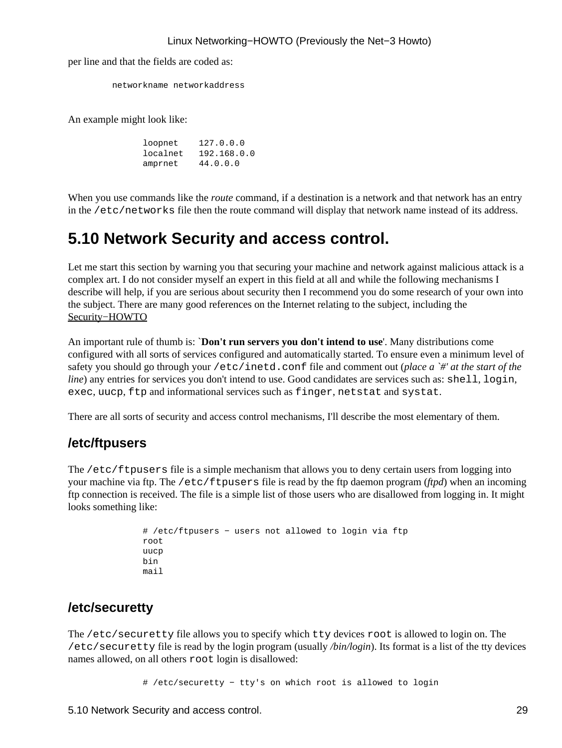per line and that the fields are coded as:

networkname networkaddress

An example might look like:

 loopnet 127.0.0.0 localnet 192.168.0.0 amprnet 44.0.0.0

When you use commands like the *route* command, if a destination is a network and that network has an entry in the /etc/networks file then the route command will display that network name instead of its address.

## <span id="page-32-0"></span>**5.10 Network Security and access control.**

Let me start this section by warning you that securing your machine and network against malicious attack is a complex art. I do not consider myself an expert in this field at all and while the following mechanisms I describe will help, if you are serious about security then I recommend you do some research of your own into the subject. There are many good references on the Internet relating to the subject, including the Security−HOWTO

An important rule of thumb is: `**Don't run servers you don't intend to use**'. Many distributions come configured with all sorts of services configured and automatically started. To ensure even a minimum level of safety you should go through your /etc/inetd.conf file and comment out (*place a `#' at the start of the line*) any entries for services you don't intend to use. Good candidates are services such as: shell, login, exec, uucp, ftp and informational services such as finger, netstat and systat.

There are all sorts of security and access control mechanisms, I'll describe the most elementary of them.

### <span id="page-32-1"></span>**/etc/ftpusers**

The /etc/ftpusers file is a simple mechanism that allows you to deny certain users from logging into your machine via ftp. The /etc/ftpusers file is read by the ftp daemon program (*ftpd*) when an incoming ftp connection is received. The file is a simple list of those users who are disallowed from logging in. It might looks something like:

```
 # /etc/ftpusers − users not allowed to login via ftp
 root
 uucp
 bin
 mail
```
## <span id="page-32-2"></span>**/etc/securetty**

The /etc/securetty file allows you to specify which tty devices root is allowed to login on. The /etc/securetty file is read by the login program (usually */bin/login*). Its format is a list of the tty devices names allowed, on all others root login is disallowed:

# /etc/securetty − tty's on which root is allowed to login

5.10 Network Security and access control. 29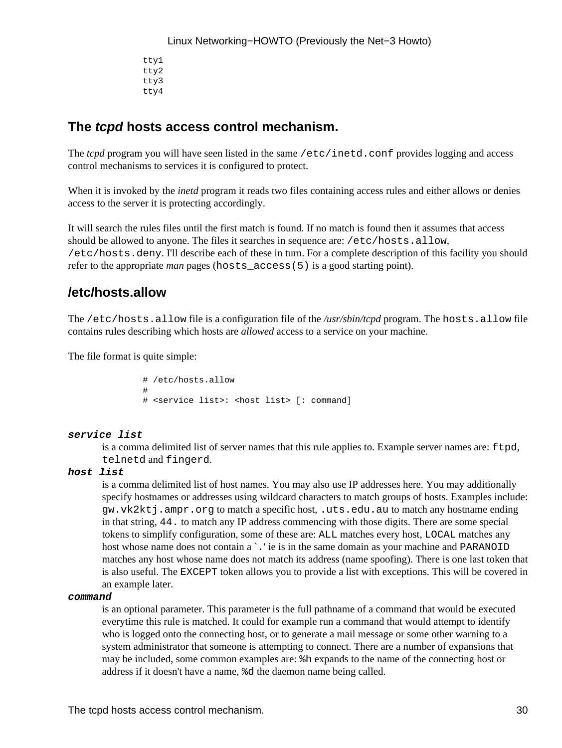tty1 tty2 tty3 tty4

### <span id="page-33-0"></span>**The tcpd hosts access control mechanism.**

The *tcpd* program you will have seen listed in the same /etc/inetd.conf provides logging and access control mechanisms to services it is configured to protect.

When it is invoked by the *inetd* program it reads two files containing access rules and either allows or denies access to the server it is protecting accordingly.

It will search the rules files until the first match is found. If no match is found then it assumes that access should be allowed to anyone. The files it searches in sequence are: /etc/hosts.allow, /etc/hosts.deny. I'll describe each of these in turn. For a complete description of this facility you should refer to the appropriate *man* pages (hosts\_access(5) is a good starting point).

### <span id="page-33-1"></span>**/etc/hosts.allow**

The /etc/hosts.allow file is a configuration file of the */usr/sbin/tcpd* program. The hosts.allow file contains rules describing which hosts are *allowed* access to a service on your machine.

The file format is quite simple:

 # /etc/hosts.allow # # <service list>: <host list> [: command]

#### **service list**

is a comma delimited list of server names that this rule applies to. Example server names are: ftpd, telnetd and fingerd.

#### **host list**

is a comma delimited list of host names. You may also use IP addresses here. You may additionally specify hostnames or addresses using wildcard characters to match groups of hosts. Examples include: gw.vk2ktj.ampr.org to match a specific host, .uts.edu.au to match any hostname ending in that string, 44. to match any IP address commencing with those digits. There are some special tokens to simplify configuration, some of these are: ALL matches every host, LOCAL matches any host whose name does not contain a `. ' ie is in the same domain as your machine and PARANOID matches any host whose name does not match its address (name spoofing). There is one last token that is also useful. The EXCEPT token allows you to provide a list with exceptions. This will be covered in an example later.

#### **command**

is an optional parameter. This parameter is the full pathname of a command that would be executed everytime this rule is matched. It could for example run a command that would attempt to identify who is logged onto the connecting host, or to generate a mail message or some other warning to a system administrator that someone is attempting to connect. There are a number of expansions that may be included, some common examples are: %h expands to the name of the connecting host or address if it doesn't have a name, %d the daemon name being called.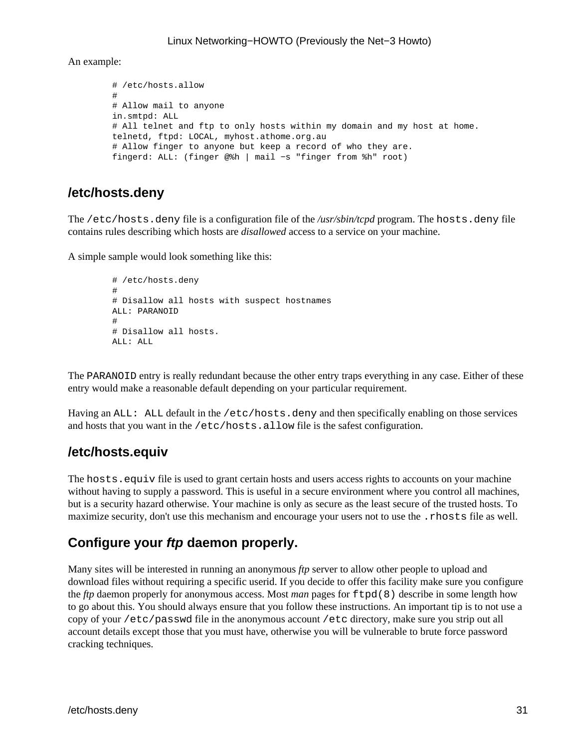An example:

```
 # /etc/hosts.allow
 #
 # Allow mail to anyone
 in.smtpd: ALL
 # All telnet and ftp to only hosts within my domain and my host at home.
 telnetd, ftpd: LOCAL, myhost.athome.org.au
 # Allow finger to anyone but keep a record of who they are.
 fingerd: ALL: (finger @%h | mail −s "finger from %h" root)
```
## <span id="page-34-0"></span>**/etc/hosts.deny**

The /etc/hosts.deny file is a configuration file of the */usr/sbin/tcpd* program. The hosts.deny file contains rules describing which hosts are *disallowed* access to a service on your machine.

A simple sample would look something like this:

```
 # /etc/hosts.deny
 #
 # Disallow all hosts with suspect hostnames
 ALL: PARANOID
 #
 # Disallow all hosts.
 ALL: ALL
```
The PARANOID entry is really redundant because the other entry traps everything in any case. Either of these entry would make a reasonable default depending on your particular requirement.

Having an ALL: ALL default in the /etc/hosts.deny and then specifically enabling on those services and hosts that you want in the /etc/hosts.allow file is the safest configuration.

## <span id="page-34-1"></span>**/etc/hosts.equiv**

The hosts.equiv file is used to grant certain hosts and users access rights to accounts on your machine without having to supply a password. This is useful in a secure environment where you control all machines, but is a security hazard otherwise. Your machine is only as secure as the least secure of the trusted hosts. To maximize security, don't use this mechanism and encourage your users not to use the .rhosts file as well.

## <span id="page-34-2"></span>**Configure your ftp daemon properly.**

Many sites will be interested in running an anonymous *ftp* server to allow other people to upload and download files without requiring a specific userid. If you decide to offer this facility make sure you configure the *ftp* daemon properly for anonymous access. Most *man* pages for ftpd(8) describe in some length how to go about this. You should always ensure that you follow these instructions. An important tip is to not use a copy of your /etc/passwd file in the anonymous account /etc directory, make sure you strip out all account details except those that you must have, otherwise you will be vulnerable to brute force password cracking techniques.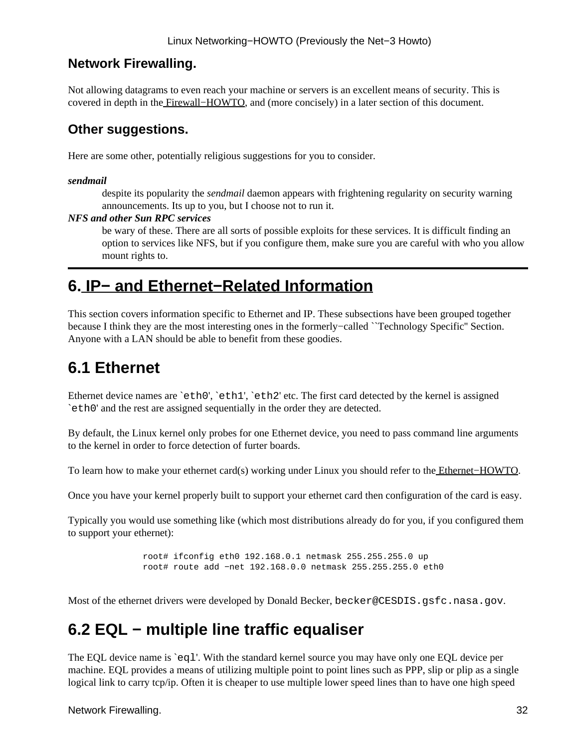### <span id="page-35-0"></span>**Network Firewalling.**

Not allowing datagrams to even reach your machine or servers is an excellent means of security. This is covered in depth in the Firewall−HOWTO, and (more concisely) in a later section of this document.

### <span id="page-35-1"></span>**Other suggestions.**

Here are some other, potentially religious suggestions for you to consider.

#### *sendmail*

despite its popularity the *sendmail* daemon appears with frightening regularity on security warning announcements. Its up to you, but I choose not to run it.

#### *NFS and other Sun RPC services*

be wary of these. There are all sorts of possible exploits for these services. It is difficult finding an option to services like NFS, but if you configure them, make sure you are careful with who you allow mount rights to.

## <span id="page-35-2"></span>**6[. IP− and Ethernet−Related Information](#page-5-0)**

This section covers information specific to Ethernet and IP. These subsections have been grouped together because I think they are the most interesting ones in the formerly−called ``Technology Specific'' Section. Anyone with a LAN should be able to benefit from these goodies.

## <span id="page-35-3"></span>**6.1 Ethernet**

Ethernet device names are `eth0', `eth1', `eth2' etc. The first card detected by the kernel is assigned `eth0' and the rest are assigned sequentially in the order they are detected.

By default, the Linux kernel only probes for one Ethernet device, you need to pass command line arguments to the kernel in order to force detection of furter boards.

To learn how to make your ethernet card(s) working under Linux you should refer to the Ethernet−HOWTO.

Once you have your kernel properly built to support your ethernet card then configuration of the card is easy.

Typically you would use something like (which most distributions already do for you, if you configured them to support your ethernet):

> root# ifconfig eth0 192.168.0.1 netmask 255.255.255.0 up root# route add −net 192.168.0.0 netmask 255.255.255.0 eth0

Most of the ethernet drivers were developed by Donald Becker, becker@CESDIS.gsfc.nasa.gov.

## <span id="page-35-4"></span>**6.2 EQL − multiple line traffic equaliser**

The EQL device name is `eql'. With the standard kernel source you may have only one EQL device per machine. EQL provides a means of utilizing multiple point to point lines such as PPP, slip or plip as a single logical link to carry tcp/ip. Often it is cheaper to use multiple lower speed lines than to have one high speed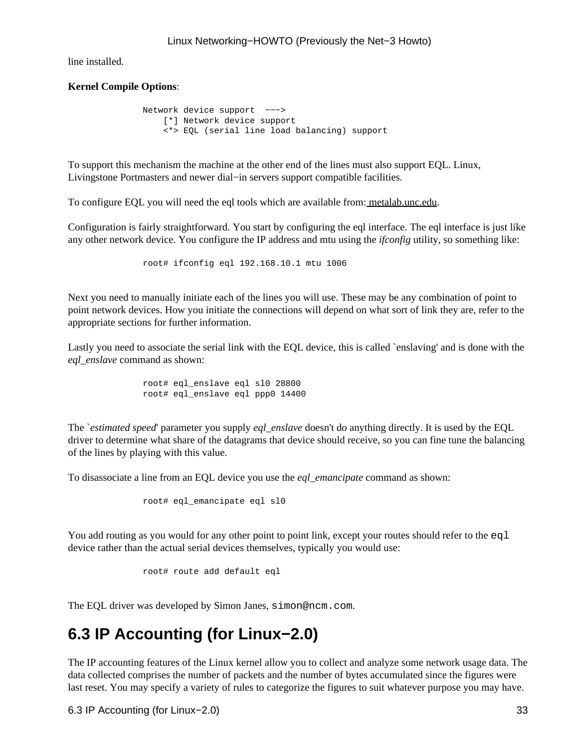line installed.

#### **Kernel Compile Options**:

```
 Network device support −−−>
     [*] Network device support
     <*> EQL (serial line load balancing) support
```
To support this mechanism the machine at the other end of the lines must also support EQL. Linux, Livingstone Portmasters and newer dial−in servers support compatible facilities.

To configure EQL you will need the eql tools which are available from: [metalab.unc.edu.](ftp://metalab.unc.edu/pub/linux/system/Serial/eql-1.2.tar.gz)

Configuration is fairly straightforward. You start by configuring the eql interface. The eql interface is just like any other network device. You configure the IP address and mtu using the *ifconfig* utility, so something like:

root# ifconfig eql 192.168.10.1 mtu 1006

Next you need to manually initiate each of the lines you will use. These may be any combination of point to point network devices. How you initiate the connections will depend on what sort of link they are, refer to the appropriate sections for further information.

Lastly you need to associate the serial link with the EQL device, this is called `enslaving' and is done with the *eql\_enslave* command as shown:

> root# eql\_enslave eql sl0 28800 root# eql\_enslave eql ppp0 14400

The `*estimated speed*' parameter you supply *eql\_enslave* doesn't do anything directly. It is used by the EQL driver to determine what share of the datagrams that device should receive, so you can fine tune the balancing of the lines by playing with this value.

To disassociate a line from an EQL device you use the *eql\_emancipate* command as shown:

root# eql\_emancipate eql sl0

You add routing as you would for any other point to point link, except your routes should refer to the eql device rather than the actual serial devices themselves, typically you would use:

root# route add default eql

The EQL driver was developed by Simon Janes, simon@ncm.com.

# **6.3 IP Accounting (for Linux−2.0)**

The IP accounting features of the Linux kernel allow you to collect and analyze some network usage data. The data collected comprises the number of packets and the number of bytes accumulated since the figures were last reset. You may specify a variety of rules to categorize the figures to suit whatever purpose you may have.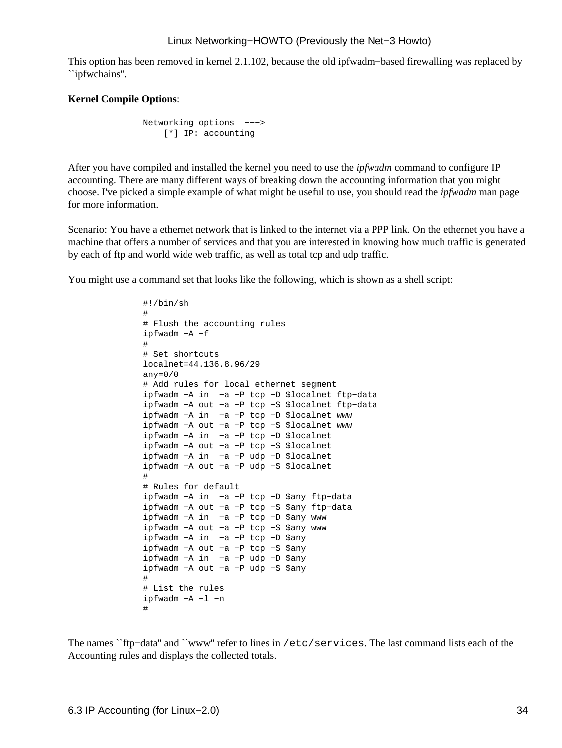This option has been removed in kernel 2.1.102, because the old ipfwadm−based firewalling was replaced by ``ipfwchains''.

#### **Kernel Compile Options**:

 Networking options −−−> [\*] IP: accounting

After you have compiled and installed the kernel you need to use the *ipfwadm* command to configure IP accounting. There are many different ways of breaking down the accounting information that you might choose. I've picked a simple example of what might be useful to use, you should read the *ipfwadm* man page for more information.

Scenario: You have a ethernet network that is linked to the internet via a PPP link. On the ethernet you have a machine that offers a number of services and that you are interested in knowing how much traffic is generated by each of ftp and world wide web traffic, as well as total tcp and udp traffic.

You might use a command set that looks like the following, which is shown as a shell script:

```
 #!/bin/sh
 #
        # Flush the accounting rules
        ipfwadm −A −f
 #
        # Set shortcuts
        localnet=44.136.8.96/29
       any=0/0 # Add rules for local ethernet segment
        ipfwadm −A in −a −P tcp −D $localnet ftp−data
        ipfwadm −A out −a −P tcp −S $localnet ftp−data
        ipfwadm −A in −a −P tcp −D $localnet www
        ipfwadm −A out −a −P tcp −S $localnet www
        ipfwadm −A in −a −P tcp −D $localnet
        ipfwadm −A out −a −P tcp −S $localnet
        ipfwadm −A in −a −P udp −D $localnet
        ipfwadm −A out −a −P udp −S $localnet
 #
        # Rules for default
        ipfwadm −A in −a −P tcp −D $any ftp−data
        ipfwadm −A out −a −P tcp −S $any ftp−data
        ipfwadm −A in −a −P tcp −D $any www
        ipfwadm −A out −a −P tcp −S $any www
        ipfwadm −A in −a −P tcp −D $any
        ipfwadm −A out −a −P tcp −S $any
        ipfwadm −A in −a −P udp −D $any
        ipfwadm −A out −a −P udp −S $any
 #
        # List the rules
        ipfwadm −A −l −n
 #
```
The names ``ftp−data'' and ``www'' refer to lines in /etc/services. The last command lists each of the Accounting rules and displays the collected totals.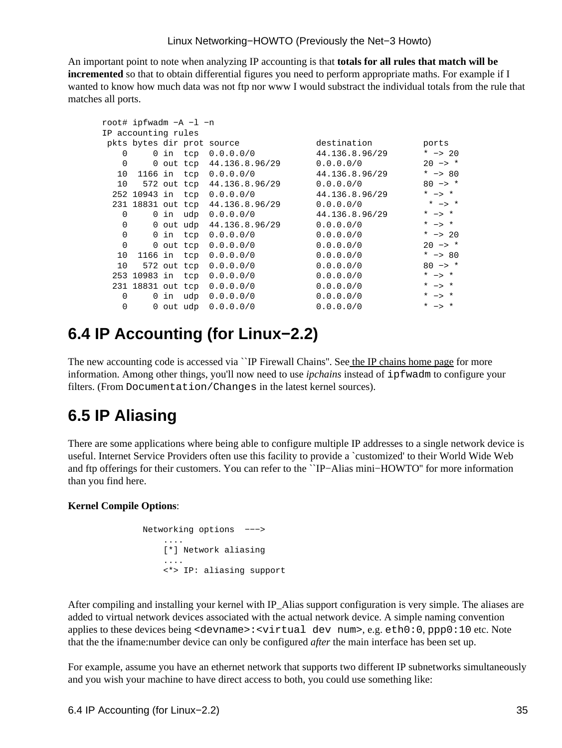An important point to note when analyzing IP accounting is that **totals for all rules that match will be incremented** so that to obtain differential figures you need to perform appropriate maths. For example if I wanted to know how much data was not ftp nor www I would substract the individual totals from the rule that matches all ports.

|    |                              |                                                                                                                                                                                                                                      | destination                                                                                           | ports                 |
|----|------------------------------|--------------------------------------------------------------------------------------------------------------------------------------------------------------------------------------------------------------------------------------|-------------------------------------------------------------------------------------------------------|-----------------------|
|    |                              | 0.0.0.0/0                                                                                                                                                                                                                            | 44.136.8.96/29                                                                                        | * $\rightarrow$ 20    |
|    |                              |                                                                                                                                                                                                                                      | 0.0.0.0/0                                                                                             | $20 -> *$             |
| 10 |                              |                                                                                                                                                                                                                                      | 44.136.8.96/29                                                                                        | $* - > 80$            |
|    |                              |                                                                                                                                                                                                                                      | 0.0.0.0/0                                                                                             | $80 -> *$             |
|    |                              | 0.0.0.0/0                                                                                                                                                                                                                            | 44.136.8.96/29                                                                                        | * -> *                |
|    |                              | 44.136.8.96/29                                                                                                                                                                                                                       | 0.0.0.0/0                                                                                             | $* \rightarrow *$     |
|    |                              | 0.0.0.0/0                                                                                                                                                                                                                            | 44.136.8.96/29                                                                                        | $*$ $\rightarrow$ $*$ |
|    |                              | 44.136.8.96/29                                                                                                                                                                                                                       | 0.0.0.0/0                                                                                             | $*$ $\rightarrow$ $*$ |
|    |                              | 0.0.0.0/0                                                                                                                                                                                                                            | 0.0.0.0/0                                                                                             | $* \rightarrow 20$    |
|    |                              | 0.0.0.0/0                                                                                                                                                                                                                            | 0.0.0.0/0                                                                                             | $20 - y$ *            |
|    |                              | 0.0.0.0/0                                                                                                                                                                                                                            | 0.0.0.0/0                                                                                             | $* - > 80$            |
|    |                              | 0.0.0.0/0                                                                                                                                                                                                                            | 0.0.0.0/0                                                                                             | $80 -> *$             |
|    | tcp                          | 0.0.0.0/0                                                                                                                                                                                                                            | 0.0.0.0/0                                                                                             | $*$ $\rightarrow$ $*$ |
|    |                              | 0.0.0.0/0                                                                                                                                                                                                                            | 0.0.0.0/0                                                                                             | $*$ $\rightarrow$ $*$ |
|    | udp                          | 0.0.0.0/0                                                                                                                                                                                                                            | 0.0.0.0/0                                                                                             | $*$ $\rightarrow$ $*$ |
|    |                              | 0.0.0.0/0                                                                                                                                                                                                                            | 0.0.0.0/0                                                                                             | $* \rightarrow *$     |
|    | 0 in<br>253 10983 in<br>0 in | IP accounting rules<br>0 in tcp<br>0 out tcp<br>$1166$ in tcp<br>572 out tcp<br>252 10943 in tcp<br>231 18831 out tcp<br>udp<br>0 out udp<br>0 in tcp<br>0 out tcp<br>$1166$ in tcp<br>572 out tcp<br>231 18831 out tcp<br>0 out udp | root# ipfwadm −A −l −n<br>pkts bytes dir prot source<br>44.136.8.96/29<br>0.0.0.0/0<br>44.136.8.96/29 |                       |

# **6.4 IP Accounting (for Linux−2.2)**

The new accounting code is accessed via "IP Firewall Chains". Se[e the IP chains home page](http://www.adelaide.net.au/~rustcorp/ipfwchains/ipfwchains.html) for more information. Among other things, you'll now need to use *ipchains* instead of ipfwadm to configure your filters. (From Documentation/Changes in the latest kernel sources).

# **6.5 IP Aliasing**

There are some applications where being able to configure multiple IP addresses to a single network device is useful. Internet Service Providers often use this facility to provide a `customized' to their World Wide Web and ftp offerings for their customers. You can refer to the ``IP−Alias mini−HOWTO'' for more information than you find here.

#### **Kernel Compile Options**:

```
 Networking options −−−>
 ....
            [*] Network aliasing
            ....
            <*> IP: aliasing support
```
After compiling and installing your kernel with IP\_Alias support configuration is very simple. The aliases are added to virtual network devices associated with the actual network device. A simple naming convention applies to these devices being <devname>:<virtual dev num>, e.g. eth0:0, ppp0:10 etc. Note that the the ifname:number device can only be configured *after* the main interface has been set up.

For example, assume you have an ethernet network that supports two different IP subnetworks simultaneously and you wish your machine to have direct access to both, you could use something like: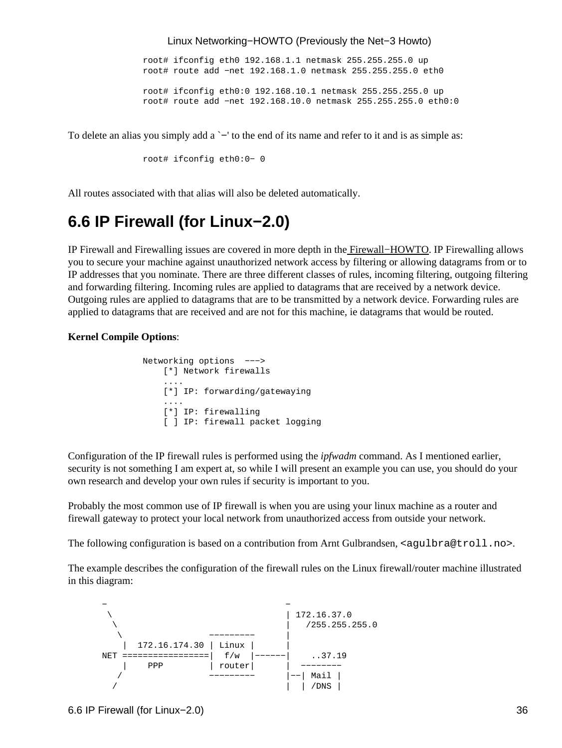root# ifconfig eth0 192.168.1.1 netmask 255.255.255.0 up root# route add −net 192.168.1.0 netmask 255.255.255.0 eth0 root# ifconfig eth0:0 192.168.10.1 netmask 255.255.255.0 up root# route add −net 192.168.10.0 netmask 255.255.255.0 eth0:0

To delete an alias you simply add a `−' to the end of its name and refer to it and is as simple as:

root# ifconfig eth0:0− 0

All routes associated with that alias will also be deleted automatically.

# **6.6 IP Firewall (for Linux−2.0)**

IP Firewall and Firewalling issues are covered in more depth in the Firewall−HOWTO. IP Firewalling allows you to secure your machine against unauthorized network access by filtering or allowing datagrams from or to IP addresses that you nominate. There are three different classes of rules, incoming filtering, outgoing filtering and forwarding filtering. Incoming rules are applied to datagrams that are received by a network device. Outgoing rules are applied to datagrams that are to be transmitted by a network device. Forwarding rules are applied to datagrams that are received and are not for this machine, ie datagrams that would be routed.

#### **Kernel Compile Options**:

```
 Networking options −−−>
    [*] Network firewalls
     ....
    [*] IP: forwarding/gatewaying
     ....
    [*] IP: firewalling
     [ ] IP: firewall packet logging
```
Configuration of the IP firewall rules is performed using the *ipfwadm* command. As I mentioned earlier, security is not something I am expert at, so while I will present an example you can use, you should do your own research and develop your own rules if security is important to you.

Probably the most common use of IP firewall is when you are using your linux machine as a router and firewall gateway to protect your local network from unauthorized access from outside your network.

The following configuration is based on a contribution from Arnt Gulbrandsen,  $\alpha$  and  $\beta$  and  $\alpha$ .

The example describes the configuration of the firewall rules on the Linux firewall/router machine illustrated in this diagram:

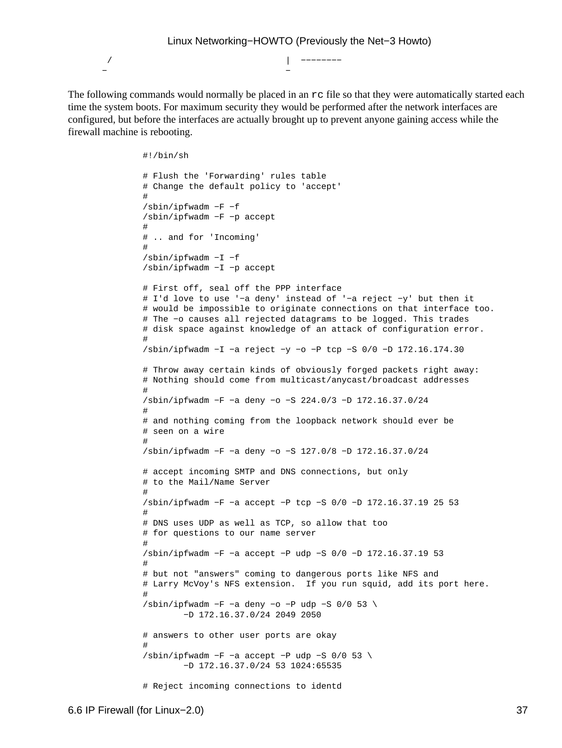− −

/ | −−−−−−−−

The following commands would normally be placed in an  $rc$  file so that they were automatically started each time the system boots. For maximum security they would be performed after the network interfaces are configured, but before the interfaces are actually brought up to prevent anyone gaining access while the firewall machine is rebooting.

 #!/bin/sh # Flush the 'Forwarding' rules table # Change the default policy to 'accept' # /sbin/ipfwadm −F −f /sbin/ipfwadm −F −p accept # # .. and for 'Incoming' # /sbin/ipfwadm −I −f /sbin/ipfwadm −I −p accept # First off, seal off the PPP interface # I'd love to use '−a deny' instead of '−a reject −y' but then it # would be impossible to originate connections on that interface too. # The −o causes all rejected datagrams to be logged. This trades # disk space against knowledge of an attack of configuration error. # /sbin/ipfwadm −I −a reject −y −o −P tcp −S 0/0 −D 172.16.174.30 # Throw away certain kinds of obviously forged packets right away: # Nothing should come from multicast/anycast/broadcast addresses # /sbin/ipfwadm −F −a deny −o −S 224.0/3 −D 172.16.37.0/24 # # and nothing coming from the loopback network should ever be # seen on a wire # /sbin/ipfwadm −F −a deny −o −S 127.0/8 −D 172.16.37.0/24 # accept incoming SMTP and DNS connections, but only # to the Mail/Name Server # /sbin/ipfwadm −F −a accept −P tcp −S 0/0 −D 172.16.37.19 25 53 # # DNS uses UDP as well as TCP, so allow that too # for questions to our name server # /sbin/ipfwadm −F −a accept −P udp −S 0/0 −D 172.16.37.19 53 # # but not "answers" coming to dangerous ports like NFS and # Larry McVoy's NFS extension. If you run squid, add its port here. # /sbin/ipfwadm −F −a deny −o −P udp −S 0/0 53 \ −D 172.16.37.0/24 2049 2050 # answers to other user ports are okay # /sbin/ipfwadm −F −a accept −P udp −S 0/0 53 \ −D 172.16.37.0/24 53 1024:65535 # Reject incoming connections to identd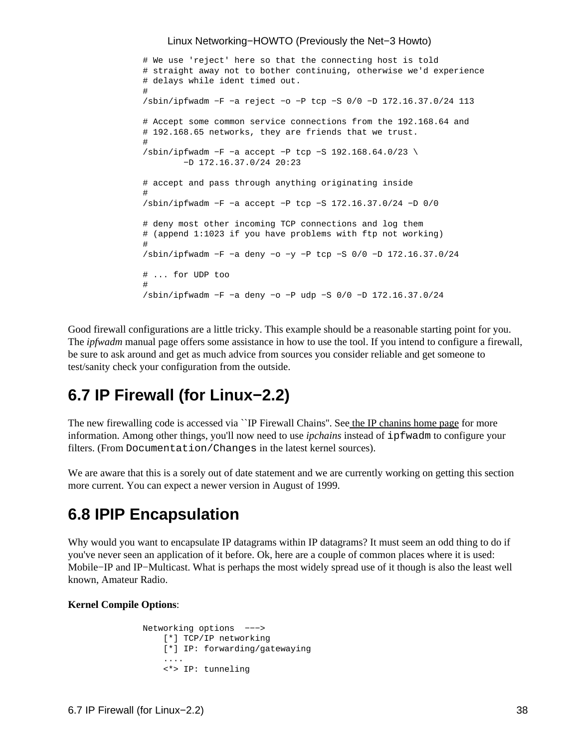```
 # We use 'reject' here so that the connecting host is told
        # straight away not to bother continuing, otherwise we'd experience
        # delays while ident timed out.
 #
        /sbin/ipfwadm −F −a reject −o −P tcp −S 0/0 −D 172.16.37.0/24 113
        # Accept some common service connections from the 192.168.64 and
        # 192.168.65 networks, they are friends that we trust.
 #
        /sbin/ipfwadm −F −a accept −P tcp −S 192.168.64.0/23 \
                −D 172.16.37.0/24 20:23
        # accept and pass through anything originating inside
        #
        /sbin/ipfwadm −F −a accept −P tcp −S 172.16.37.0/24 −D 0/0
       # deny most other incoming TCP connections and log them
        # (append 1:1023 if you have problems with ftp not working)
 #
        /sbin/ipfwadm −F −a deny −o −y −P tcp −S 0/0 −D 172.16.37.0/24
        # ... for UDP too
        #
        /sbin/ipfwadm −F −a deny −o −P udp −S 0/0 −D 172.16.37.0/24
```
Good firewall configurations are a little tricky. This example should be a reasonable starting point for you. The *ipfwadm* manual page offers some assistance in how to use the tool. If you intend to configure a firewall, be sure to ask around and get as much advice from sources you consider reliable and get someone to test/sanity check your configuration from the outside.

# **6.7 IP Firewall (for Linux−2.2)**

The new firewalling code is accessed via ``IP Firewall Chains''. Se[e the IP chanins home page](http://www.adelaide.net.au/~rustcorp/ipfwchains/ipfwchains.html) for more information. Among other things, you'll now need to use *ipchains* instead of ipfwadm to configure your filters. (From Documentation/Changes in the latest kernel sources).

We are aware that this is a sorely out of date statement and we are currently working on getting this section more current. You can expect a newer version in August of 1999.

## **6.8 IPIP Encapsulation**

Why would you want to encapsulate IP datagrams within IP datagrams? It must seem an odd thing to do if you've never seen an application of it before. Ok, here are a couple of common places where it is used: Mobile–IP and IP–Multicast. What is perhaps the most widely spread use of it though is also the least well known, Amateur Radio.

#### **Kernel Compile Options**:

```
 Networking options −−−>
     [*] TCP/IP networking
     [*] IP: forwarding/gatewaying
     ....
     <*> IP: tunneling
```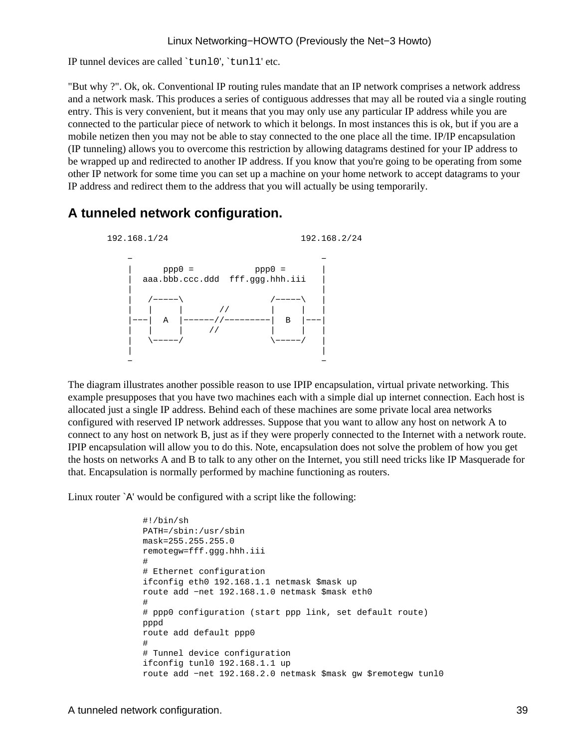IP tunnel devices are called `tunl0', `tunl1' etc.

"But why ?". Ok, ok. Conventional IP routing rules mandate that an IP network comprises a network address and a network mask. This produces a series of contiguous addresses that may all be routed via a single routing entry. This is very convenient, but it means that you may only use any particular IP address while you are connected to the particular piece of network to which it belongs. In most instances this is ok, but if you are a mobile netizen then you may not be able to stay connected to the one place all the time. IP/IP encapsulation (IP tunneling) allows you to overcome this restriction by allowing datagrams destined for your IP address to be wrapped up and redirected to another IP address. If you know that you're going to be operating from some other IP network for some time you can set up a machine on your home network to accept datagrams to your IP address and redirect them to the address that you will actually be using temporarily.

### **A tunneled network configuration.**



The diagram illustrates another possible reason to use IPIP encapsulation, virtual private networking. This example presupposes that you have two machines each with a simple dial up internet connection. Each host is allocated just a single IP address. Behind each of these machines are some private local area networks configured with reserved IP network addresses. Suppose that you want to allow any host on network A to connect to any host on network B, just as if they were properly connected to the Internet with a network route. IPIP encapsulation will allow you to do this. Note, encapsulation does not solve the problem of how you get the hosts on networks A and B to talk to any other on the Internet, you still need tricks like IP Masquerade for that. Encapsulation is normally performed by machine functioning as routers.

Linux router `A' would be configured with a script like the following:

```
 #!/bin/sh
        PATH=/sbin:/usr/sbin
        mask=255.255.255.0
        remotegw=fff.ggg.hhh.iii
        #
        # Ethernet configuration
        ifconfig eth0 192.168.1.1 netmask $mask up
        route add −net 192.168.1.0 netmask $mask eth0
 #
        # ppp0 configuration (start ppp link, set default route)
        pppd
        route add default ppp0
 #
        # Tunnel device configuration
        ifconfig tunl0 192.168.1.1 up
        route add −net 192.168.2.0 netmask $mask gw $remotegw tunl0
```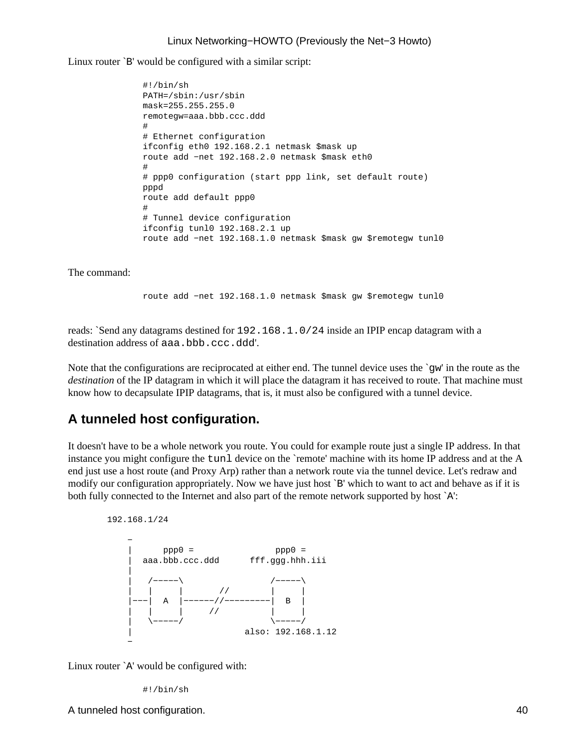Linux router `B' would be configured with a similar script:

```
 #!/bin/sh
        PATH=/sbin:/usr/sbin
        mask=255.255.255.0
        remotegw=aaa.bbb.ccc.ddd
        #
        # Ethernet configuration
        ifconfig eth0 192.168.2.1 netmask $mask up
        route add −net 192.168.2.0 netmask $mask eth0
 #
         # ppp0 configuration (start ppp link, set default route)
        pppd
        route add default ppp0
        #
         # Tunnel device configuration
         ifconfig tunl0 192.168.2.1 up
         route add −net 192.168.1.0 netmask $mask gw $remotegw tunl0
```
The command:

route add −net 192.168.1.0 netmask \$mask gw \$remotegw tunl0

reads: `Send any datagrams destined for 192.168.1.0/24 inside an IPIP encap datagram with a destination address of aaa.bbb.ccc.ddd'.

Note that the configurations are reciprocated at either end. The tunnel device uses the `gw' in the route as the *destination* of the IP datagram in which it will place the datagram it has received to route. That machine must know how to decapsulate IPIP datagrams, that is, it must also be configured with a tunnel device.

### **A tunneled host configuration.**

It doesn't have to be a whole network you route. You could for example route just a single IP address. In that instance you might configure the tunl device on the 'remote' machine with its home IP address and at the A end just use a host route (and Proxy Arp) rather than a network route via the tunnel device. Let's redraw and modify our configuration appropriately. Now we have just host `B' which to want to act and behave as if it is both fully connected to the Internet and also part of the remote network supported by host `A':

```
 192.168.1/24
```


Linux router `A' would be configured with:

#!/bin/sh

A tunneled host configuration. 40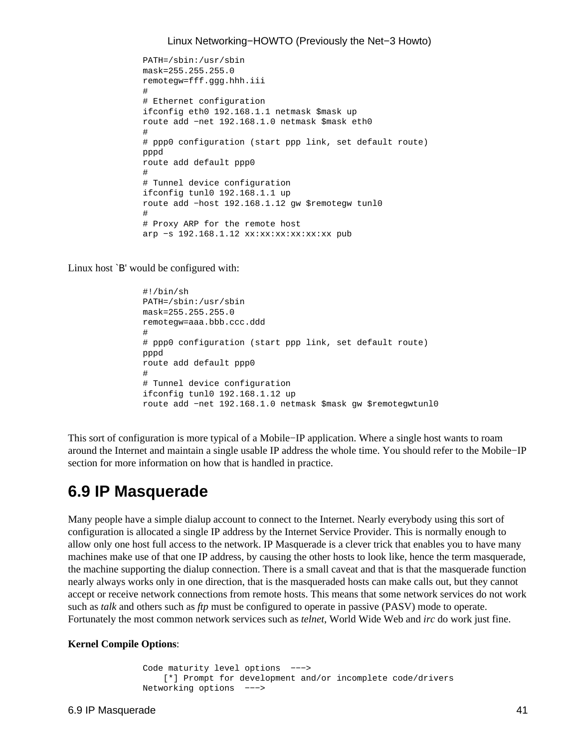```
 PATH=/sbin:/usr/sbin
        mask=255.255.255.0
        remotegw=fff.ggg.hhh.iii
 #
        # Ethernet configuration
        ifconfig eth0 192.168.1.1 netmask $mask up
        route add −net 192.168.1.0 netmask $mask eth0
 #
        # ppp0 configuration (start ppp link, set default route)
        pppd
        route add default ppp0
 #
        # Tunnel device configuration
        ifconfig tunl0 192.168.1.1 up
        route add −host 192.168.1.12 gw $remotegw tunl0
 #
        # Proxy ARP for the remote host
        arp −s 192.168.1.12 xx:xx:xx:xx:xx:xx pub
```
Linux host `B' would be configured with:

```
 #!/bin/sh
        PATH=/sbin:/usr/sbin
        mask=255.255.255.0
        remotegw=aaa.bbb.ccc.ddd 
 #
        # ppp0 configuration (start ppp link, set default route)
        pppd
        route add default ppp0
 #
        # Tunnel device configuration
        ifconfig tunl0 192.168.1.12 up
        route add −net 192.168.1.0 netmask $mask gw $remotegwtunl0
```
This sort of configuration is more typical of a Mobile−IP application. Where a single host wants to roam around the Internet and maintain a single usable IP address the whole time. You should refer to the Mobile−IP section for more information on how that is handled in practice.

# **6.9 IP Masquerade**

Many people have a simple dialup account to connect to the Internet. Nearly everybody using this sort of configuration is allocated a single IP address by the Internet Service Provider. This is normally enough to allow only one host full access to the network. IP Masquerade is a clever trick that enables you to have many machines make use of that one IP address, by causing the other hosts to look like, hence the term masquerade, the machine supporting the dialup connection. There is a small caveat and that is that the masquerade function nearly always works only in one direction, that is the masqueraded hosts can make calls out, but they cannot accept or receive network connections from remote hosts. This means that some network services do not work such as *talk* and others such as *ftp* must be configured to operate in passive (PASV) mode to operate. Fortunately the most common network services such as *telnet*, World Wide Web and *irc* do work just fine.

#### **Kernel Compile Options**:

```
 Code maturity level options −−−>
     [*] Prompt for development and/or incomplete code/drivers
 Networking options −−−>
```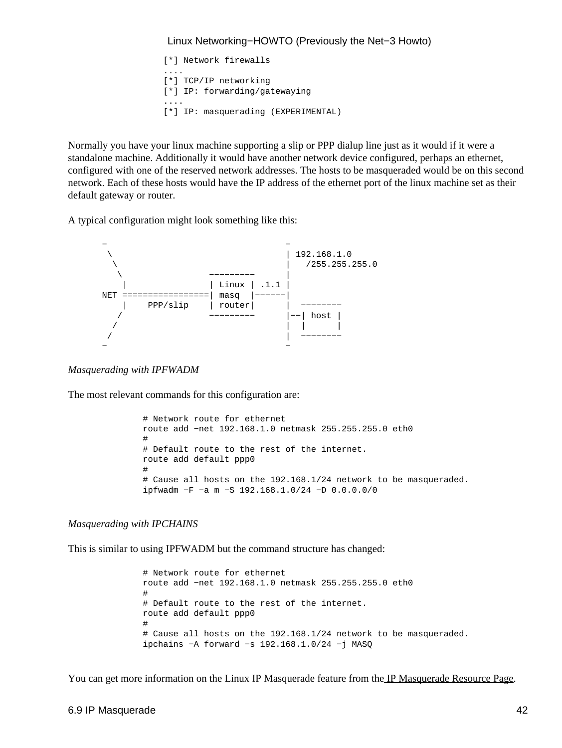```
 [*] Network firewalls
 ....
           [*] TCP/IP networking
           [*] IP: forwarding/gatewaying
 ....
           [*] IP: masquerading (EXPERIMENTAL)
```
Normally you have your linux machine supporting a slip or PPP dialup line just as it would if it were a standalone machine. Additionally it would have another network device configured, perhaps an ethernet, configured with one of the reserved network addresses. The hosts to be masqueraded would be on this second network. Each of these hosts would have the IP address of the ethernet port of the linux machine set as their default gateway or router.

A typical configuration might look something like this:



#### *Masquerading with IPFWADM*

The most relevant commands for this configuration are:

 # Network route for ethernet route add −net 192.168.1.0 netmask 255.255.255.0 eth0 # # Default route to the rest of the internet. route add default ppp0 # # Cause all hosts on the 192.168.1/24 network to be masqueraded. ipfwadm −F −a m −S 192.168.1.0/24 −D 0.0.0.0/0

#### *Masquerading with IPCHAINS*

This is similar to using IPFWADM but the command structure has changed:

 # Network route for ethernet route add −net 192.168.1.0 netmask 255.255.255.0 eth0 # # Default route to the rest of the internet. route add default ppp0 # # Cause all hosts on the 192.168.1/24 network to be masqueraded. ipchains −A forward −s 192.168.1.0/24 −j MASQ

You can get more information on the Linux IP Masquerade feature from the [IP Masquerade Resource Page.](http://www.hwy401.com/achau/ipmasq/)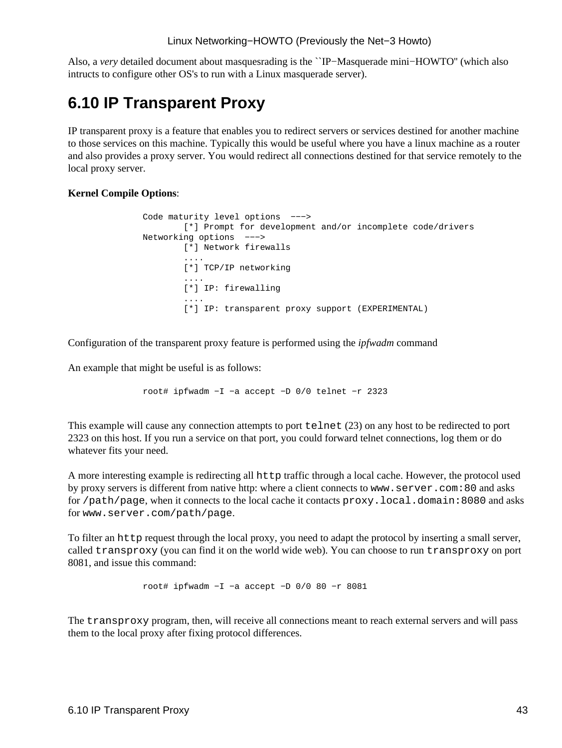Also, a *very* detailed document about masquesrading is the ``IP−Masquerade mini−HOWTO'' (which also intructs to configure other OS's to run with a Linux masquerade server).

# **6.10 IP Transparent Proxy**

IP transparent proxy is a feature that enables you to redirect servers or services destined for another machine to those services on this machine. Typically this would be useful where you have a linux machine as a router and also provides a proxy server. You would redirect all connections destined for that service remotely to the local proxy server.

#### **Kernel Compile Options**:

```
 Code maturity level options −−−>
             [*] Prompt for development and/or incomplete code/drivers
       Networking options −−−>
             [*] Network firewalls
 ....
              [*] TCP/IP networking
 ....
              [*] IP: firewalling
 ....
              [*] IP: transparent proxy support (EXPERIMENTAL)
```
Configuration of the transparent proxy feature is performed using the *ipfwadm* command

An example that might be useful is as follows:

root# ipfwadm −I −a accept −D 0/0 telnet −r 2323

This example will cause any connection attempts to port telnet (23) on any host to be redirected to port 2323 on this host. If you run a service on that port, you could forward telnet connections, log them or do whatever fits your need.

A more interesting example is redirecting all http traffic through a local cache. However, the protocol used by proxy servers is different from native http: where a client connects to www.server.com:80 and asks for /path/page, when it connects to the local cache it contacts proxy.local.domain:8080 and asks for www.server.com/path/page.

To filter an http request through the local proxy, you need to adapt the protocol by inserting a small server, called transproxy (you can find it on the world wide web). You can choose to run transproxy on port 8081, and issue this command:

root# ipfwadm −I −a accept −D 0/0 80 −r 8081

The transproxy program, then, will receive all connections meant to reach external servers and will pass them to the local proxy after fixing protocol differences.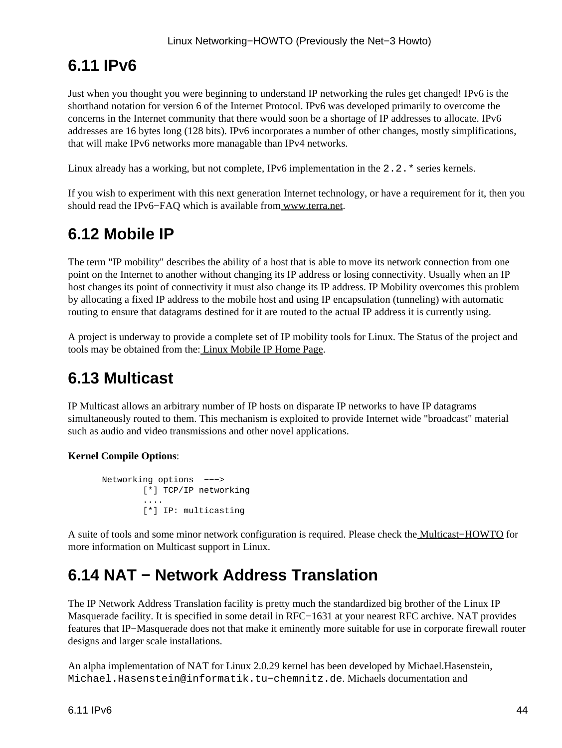# **6.11 IPv6**

Just when you thought you were beginning to understand IP networking the rules get changed! IPv6 is the shorthand notation for version 6 of the Internet Protocol. IPv6 was developed primarily to overcome the concerns in the Internet community that there would soon be a shortage of IP addresses to allocate. IPv6 addresses are 16 bytes long (128 bits). IPv6 incorporates a number of other changes, mostly simplifications, that will make IPv6 networks more managable than IPv4 networks.

Linux already has a working, but not complete, IPv6 implementation in the 2.2. \* series kernels.

If you wish to experiment with this next generation Internet technology, or have a requirement for it, then you should read the IPv6−FAQ which is available fro[m www.terra.net.](http://www.terra.net/ipv6/)

# **6.12 Mobile IP**

The term "IP mobility" describes the ability of a host that is able to move its network connection from one point on the Internet to another without changing its IP address or losing connectivity. Usually when an IP host changes its point of connectivity it must also change its IP address. IP Mobility overcomes this problem by allocating a fixed IP address to the mobile host and using IP encapsulation (tunneling) with automatic routing to ensure that datagrams destined for it are routed to the actual IP address it is currently using.

A project is underway to provide a complete set of IP mobility tools for Linux. The Status of the project and tools may be obtained from the[: Linux Mobile IP Home Page](http://anchor.cs.binghamton.edu/~mobileip/).

# **6.13 Multicast**

IP Multicast allows an arbitrary number of IP hosts on disparate IP networks to have IP datagrams simultaneously routed to them. This mechanism is exploited to provide Internet wide "broadcast" material such as audio and video transmissions and other novel applications.

### **Kernel Compile Options**:

```
Networking options −−−>
        [*] TCP/IP networking
 ....
        [*] IP: multicasting
```
A suite of tools and some minor network configuration is required. Please check the Multicast−HOWTO for more information on Multicast support in Linux.

# **6.14 NAT − Network Address Translation**

The IP Network Address Translation facility is pretty much the standardized big brother of the Linux IP Masquerade facility. It is specified in some detail in RFC−1631 at your nearest RFC archive. NAT provides features that IP−Masquerade does not that make it eminently more suitable for use in corporate firewall router designs and larger scale installations.

An alpha implementation of NAT for Linux 2.0.29 kernel has been developed by Michael.Hasenstein, Michael.Hasenstein@informatik.tu−chemnitz.de. Michaels documentation and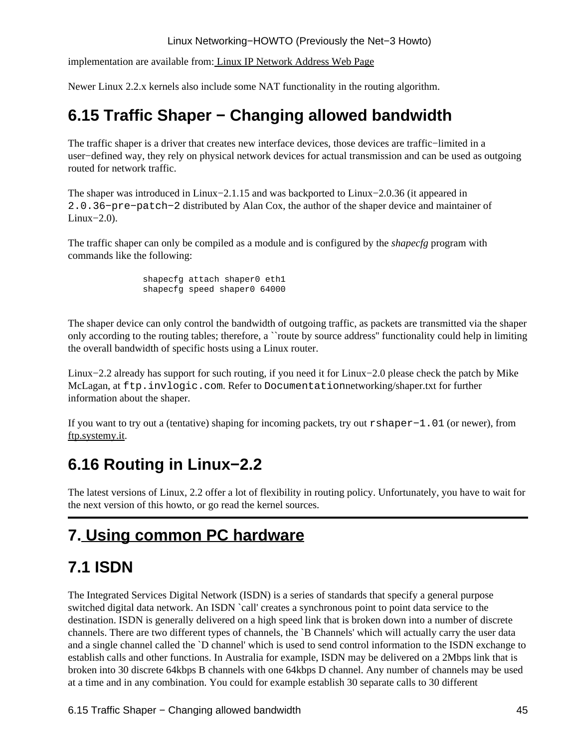implementation are available from: [Linux IP Network Address Web Page](http://www.csn.tu-chemnitz.de/HyperNews/get/linux-ip-nat.html)

Newer Linux 2.2.x kernels also include some NAT functionality in the routing algorithm.

# **6.15 Traffic Shaper − Changing allowed bandwidth**

The traffic shaper is a driver that creates new interface devices, those devices are traffic−limited in a user−defined way, they rely on physical network devices for actual transmission and can be used as outgoing routed for network traffic.

The shaper was introduced in Linux−2.1.15 and was backported to Linux−2.0.36 (it appeared in 2.0.36−pre−patch−2 distributed by Alan Cox, the author of the shaper device and maintainer of Linux−2.0).

The traffic shaper can only be compiled as a module and is configured by the *shapecfg* program with commands like the following:

> shapecfg attach shaper0 eth1 shapecfg speed shaper0 64000

The shaper device can only control the bandwidth of outgoing traffic, as packets are transmitted via the shaper only according to the routing tables; therefore, a ``route by source address'' functionality could help in limiting the overall bandwidth of specific hosts using a Linux router.

Linux−2.2 already has support for such routing, if you need it for Linux−2.0 please check the patch by Mike McLagan, at ftp.invlogic.com. Refer to Documentationnetworking/shaper.txt for further information about the shaper.

If you want to try out a (tentative) shaping for incoming packets, try out rshaper−1.01 (or newer), from [ftp.systemy.it.](ftp://ftp.systemy.it/pub/develop)

# **6.16 Routing in Linux−2.2**

The latest versions of Linux, 2.2 offer a lot of flexibility in routing policy. Unfortunately, you have to wait for the next version of this howto, or go read the kernel sources.

# **7[. Using common PC hardware](#page-5-0)**

# **7.1 ISDN**

The Integrated Services Digital Network (ISDN) is a series of standards that specify a general purpose switched digital data network. An ISDN `call' creates a synchronous point to point data service to the destination. ISDN is generally delivered on a high speed link that is broken down into a number of discrete channels. There are two different types of channels, the `B Channels' which will actually carry the user data and a single channel called the `D channel' which is used to send control information to the ISDN exchange to establish calls and other functions. In Australia for example, ISDN may be delivered on a 2Mbps link that is broken into 30 discrete 64kbps B channels with one 64kbps D channel. Any number of channels may be used at a time and in any combination. You could for example establish 30 separate calls to 30 different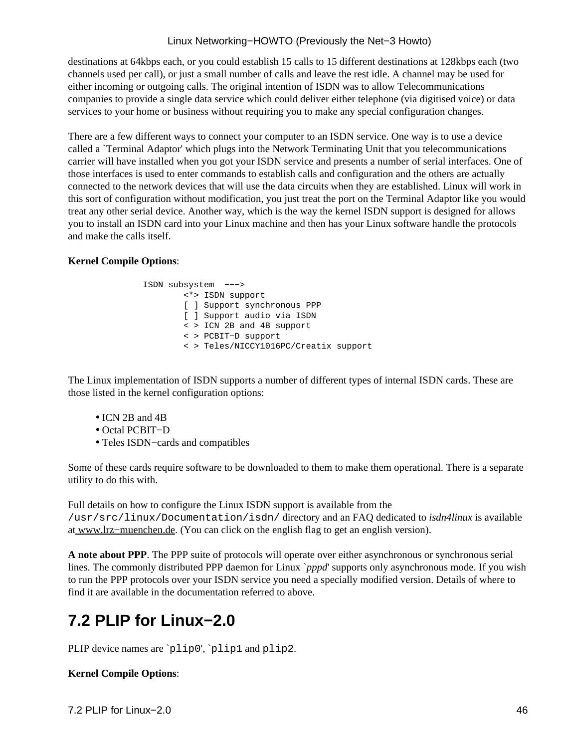destinations at 64kbps each, or you could establish 15 calls to 15 different destinations at 128kbps each (two channels used per call), or just a small number of calls and leave the rest idle. A channel may be used for either incoming or outgoing calls. The original intention of ISDN was to allow Telecommunications companies to provide a single data service which could deliver either telephone (via digitised voice) or data services to your home or business without requiring you to make any special configuration changes.

There are a few different ways to connect your computer to an ISDN service. One way is to use a device called a `Terminal Adaptor' which plugs into the Network Terminating Unit that you telecommunications carrier will have installed when you got your ISDN service and presents a number of serial interfaces. One of those interfaces is used to enter commands to establish calls and configuration and the others are actually connected to the network devices that will use the data circuits when they are established. Linux will work in this sort of configuration without modification, you just treat the port on the Terminal Adaptor like you would treat any other serial device. Another way, which is the way the kernel ISDN support is designed for allows you to install an ISDN card into your Linux machine and then has your Linux software handle the protocols and make the calls itself.

#### **Kernel Compile Options**:

 ISDN subsystem −−−> <\*> ISDN support [ ] Support synchronous PPP [ ] Support audio via ISDN < > ICN 2B and 4B support < > PCBIT−D support < > Teles/NICCY1016PC/Creatix support

The Linux implementation of ISDN supports a number of different types of internal ISDN cards. These are those listed in the kernel configuration options:

- ICN 2B and 4B
- Octal PCBIT−D
- Teles ISDN−cards and compatibles

Some of these cards require software to be downloaded to them to make them operational. There is a separate utility to do this with.

Full details on how to configure the Linux ISDN support is available from the /usr/src/linux/Documentation/isdn/ directory and an FAQ dedicated to *isdn4linux* is available at [www.lrz−muenchen.de](http://www.lrz-muenchen.de/~ui161ab/www/isdn/). (You can click on the english flag to get an english version).

**A note about PPP**. The PPP suite of protocols will operate over either asynchronous or synchronous serial lines. The commonly distributed PPP daemon for Linux `*pppd*' supports only asynchronous mode. If you wish to run the PPP protocols over your ISDN service you need a specially modified version. Details of where to find it are available in the documentation referred to above.

# **7.2 PLIP for Linux−2.0**

PLIP device names are `plip0', `plip1 and plip2.

#### **Kernel Compile Options**: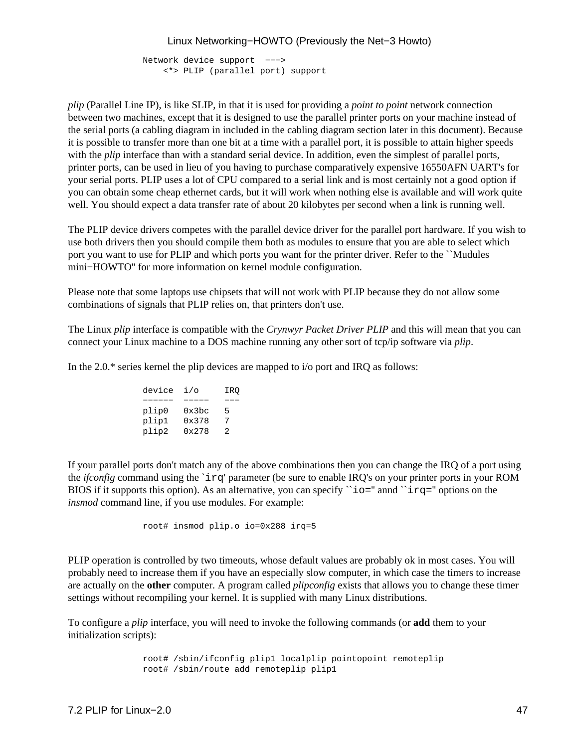Network device support −−−> <\*> PLIP (parallel port) support

*plip* (Parallel Line IP), is like SLIP, in that it is used for providing a *point to point* network connection between two machines, except that it is designed to use the parallel printer ports on your machine instead of the serial ports (a cabling diagram in included in the cabling diagram section later in this document). Because it is possible to transfer more than one bit at a time with a parallel port, it is possible to attain higher speeds with the *plip* interface than with a standard serial device. In addition, even the simplest of parallel ports, printer ports, can be used in lieu of you having to purchase comparatively expensive 16550AFN UART's for your serial ports. PLIP uses a lot of CPU compared to a serial link and is most certainly not a good option if you can obtain some cheap ethernet cards, but it will work when nothing else is available and will work quite well. You should expect a data transfer rate of about 20 kilobytes per second when a link is running well.

The PLIP device drivers competes with the parallel device driver for the parallel port hardware. If you wish to use both drivers then you should compile them both as modules to ensure that you are able to select which port you want to use for PLIP and which ports you want for the printer driver. Refer to the ``Mudules mini−HOWTO'' for more information on kernel module configuration.

Please note that some laptops use chipsets that will not work with PLIP because they do not allow some combinations of signals that PLIP relies on, that printers don't use.

The Linux *plip* interface is compatible with the *Crynwyr Packet Driver PLIP* and this will mean that you can connect your Linux machine to a DOS machine running any other sort of tcp/ip software via *plip*.

In the 2.0.\* series kernel the plip devices are mapped to i/o port and IRQ as follows:

| device i/o |       | IRO |
|------------|-------|-----|
|            |       |     |
| plip0      | 0x3bc | 5   |
| plip1      | 0x378 | 7   |
| plip2      | 0x278 | 2   |
|            |       |     |

If your parallel ports don't match any of the above combinations then you can change the IRQ of a port using the *ifconfig* command using the `irq' parameter (be sure to enable IRQ's on your printer ports in your ROM BIOS if it supports this option). As an alternative, you can specify  $\degree$ io=" annd  $\degree$ irq=" options on the *insmod* command line, if you use modules. For example:

root# insmod plip.o io=0x288 irq=5

PLIP operation is controlled by two timeouts, whose default values are probably ok in most cases. You will probably need to increase them if you have an especially slow computer, in which case the timers to increase are actually on the **other** computer. A program called *plipconfig* exists that allows you to change these timer settings without recompiling your kernel. It is supplied with many Linux distributions.

To configure a *plip* interface, you will need to invoke the following commands (or **add** them to your initialization scripts):

> root# /sbin/ifconfig plip1 localplip pointopoint remoteplip root# /sbin/route add remoteplip plip1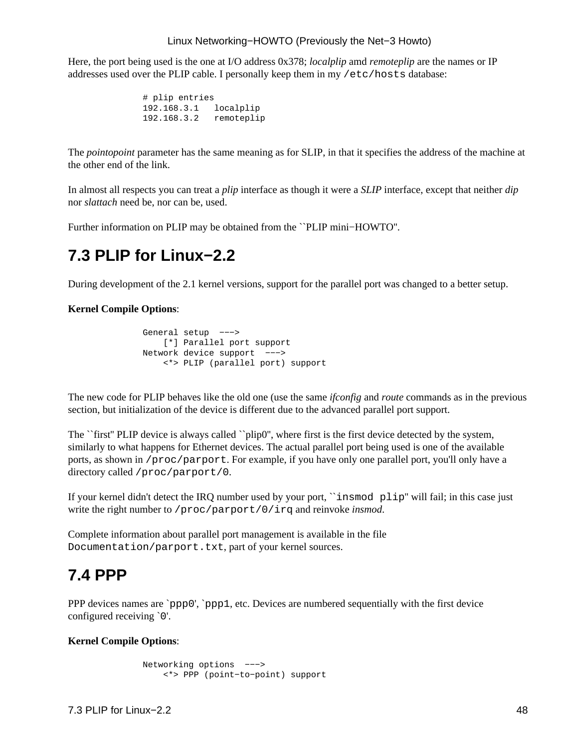Here, the port being used is the one at I/O address 0x378; *localplip* amd *remoteplip* are the names or IP addresses used over the PLIP cable. I personally keep them in my /etc/hosts database:

```
 # plip entries
 192.168.3.1 localplip
 192.168.3.2 remoteplip
```
The *pointopoint* parameter has the same meaning as for SLIP, in that it specifies the address of the machine at the other end of the link.

In almost all respects you can treat a *plip* interface as though it were a *SLIP* interface, except that neither *dip* nor *slattach* need be, nor can be, used.

Further information on PLIP may be obtained from the ``PLIP mini−HOWTO''.

# **7.3 PLIP for Linux−2.2**

During development of the 2.1 kernel versions, support for the parallel port was changed to a better setup.

#### **Kernel Compile Options**:

```
 General setup −−−>
   [*] Parallel port support
 Network device support −−−>
    <*> PLIP (parallel port) support
```
The new code for PLIP behaves like the old one (use the same *ifconfig* and *route* commands as in the previous section, but initialization of the device is different due to the advanced parallel port support.

The ``first'' PLIP device is always called ``plip0'', where first is the first device detected by the system, similarly to what happens for Ethernet devices. The actual parallel port being used is one of the available ports, as shown in /proc/parport. For example, if you have only one parallel port, you'll only have a directory called /proc/parport/0.

If your kernel didn't detect the IRQ number used by your port, ``insmod plip'' will fail; in this case just write the right number to /proc/parport/0/irq and reinvoke *insmod*.

Complete information about parallel port management is available in the file Documentation/parport.txt, part of your kernel sources.

# **7.4 PPP**

PPP devices names are `ppp0', `ppp1, etc. Devices are numbered sequentially with the first device configured receiving `0'.

#### **Kernel Compile Options**:

```
 Networking options −−−>
     <*> PPP (point−to−point) support
```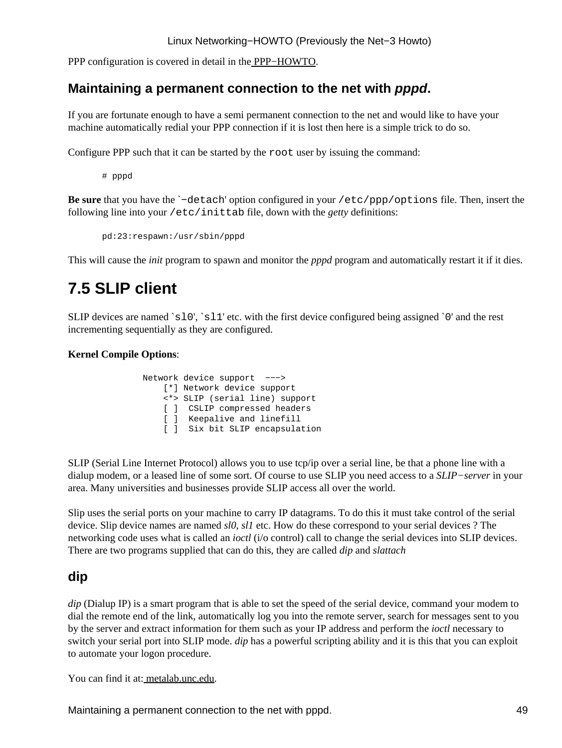PPP configuration is covered in detail in the PPP−HOWTO.

### **Maintaining a permanent connection to the net with pppd.**

If you are fortunate enough to have a semi permanent connection to the net and would like to have your machine automatically redial your PPP connection if it is lost then here is a simple trick to do so.

Configure PPP such that it can be started by the root user by issuing the command:

# pppd

**Be sure** that you have the `−detach' option configured in your /etc/ppp/options file. Then, insert the following line into your /etc/inittab file, down with the *getty* definitions:

```
pd:23:respawn:/usr/sbin/pppd
```
This will cause the *init* program to spawn and monitor the *pppd* program and automatically restart it if it dies.

# **7.5 SLIP client**

SLIP devices are named `sl0', `sl1' etc. with the first device configured being assigned `0' and the rest incrementing sequentially as they are configured.

#### **Kernel Compile Options**:

 Network device support −−−> [\*] Network device support <\*> SLIP (serial line) support [ ] CSLIP compressed headers [ ] Keepalive and linefill [ ] Six bit SLIP encapsulation

SLIP (Serial Line Internet Protocol) allows you to use tcp/ip over a serial line, be that a phone line with a dialup modem, or a leased line of some sort. Of course to use SLIP you need access to a *SLIP−server* in your area. Many universities and businesses provide SLIP access all over the world.

Slip uses the serial ports on your machine to carry IP datagrams. To do this it must take control of the serial device. Slip device names are named *sl0*, *sl1* etc. How do these correspond to your serial devices ? The networking code uses what is called an *ioctl* (i/o control) call to change the serial devices into SLIP devices. There are two programs supplied that can do this, they are called *dip* and *slattach*

### **dip**

*dip* (Dialup IP) is a smart program that is able to set the speed of the serial device, command your modem to dial the remote end of the link, automatically log you into the remote server, search for messages sent to you by the server and extract information for them such as your IP address and perform the *ioctl* necessary to switch your serial port into SLIP mode. *dip* has a powerful scripting ability and it is this that you can exploit to automate your logon procedure.

You can find it at[: metalab.unc.edu.](ftp://metalab.unc.edu/pub/Linux/system/Network/serial/dip/dip337o-uri.tgz)

Maintaining a permanent connection to the net with pppd. 49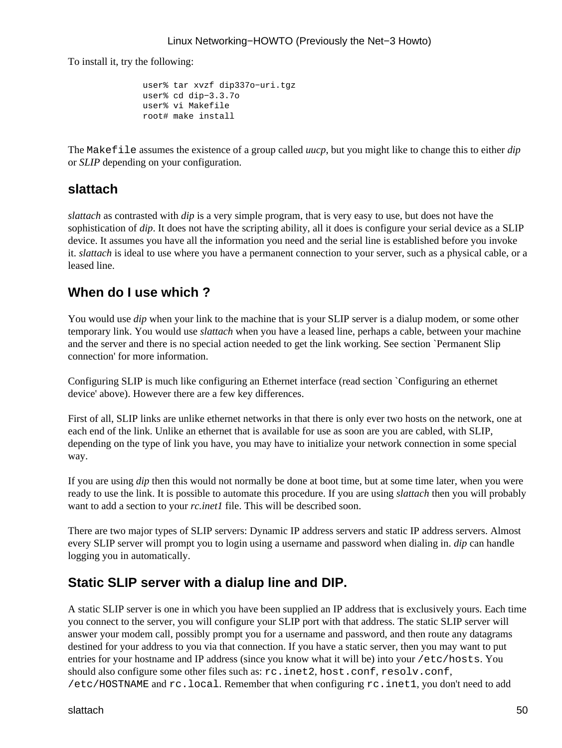To install it, try the following:

```
 user% tar xvzf dip337o−uri.tgz
 user% cd dip−3.3.7o
 user% vi Makefile
 root# make install
```
The Makefile assumes the existence of a group called *uucp*, but you might like to change this to either *dip* or *SLIP* depending on your configuration.

### **slattach**

*slattach* as contrasted with *dip* is a very simple program, that is very easy to use, but does not have the sophistication of *dip*. It does not have the scripting ability, all it does is configure your serial device as a SLIP device. It assumes you have all the information you need and the serial line is established before you invoke it. *slattach* is ideal to use where you have a permanent connection to your server, such as a physical cable, or a leased line.

## **When do I use which ?**

You would use *dip* when your link to the machine that is your SLIP server is a dialup modem, or some other temporary link. You would use *slattach* when you have a leased line, perhaps a cable, between your machine and the server and there is no special action needed to get the link working. See section `Permanent Slip connection' for more information.

Configuring SLIP is much like configuring an Ethernet interface (read section `Configuring an ethernet device' above). However there are a few key differences.

First of all, SLIP links are unlike ethernet networks in that there is only ever two hosts on the network, one at each end of the link. Unlike an ethernet that is available for use as soon are you are cabled, with SLIP, depending on the type of link you have, you may have to initialize your network connection in some special way.

If you are using *dip* then this would not normally be done at boot time, but at some time later, when you were ready to use the link. It is possible to automate this procedure. If you are using *slattach* then you will probably want to add a section to your *rc.inet1* file. This will be described soon.

There are two major types of SLIP servers: Dynamic IP address servers and static IP address servers. Almost every SLIP server will prompt you to login using a username and password when dialing in. *dip* can handle logging you in automatically.

## **Static SLIP server with a dialup line and DIP.**

A static SLIP server is one in which you have been supplied an IP address that is exclusively yours. Each time you connect to the server, you will configure your SLIP port with that address. The static SLIP server will answer your modem call, possibly prompt you for a username and password, and then route any datagrams destined for your address to you via that connection. If you have a static server, then you may want to put entries for your hostname and IP address (since you know what it will be) into your /etc/hosts. You should also configure some other files such as: rc.inet2, host.conf, resolv.conf, /etc/HOSTNAME and rc.local. Remember that when configuring rc.inet1, you don't need to add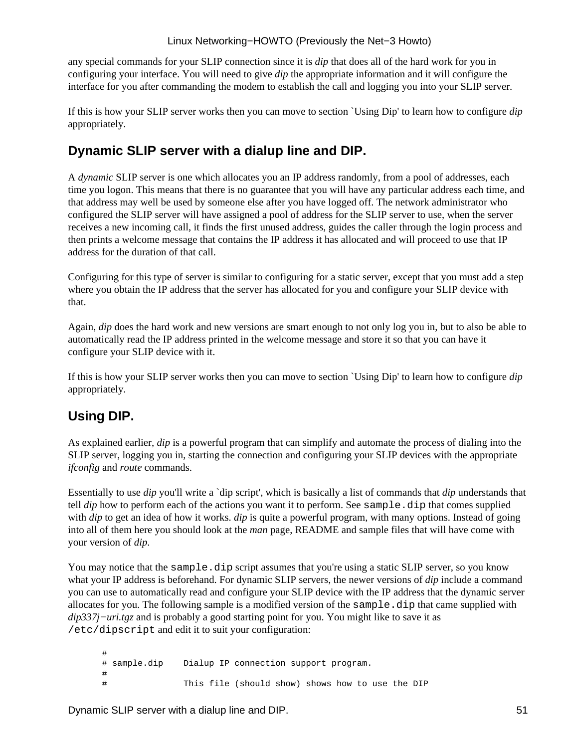any special commands for your SLIP connection since it is *dip* that does all of the hard work for you in configuring your interface. You will need to give *dip* the appropriate information and it will configure the interface for you after commanding the modem to establish the call and logging you into your SLIP server.

If this is how your SLIP server works then you can move to section `Using Dip' to learn how to configure *dip* appropriately.

## **Dynamic SLIP server with a dialup line and DIP.**

A *dynamic* SLIP server is one which allocates you an IP address randomly, from a pool of addresses, each time you logon. This means that there is no guarantee that you will have any particular address each time, and that address may well be used by someone else after you have logged off. The network administrator who configured the SLIP server will have assigned a pool of address for the SLIP server to use, when the server receives a new incoming call, it finds the first unused address, guides the caller through the login process and then prints a welcome message that contains the IP address it has allocated and will proceed to use that IP address for the duration of that call.

Configuring for this type of server is similar to configuring for a static server, except that you must add a step where you obtain the IP address that the server has allocated for you and configure your SLIP device with that.

Again, *dip* does the hard work and new versions are smart enough to not only log you in, but to also be able to automatically read the IP address printed in the welcome message and store it so that you can have it configure your SLIP device with it.

If this is how your SLIP server works then you can move to section `Using Dip' to learn how to configure *dip* appropriately.

## **Using DIP.**

As explained earlier, *dip* is a powerful program that can simplify and automate the process of dialing into the SLIP server, logging you in, starting the connection and configuring your SLIP devices with the appropriate *ifconfig* and *route* commands.

Essentially to use *dip* you'll write a `dip script', which is basically a list of commands that *dip* understands that tell *dip* how to perform each of the actions you want it to perform. See sample. dip that comes supplied with *dip* to get an idea of how it works. *dip* is quite a powerful program, with many options. Instead of going into all of them here you should look at the *man* page, README and sample files that will have come with your version of *dip*.

You may notice that the sample.dip script assumes that you're using a static SLIP server, so you know what your IP address is beforehand. For dynamic SLIP servers, the newer versions of *dip* include a command you can use to automatically read and configure your SLIP device with the IP address that the dynamic server allocates for you. The following sample is a modified version of the sample.dip that came supplied with *dip337j−uri.tgz* and is probably a good starting point for you. You might like to save it as /etc/dipscript and edit it to suit your configuration:

# # sample.dip Dialup IP connection support program. # # This file (should show) shows how to use the DIP

Dynamic SLIP server with a dialup line and DIP. **Show that the server with a server with a server with a server w**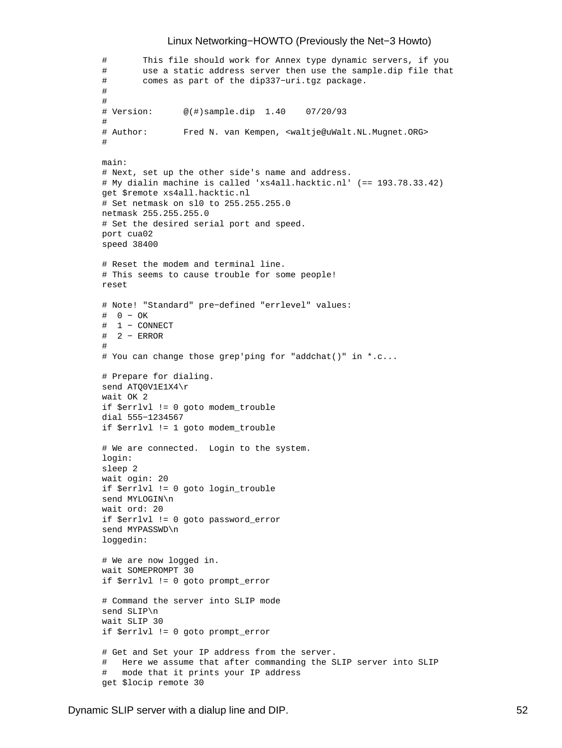```
# This file should work for Annex type dynamic servers, if you
# use a static address server then use the sample.dip file that
# comes as part of the dip337−uri.tgz package.
#
#
# Version: @(#)sample.dip 1.40 07/20/93
#
# Author: Fred N. van Kempen, <waltje@uWalt.NL.Mugnet.ORG>
#
main:
# Next, set up the other side's name and address.
# My dialin machine is called 'xs4all.hacktic.nl' (== 193.78.33.42)
get $remote xs4all.hacktic.nl
# Set netmask on sl0 to 255.255.255.0
netmask 255.255.255.0
# Set the desired serial port and speed.
port cua02
speed 38400
# Reset the modem and terminal line.
# This seems to cause trouble for some people!
reset
# Note! "Standard" pre−defined "errlevel" values:
# 0 − OK
# 1 − CONNECT
# 2 − ERROR
#
# You can change those grep'ping for "addchat()" in *.c...
# Prepare for dialing.
send ATQ0V1E1X4\r
wait OK 2
if $errlvl != 0 goto modem_trouble
dial 555−1234567
if $errlvl != 1 goto modem_trouble
# We are connected. Login to the system.
login:
sleep 2
wait ogin: 20
if $errlvl != 0 goto login_trouble
send MYLOGIN\n
wait ord: 20
if $errlvl != 0 goto password_error
send MYPASSWD\n
loggedin:
# We are now logged in.
wait SOMEPROMPT 30
if $errlvl != 0 goto prompt_error
# Command the server into SLIP mode
send SLIP\n
wait SLIP 30
if $errlvl != 0 goto prompt_error
# Get and Set your IP address from the server. 
# Here we assume that after commanding the SLIP server into SLIP
# mode that it prints your IP address
get $locip remote 30
```
Dynamic SLIP server with a dialup line and DIP.  $\sim$  52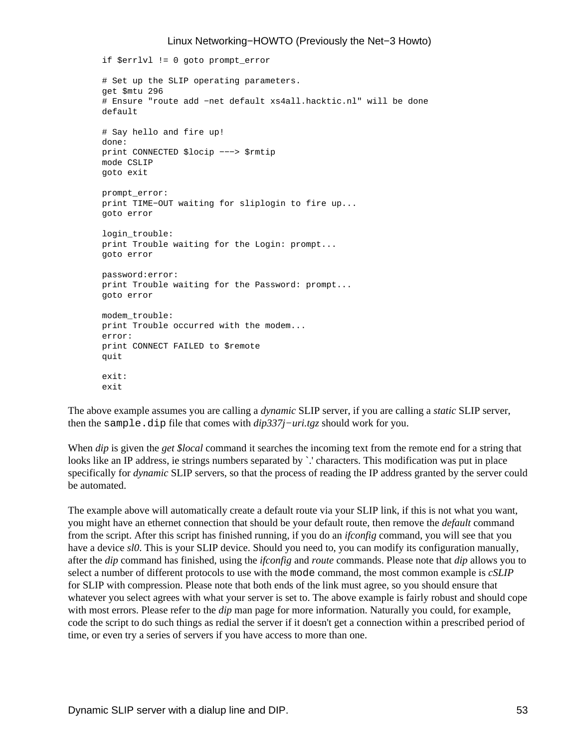if \$errlvl != 0 goto prompt\_error # Set up the SLIP operating parameters. get \$mtu 296 # Ensure "route add −net default xs4all.hacktic.nl" will be done default # Say hello and fire up! done: print CONNECTED \$locip −−−> \$rmtip mode CSLIP goto exit prompt\_error: print TIME−OUT waiting for sliplogin to fire up... goto error login\_trouble: print Trouble waiting for the Login: prompt... goto error password:error: print Trouble waiting for the Password: prompt... goto error modem\_trouble: print Trouble occurred with the modem... error: print CONNECT FAILED to \$remote quit exit: exit

The above example assumes you are calling a *dynamic* SLIP server, if you are calling a *static* SLIP server, then the sample.dip file that comes with *dip337j−uri.tgz* should work for you.

When *dip* is given the *get \$local* command it searches the incoming text from the remote end for a string that looks like an IP address, ie strings numbers separated by  $\cdot$ . characters. This modification was put in place specifically for *dynamic* SLIP servers, so that the process of reading the IP address granted by the server could be automated.

The example above will automatically create a default route via your SLIP link, if this is not what you want, you might have an ethernet connection that should be your default route, then remove the *default* command from the script. After this script has finished running, if you do an *ifconfig* command, you will see that you have a device *sl0*. This is your SLIP device. Should you need to, you can modify its configuration manually, after the *dip* command has finished, using the *ifconfig* and *route* commands. Please note that *dip* allows you to select a number of different protocols to use with the mode command, the most common example is *cSLIP* for SLIP with compression. Please note that both ends of the link must agree, so you should ensure that whatever you select agrees with what your server is set to. The above example is fairly robust and should cope with most errors. Please refer to the *dip* man page for more information. Naturally you could, for example, code the script to do such things as redial the server if it doesn't get a connection within a prescribed period of time, or even try a series of servers if you have access to more than one.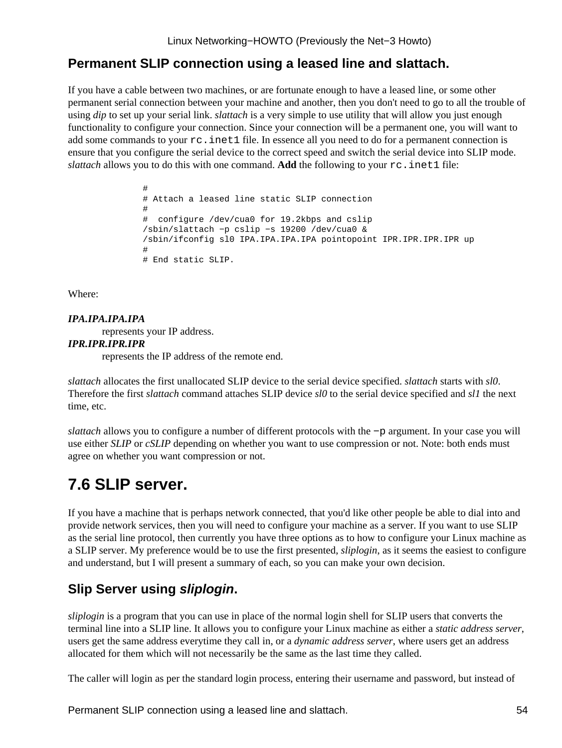### **Permanent SLIP connection using a leased line and slattach.**

If you have a cable between two machines, or are fortunate enough to have a leased line, or some other permanent serial connection between your machine and another, then you don't need to go to all the trouble of using *dip* to set up your serial link. *slattach* is a very simple to use utility that will allow you just enough functionality to configure your connection. Since your connection will be a permanent one, you will want to add some commands to your rc.inet1 file. In essence all you need to do for a permanent connection is ensure that you configure the serial device to the correct speed and switch the serial device into SLIP mode. *slattach* allows you to do this with one command. **Add** the following to your rc.inet1 file:

```
 #
        # Attach a leased line static SLIP connection
 #
        # configure /dev/cua0 for 19.2kbps and cslip
        /sbin/slattach −p cslip −s 19200 /dev/cua0 &
        /sbin/ifconfig sl0 IPA.IPA.IPA.IPA pointopoint IPR.IPR.IPR.IPR up
 #
        # End static SLIP.
```
Where:

#### *IPA.IPA.IPA.IPA*

represents your IP address.

#### *IPR.IPR.IPR.IPR*

represents the IP address of the remote end.

*slattach* allocates the first unallocated SLIP device to the serial device specified. *slattach* starts with *sl0*. Therefore the first *slattach* command attaches SLIP device *sl0* to the serial device specified and *sl1* the next time, etc.

*slattach* allows you to configure a number of different protocols with the −p argument. In your case you will use either *SLIP* or *cSLIP* depending on whether you want to use compression or not. Note: both ends must agree on whether you want compression or not.

# **7.6 SLIP server.**

If you have a machine that is perhaps network connected, that you'd like other people be able to dial into and provide network services, then you will need to configure your machine as a server. If you want to use SLIP as the serial line protocol, then currently you have three options as to how to configure your Linux machine as a SLIP server. My preference would be to use the first presented, *sliplogin*, as it seems the easiest to configure and understand, but I will present a summary of each, so you can make your own decision.

## **Slip Server using sliplogin.**

*sliplogin* is a program that you can use in place of the normal login shell for SLIP users that converts the terminal line into a SLIP line. It allows you to configure your Linux machine as either a *static address server*, users get the same address everytime they call in, or a *dynamic address server*, where users get an address allocated for them which will not necessarily be the same as the last time they called.

The caller will login as per the standard login process, entering their username and password, but instead of

Permanent SLIP connection using a leased line and slattach. 54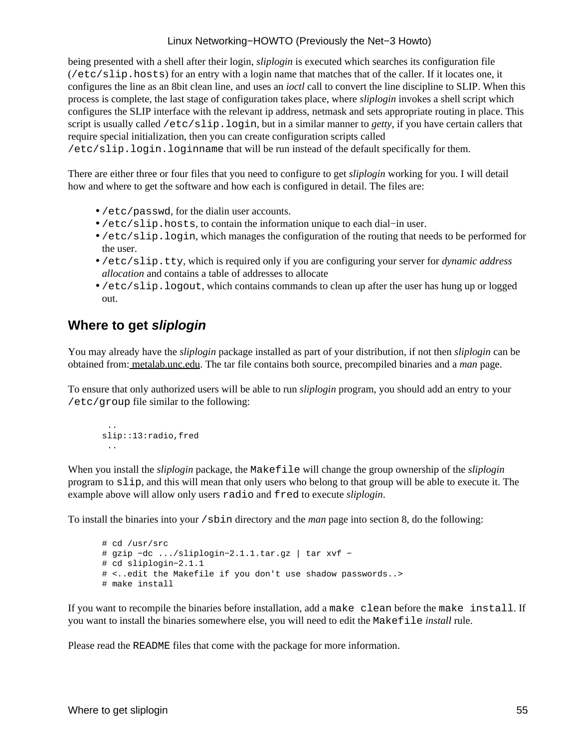being presented with a shell after their login, *sliplogin* is executed which searches its configuration file (/etc/slip.hosts) for an entry with a login name that matches that of the caller. If it locates one, it configures the line as an 8bit clean line, and uses an *ioctl* call to convert the line discipline to SLIP. When this process is complete, the last stage of configuration takes place, where *sliplogin* invokes a shell script which configures the SLIP interface with the relevant ip address, netmask and sets appropriate routing in place. This script is usually called /etc/slip.login, but in a similar manner to *getty*, if you have certain callers that require special initialization, then you can create configuration scripts called

/etc/slip.login.loginname that will be run instead of the default specifically for them.

There are either three or four files that you need to configure to get *sliplogin* working for you. I will detail how and where to get the software and how each is configured in detail. The files are:

- /etc/passwd, for the dialin user accounts.
- /etc/slip.hosts, to contain the information unique to each dial−in user.
- /etc/slip.login, which manages the configuration of the routing that needs to be performed for the user.
- /etc/slip.tty, which is required only if you are configuring your server for *dynamic address allocation* and contains a table of addresses to allocate
- /etc/slip.logout, which contains commands to clean up after the user has hung up or logged out.

### **Where to get sliplogin**

You may already have the *sliplogin* package installed as part of your distribution, if not then *sliplogin* can be obtained from[: metalab.unc.edu.](ftp://metalab.unc.edu/pub/linux/system/Network/serial/sliplogin-2.1.1.tar.gz) The tar file contains both source, precompiled binaries and a *man* page.

To ensure that only authorized users will be able to run *sliplogin* program, you should add an entry to your /etc/group file similar to the following:

```
 ..
slip::13:radio,fred
 ..
```
When you install the *sliplogin* package, the Makefile will change the group ownership of the *sliplogin* program to slip, and this will mean that only users who belong to that group will be able to execute it. The example above will allow only users radio and fred to execute *sliplogin*.

To install the binaries into your /sbin directory and the *man* page into section 8, do the following:

```
# cd /usr/src
# gzip −dc .../sliplogin−2.1.1.tar.gz | tar xvf −
# cd sliplogin−2.1.1
# <..edit the Makefile if you don't use shadow passwords..>
# make install
```
If you want to recompile the binaries before installation, add a make clean before the make install. If you want to install the binaries somewhere else, you will need to edit the Makefile *install* rule.

Please read the README files that come with the package for more information.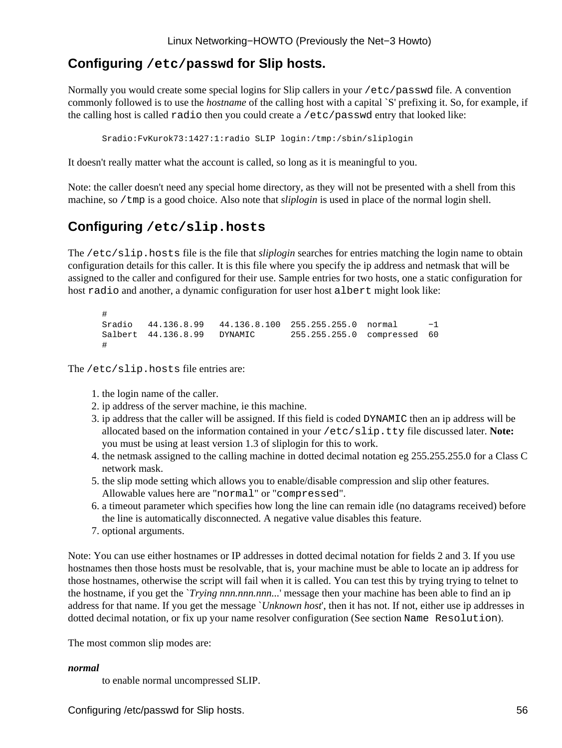### **Configuring /etc/passwd for Slip hosts.**

Normally you would create some special logins for Slip callers in your /etc/passwd file. A convention commonly followed is to use the *hostname* of the calling host with a capital `S' prefixing it. So, for example, if the calling host is called radio then you could create a /etc/passwd entry that looked like:

Sradio:FvKurok73:1427:1:radio SLIP login:/tmp:/sbin/sliplogin

It doesn't really matter what the account is called, so long as it is meaningful to you.

Note: the caller doesn't need any special home directory, as they will not be presented with a shell from this machine, so /tmp is a good choice. Also note that *sliplogin* is used in place of the normal login shell.

### **Configuring /etc/slip.hosts**

The /etc/slip.hosts file is the file that *sliplogin* searches for entries matching the login name to obtain configuration details for this caller. It is this file where you specify the ip address and netmask that will be assigned to the caller and configured for their use. Sample entries for two hosts, one a static configuration for host radio and another, a dynamic configuration for user host albert might look like:

# Sradio 44.136.8.99 44.136.8.100 255.255.255.0 normal −1 Salbert 44.136.8.99 DYNAMIC 255.255.255.0 compressed 60 #

The /etc/slip.hosts file entries are:

- 1. the login name of the caller.
- 2. ip address of the server machine, ie this machine.
- 3. ip address that the caller will be assigned. If this field is coded DYNAMIC then an ip address will be allocated based on the information contained in your /etc/slip.tty file discussed later. **Note:** you must be using at least version 1.3 of sliplogin for this to work.
- 4. the netmask assigned to the calling machine in dotted decimal notation eg 255.255.255.0 for a Class C network mask.
- 5. the slip mode setting which allows you to enable/disable compression and slip other features. Allowable values here are "normal" or "compressed".
- 6. a timeout parameter which specifies how long the line can remain idle (no datagrams received) before the line is automatically disconnected. A negative value disables this feature.
- 7. optional arguments.

Note: You can use either hostnames or IP addresses in dotted decimal notation for fields 2 and 3. If you use hostnames then those hosts must be resolvable, that is, your machine must be able to locate an ip address for those hostnames, otherwise the script will fail when it is called. You can test this by trying trying to telnet to the hostname, if you get the `*Trying nnn.nnn.nnn...*' message then your machine has been able to find an ip address for that name. If you get the message `*Unknown host*', then it has not. If not, either use ip addresses in dotted decimal notation, or fix up your name resolver configuration (See section Name Resolution).

The most common slip modes are:

#### *normal*

to enable normal uncompressed SLIP.

Configuring /etc/passwd for Slip hosts. 56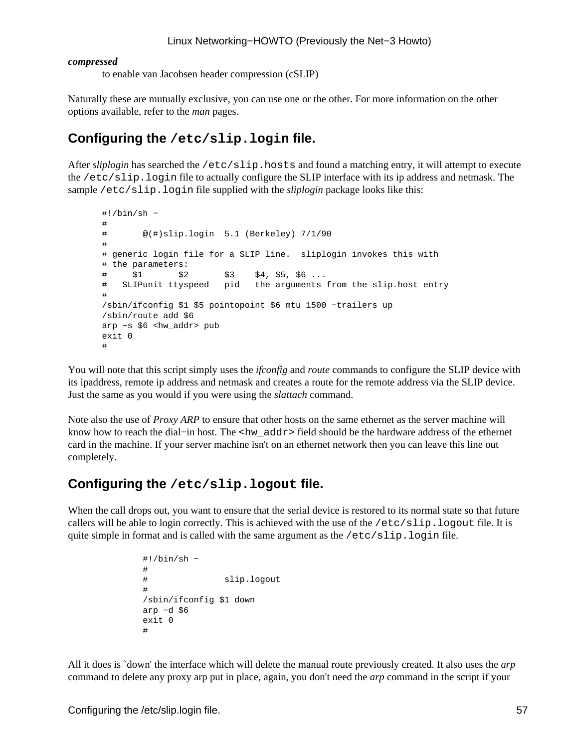#### *compressed*

to enable van Jacobsen header compression (cSLIP)

Naturally these are mutually exclusive, you can use one or the other. For more information on the other options available, refer to the *man* pages.

### **Configuring the /etc/slip.login file.**

After *sliplogin* has searched the /etc/slip.hosts and found a matching entry, it will attempt to execute the /etc/slip.login file to actually configure the SLIP interface with its ip address and netmask. The sample /etc/slip.login file supplied with the *sliplogin* package looks like this:

```
#!/bin/sh −
#
# @(#)slip.login 5.1 (Berkeley) 7/1/90
#
# generic login file for a SLIP line. sliplogin invokes this with
# the parameters:
# $1 $2 $3 $4, $5, $6 ...
# SLIPunit ttyspeed pid the arguments from the slip.host entry
#
/sbin/ifconfig $1 $5 pointopoint $6 mtu 1500 −trailers up
/sbin/route add $6
arp −s $6 <hw_addr> pub
exit 0
#
```
You will note that this script simply uses the *ifconfig* and *route* commands to configure the SLIP device with its ipaddress, remote ip address and netmask and creates a route for the remote address via the SLIP device. Just the same as you would if you were using the *slattach* command.

Note also the use of *Proxy ARP* to ensure that other hosts on the same ethernet as the server machine will know how to reach the dial−in host. The <hw\_addr> field should be the hardware address of the ethernet card in the machine. If your server machine isn't on an ethernet network then you can leave this line out completely.

### **Configuring the /etc/slip.logout file.**

When the call drops out, you want to ensure that the serial device is restored to its normal state so that future callers will be able to login correctly. This is achieved with the use of the /etc/slip.logout file. It is quite simple in format and is called with the same argument as the  $/etc/slip$ . login file.

```
 #!/bin/sh −
 #
       # slip.logout
 #
       /sbin/ifconfig $1 down
       arp −d $6
       exit 0
       #
```
All it does is `down' the interface which will delete the manual route previously created. It also uses the *arp* command to delete any proxy arp put in place, again, you don't need the *arp* command in the script if your

Configuring the /etc/slip.login file. 57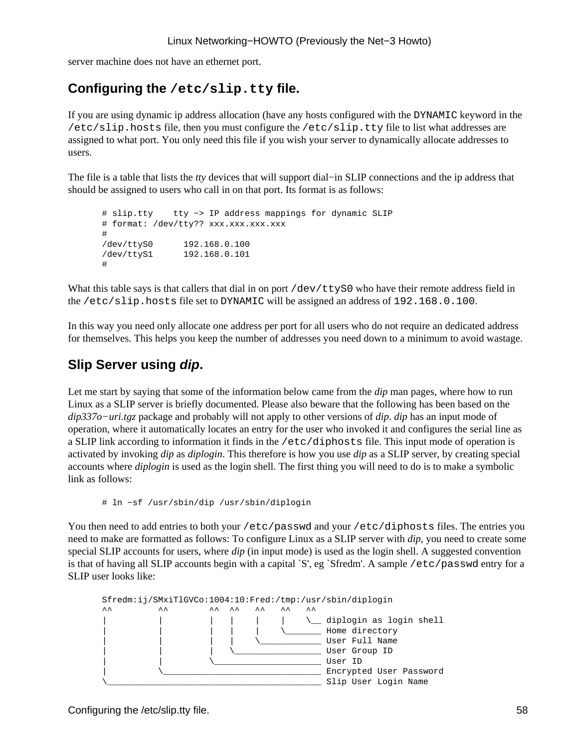server machine does not have an ethernet port.

## **Configuring the /etc/slip.tty file.**

If you are using dynamic ip address allocation (have any hosts configured with the DYNAMIC keyword in the /etc/slip.hosts file, then you must configure the /etc/slip.tty file to list what addresses are assigned to what port. You only need this file if you wish your server to dynamically allocate addresses to users.

The file is a table that lists the *tty* devices that will support dial−in SLIP connections and the ip address that should be assigned to users who call in on that port. Its format is as follows:

```
# slip.tty tty −> IP address mappings for dynamic SLIP
# format: /dev/tty?? xxx.xxx.xxx.xxx
#
/dev/ttyS0 192.168.0.100
/dev/ttyS1 192.168.0.101
#
```
What this table says is that callers that dial in on port /dev/ttyS0 who have their remote address field in the /etc/slip.hosts file set to DYNAMIC will be assigned an address of 192.168.0.100.

In this way you need only allocate one address per port for all users who do not require an dedicated address for themselves. This helps you keep the number of addresses you need down to a minimum to avoid wastage.

## **Slip Server using dip.**

Let me start by saying that some of the information below came from the *dip* man pages, where how to run Linux as a SLIP server is briefly documented. Please also beware that the following has been based on the *dip337o−uri.tgz* package and probably will not apply to other versions of *dip*. *dip* has an input mode of operation, where it automatically locates an entry for the user who invoked it and configures the serial line as a SLIP link according to information it finds in the /etc/diphosts file. This input mode of operation is activated by invoking *dip* as *diplogin*. This therefore is how you use *dip* as a SLIP server, by creating special accounts where *diplogin* is used as the login shell. The first thing you will need to do is to make a symbolic link as follows:

```
# ln −sf /usr/sbin/dip /usr/sbin/diplogin
```
You then need to add entries to both your /etc/passwd and your /etc/diphosts files. The entries you need to make are formatted as follows: To configure Linux as a SLIP server with *dip*, you need to create some special SLIP accounts for users, where *dip* (in input mode) is used as the login shell. A suggested convention is that of having all SLIP accounts begin with a capital `S', eg `Sfredm'. A sample /etc/passwd entry for a SLIP user looks like:

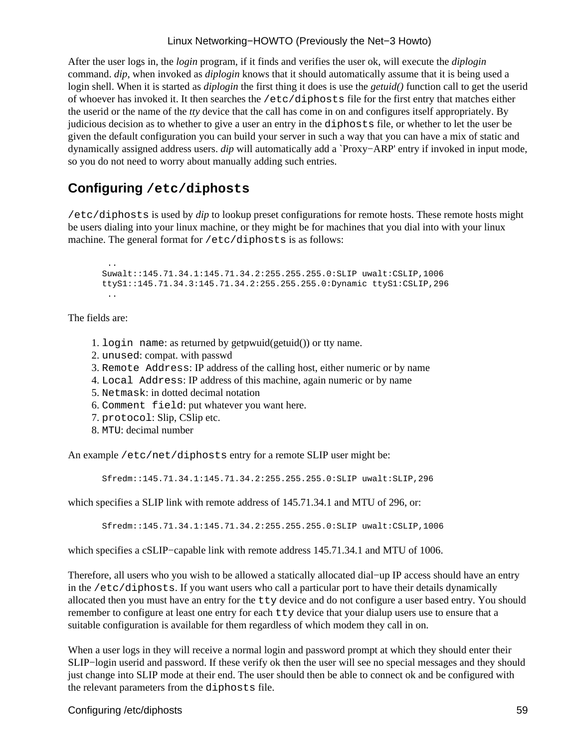After the user logs in, the *login* program, if it finds and verifies the user ok, will execute the *diplogin* command. *dip*, when invoked as *diplogin* knows that it should automatically assume that it is being used a login shell. When it is started as *diplogin* the first thing it does is use the *getuid()* function call to get the userid of whoever has invoked it. It then searches the /etc/diphosts file for the first entry that matches either the userid or the name of the *tty* device that the call has come in on and configures itself appropriately. By judicious decision as to whether to give a user an entry in the diphosts file, or whether to let the user be given the default configuration you can build your server in such a way that you can have a mix of static and dynamically assigned address users. *dip* will automatically add a `Proxy−ARP' entry if invoked in input mode, so you do not need to worry about manually adding such entries.

## **Configuring /etc/diphosts**

/etc/diphosts is used by *dip* to lookup preset configurations for remote hosts. These remote hosts might be users dialing into your linux machine, or they might be for machines that you dial into with your linux machine. The general format for /etc/diphosts is as follows:

Suwalt::145.71.34.1:145.71.34.2:255.255.255.0:SLIP uwalt:CSLIP,1006 ttyS1::145.71.34.3:145.71.34.2:255.255.255.0:Dynamic ttyS1:CSLIP,296 ..

The fields are:

..

- 1. login name: as returned by getpwuid(getuid()) or tty name.
- 2. unused: compat. with passwd
- 3. Remote Address: IP address of the calling host, either numeric or by name
- 4. Local Address: IP address of this machine, again numeric or by name
- 5. Netmask: in dotted decimal notation
- 6. Comment field: put whatever you want here.
- 7. protocol: Slip, CSlip etc.
- 8. MTU: decimal number

An example /etc/net/diphosts entry for a remote SLIP user might be:

Sfredm::145.71.34.1:145.71.34.2:255.255.255.0:SLIP uwalt:SLIP,296

which specifies a SLIP link with remote address of 145.71.34.1 and MTU of 296, or:

Sfredm::145.71.34.1:145.71.34.2:255.255.255.0:SLIP uwalt:CSLIP,1006

which specifies a cSLIP−capable link with remote address 145.71.34.1 and MTU of 1006.

Therefore, all users who you wish to be allowed a statically allocated dial−up IP access should have an entry in the /etc/diphosts. If you want users who call a particular port to have their details dynamically allocated then you must have an entry for the tty device and do not configure a user based entry. You should remember to configure at least one entry for each  $t \tau y$  device that your dialup users use to ensure that a suitable configuration is available for them regardless of which modem they call in on.

When a user logs in they will receive a normal login and password prompt at which they should enter their SLIP−login userid and password. If these verify ok then the user will see no special messages and they should just change into SLIP mode at their end. The user should then be able to connect ok and be configured with the relevant parameters from the diphosts file.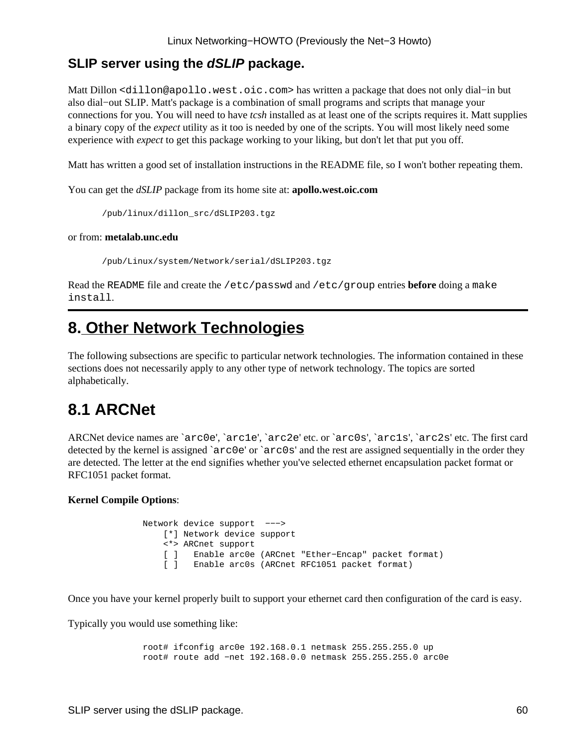## **SLIP server using the dSLIP package.**

Matt Dillon <dillon@apollo.west.oic.com> has written a package that does not only dial−in but also dial−out SLIP. Matt's package is a combination of small programs and scripts that manage your connections for you. You will need to have *tcsh* installed as at least one of the scripts requires it. Matt supplies a binary copy of the *expect* utility as it too is needed by one of the scripts. You will most likely need some experience with *expect* to get this package working to your liking, but don't let that put you off.

Matt has written a good set of installation instructions in the README file, so I won't bother repeating them.

You can get the *dSLIP* package from its home site at: **apollo.west.oic.com**

```
/pub/linux/dillon_src/dSLIP203.tgz
```
or from: **metalab.unc.edu**

/pub/Linux/system/Network/serial/dSLIP203.tgz

Read the README file and create the /etc/passwd and /etc/group entries **before** doing a make install.

# **8[. Other Network Technologies](#page-5-1)**

The following subsections are specific to particular network technologies. The information contained in these sections does not necessarily apply to any other type of network technology. The topics are sorted alphabetically.

# **8.1 ARCNet**

ARCNet device names are `arc0e', `arc1e', `arc2e' etc. or `arc0s', `arc1s', `arc2s' etc. The first card detected by the kernel is assigned `arc0e' or `arc0s' and the rest are assigned sequentially in the order they are detected. The letter at the end signifies whether you've selected ethernet encapsulation packet format or RFC1051 packet format.

#### **Kernel Compile Options**:

```
 Network device support −−−>
    [*] Network device support
    <*> ARCnet support
     [ ] Enable arc0e (ARCnet "Ether−Encap" packet format)
     [ ] Enable arc0s (ARCnet RFC1051 packet format)
```
Once you have your kernel properly built to support your ethernet card then configuration of the card is easy.

Typically you would use something like:

 root# ifconfig arc0e 192.168.0.1 netmask 255.255.255.0 up root# route add −net 192.168.0.0 netmask 255.255.255.0 arc0e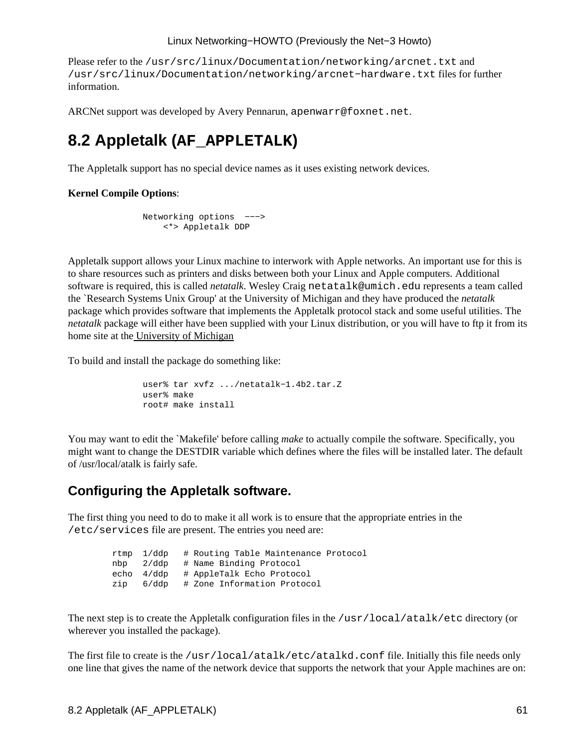Please refer to the /usr/src/linux/Documentation/networking/arcnet.txt and /usr/src/linux/Documentation/networking/arcnet−hardware.txt files for further information.

ARCNet support was developed by Avery Pennarun, apenwarr@foxnet.net.

# **8.2 Appletalk (AF\_APPLETALK)**

The Appletalk support has no special device names as it uses existing network devices.

#### **Kernel Compile Options**:

 Networking options −−−> <\*> Appletalk DDP

Appletalk support allows your Linux machine to interwork with Apple networks. An important use for this is to share resources such as printers and disks between both your Linux and Apple computers. Additional software is required, this is called *netatalk*. Wesley Craig netatalk@umich.edu represents a team called the `Research Systems Unix Group' at the University of Michigan and they have produced the *netatalk* package which provides software that implements the Appletalk protocol stack and some useful utilities. The *netatalk* package will either have been supplied with your Linux distribution, or you will have to ftp it from its home site at th[e University of Michigan](ftp://terminator.rs.itd.umich.edu/unix/netatalk/)

To build and install the package do something like:

 user% tar xvfz .../netatalk−1.4b2.tar.Z user% make root# make install

You may want to edit the `Makefile' before calling *make* to actually compile the software. Specifically, you might want to change the DESTDIR variable which defines where the files will be installed later. The default of /usr/local/atalk is fairly safe.

### **Configuring the Appletalk software.**

The first thing you need to do to make it all work is to ensure that the appropriate entries in the /etc/services file are present. The entries you need are:

 rtmp 1/ddp # Routing Table Maintenance Protocol nbp 2/ddp # Name Binding Protocol echo 4/ddp # AppleTalk Echo Protocol zip 6/ddp # Zone Information Protocol

The next step is to create the Appletalk configuration files in the /usr/local/atalk/etc directory (or wherever you installed the package).

The first file to create is the /usr/local/atalk/etc/atalkd.conf file. Initially this file needs only one line that gives the name of the network device that supports the network that your Apple machines are on: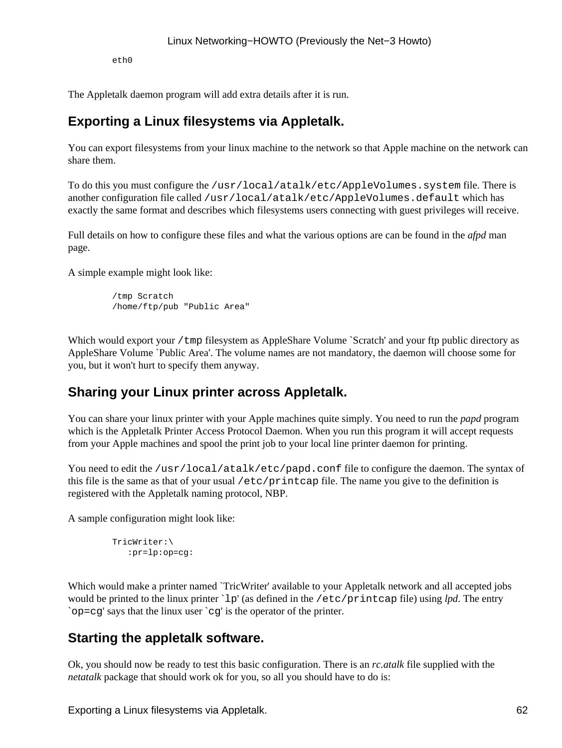eth0

The Appletalk daemon program will add extra details after it is run.

### **Exporting a Linux filesystems via Appletalk.**

You can export filesystems from your linux machine to the network so that Apple machine on the network can share them.

To do this you must configure the /usr/local/atalk/etc/AppleVolumes.system file. There is another configuration file called /usr/local/atalk/etc/AppleVolumes.default which has exactly the same format and describes which filesystems users connecting with guest privileges will receive.

Full details on how to configure these files and what the various options are can be found in the *afpd* man page.

A simple example might look like:

 /tmp Scratch /home/ftp/pub "Public Area"

Which would export your /tmp filesystem as AppleShare Volume `Scratch' and your ftp public directory as AppleShare Volume `Public Area'. The volume names are not mandatory, the daemon will choose some for you, but it won't hurt to specify them anyway.

### **Sharing your Linux printer across Appletalk.**

You can share your linux printer with your Apple machines quite simply. You need to run the *papd* program which is the Appletalk Printer Access Protocol Daemon. When you run this program it will accept requests from your Apple machines and spool the print job to your local line printer daemon for printing.

You need to edit the /usr/local/atalk/etc/papd.conf file to configure the daemon. The syntax of this file is the same as that of your usual /etc/printcap file. The name you give to the definition is registered with the Appletalk naming protocol, NBP.

A sample configuration might look like:

```
 TricWriter:\
    :pr=lp:op=cg:
```
Which would make a printer named `TricWriter' available to your Appletalk network and all accepted jobs would be printed to the linux printer `lp' (as defined in the /etc/printcap file) using *lpd*. The entry `op=cg' says that the linux user `cg' is the operator of the printer.

### **Starting the appletalk software.**

Ok, you should now be ready to test this basic configuration. There is an *rc.atalk* file supplied with the *netatalk* package that should work ok for you, so all you should have to do is: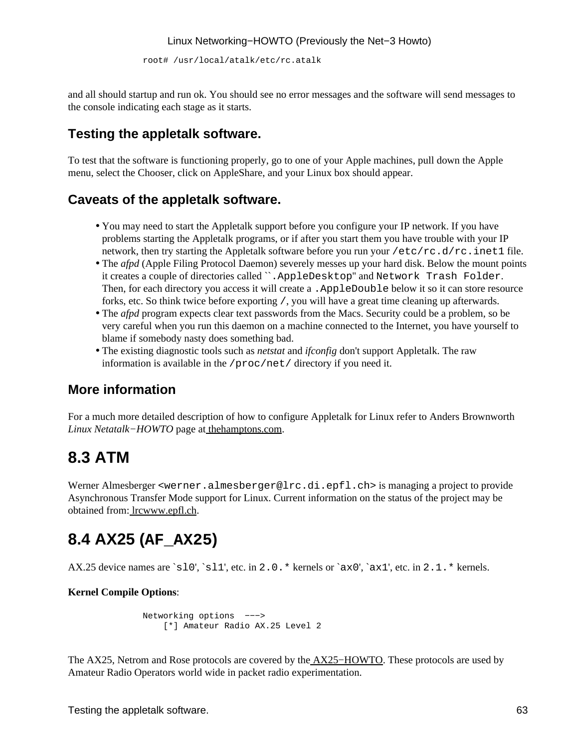root# /usr/local/atalk/etc/rc.atalk

and all should startup and run ok. You should see no error messages and the software will send messages to the console indicating each stage as it starts.

## **Testing the appletalk software.**

To test that the software is functioning properly, go to one of your Apple machines, pull down the Apple menu, select the Chooser, click on AppleShare, and your Linux box should appear.

## **Caveats of the appletalk software.**

- You may need to start the Appletalk support before you configure your IP network. If you have problems starting the Appletalk programs, or if after you start them you have trouble with your IP network, then try starting the Appletalk software before you run your /etc/rc.d/rc.inet1 file.
- The *afpd* (Apple Filing Protocol Daemon) severely messes up your hard disk. Below the mount points it creates a couple of directories called ``.AppleDesktop'' and Network Trash Folder. Then, for each directory you access it will create a . AppleDouble below it so it can store resource forks, etc. So think twice before exporting /, you will have a great time cleaning up afterwards.
- The *afpd* program expects clear text passwords from the Macs. Security could be a problem, so be very careful when you run this daemon on a machine connected to the Internet, you have yourself to blame if somebody nasty does something bad.
- The existing diagnostic tools such as *netstat* and *ifconfig* don't support Appletalk. The raw information is available in the /proc/net/ directory if you need it.

### **More information**

For a much more detailed description of how to configure Appletalk for Linux refer to Anders Brownworth *Linux Netatalk-HOWTO* page at the hamptons.com.

# **8.3 ATM**

Werner Almesberger <werner.almesberger@lrc.di.epfl.ch> is managing a project to provide Asynchronous Transfer Mode support for Linux. Current information on the status of the project may be obtained from[: lrcwww.epfl.ch](http://lrcwww.epfl.ch/linux-atm/).

# **8.4 AX25 (AF\_AX25)**

AX.25 device names are `s10', `s11', etc. in 2.0. \* kernels or `ax0', `ax1', etc. in 2.1. \* kernels.

#### **Kernel Compile Options**:

 Networking options −−−> [\*] Amateur Radio AX.25 Level 2

The AX25, Netrom and Rose protocols are covered by the AX25−HOWTO. These protocols are used by Amateur Radio Operators world wide in packet radio experimentation.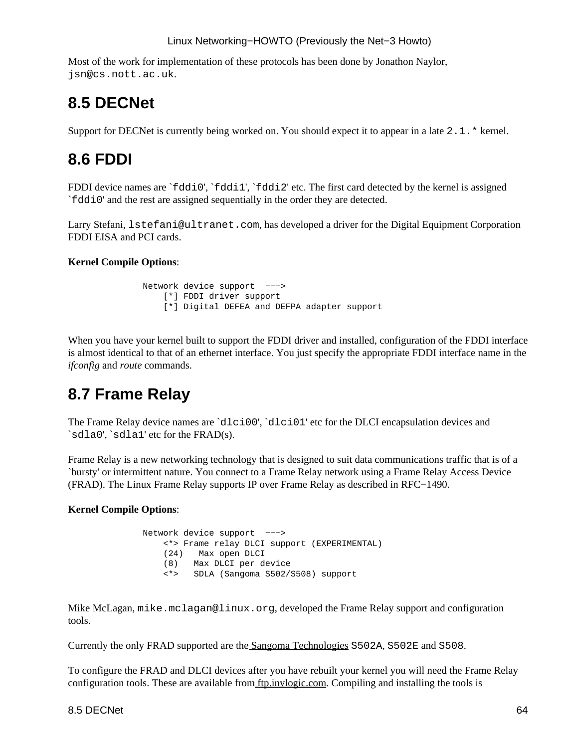Most of the work for implementation of these protocols has been done by Jonathon Naylor, jsn@cs.nott.ac.uk.

# **8.5 DECNet**

Support for DECNet is currently being worked on. You should expect it to appear in a late 2.1. \* kernel.

# **8.6 FDDI**

FDDI device names are `fddi0', `fddi1', `fddi2' etc. The first card detected by the kernel is assigned `fddi0' and the rest are assigned sequentially in the order they are detected.

Larry Stefani, lstefani@ultranet.com, has developed a driver for the Digital Equipment Corporation FDDI EISA and PCI cards.

#### **Kernel Compile Options**:

```
 Network device support −−−>
     [*] FDDI driver support
     [*] Digital DEFEA and DEFPA adapter support
```
When you have your kernel built to support the FDDI driver and installed, configuration of the FDDI interface is almost identical to that of an ethernet interface. You just specify the appropriate FDDI interface name in the *ifconfig* and *route* commands.

## **8.7 Frame Relay**

The Frame Relay device names are `dlci00', `dlci01' etc for the DLCI encapsulation devices and `sdla0', `sdla1' etc for the FRAD(s).

Frame Relay is a new networking technology that is designed to suit data communications traffic that is of a `bursty' or intermittent nature. You connect to a Frame Relay network using a Frame Relay Access Device (FRAD). The Linux Frame Relay supports IP over Frame Relay as described in RFC−1490.

#### **Kernel Compile Options**:

 Network device support −−−> <\*> Frame relay DLCI support (EXPERIMENTAL) (24) Max open DLCI (8) Max DLCI per device <\*> SDLA (Sangoma S502/S508) support

Mike McLagan, mike.mclagan@linux.org, developed the Frame Relay support and configuration tools.

Currently the only FRAD supported are th[e Sangoma Technologies](http://www.sangoma.com/) S502A, S502E and S508.

To configure the FRAD and DLCI devices after you have rebuilt your kernel you will need the Frame Relay configuration tools. These are available from *ftp.invlogic.com*. Compiling and installing the tools is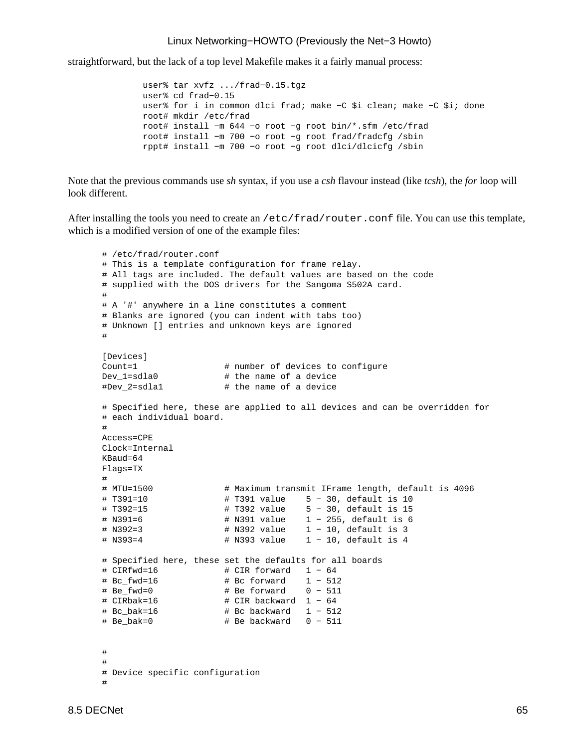straightforward, but the lack of a top level Makefile makes it a fairly manual process:

 user% tar xvfz .../frad−0.15.tgz user% cd frad−0.15 user% for i in common dlci frad; make −C \$i clean; make −C \$i; done root# mkdir /etc/frad root# install −m 644 −o root −g root bin/\*.sfm /etc/frad root# install −m 700 −o root −g root frad/fradcfg /sbin rppt# install −m 700 −o root −g root dlci/dlcicfg /sbin

Note that the previous commands use *sh* syntax, if you use a *csh* flavour instead (like *tcsh*), the *for* loop will look different.

After installing the tools you need to create an /etc/frad/router.conf file. You can use this template, which is a modified version of one of the example files:

```
# /etc/frad/router.conf
# This is a template configuration for frame relay.
# All tags are included. The default values are based on the code
# supplied with the DOS drivers for the Sangoma S502A card.
#
# A '#' anywhere in a line constitutes a comment
# Blanks are ignored (you can indent with tabs too)
# Unknown [] entries and unknown keys are ignored
#
[Devices]
Count=1 # number of devices to configure<br>Dev_1=sdla0 # the name of a device
Dev_1=sdla0  # the name of a device<br>#Dev_2=sdla1  # the name of a device
                      # the name of a device
# Specified here, these are applied to all devices and can be overridden for 
# each individual board.
#
Access=CPE
Clock=Internal
KBaud=64
Flags=TX
#<br># MTU=1500<br># T391=10
                      # Maximum transmit IFrame length, default is 4096
# T391=10 # T391 value 5 − 30, default is 10
# T392=15 # T392 value 5 − 30, default is 15
# N391=6 # N391 value 1 − 255, default is 6
# N392=3 # N392 value 1 − 10, default is 3
# N393=4 # N393 value 1 − 10, default is 4
# Specified here, these set the defaults for all boards
# CIRfwd=16 # CIR forward 1 - 64<br>
# Bc_fwd=16 # Bc forward 1 - 512
                      # Bc_fwd=16 # Bc forward 1 − 512 
# Be_fwd=0 # Be forward 0 − 511
# CIRbak=16 # CIR backward 1 − 64
# Bc_bak=16 # Bc backward 1 − 512
# Be_bak=0 # Be backward 0 − 511
#
#
# Device specific configuration
#
```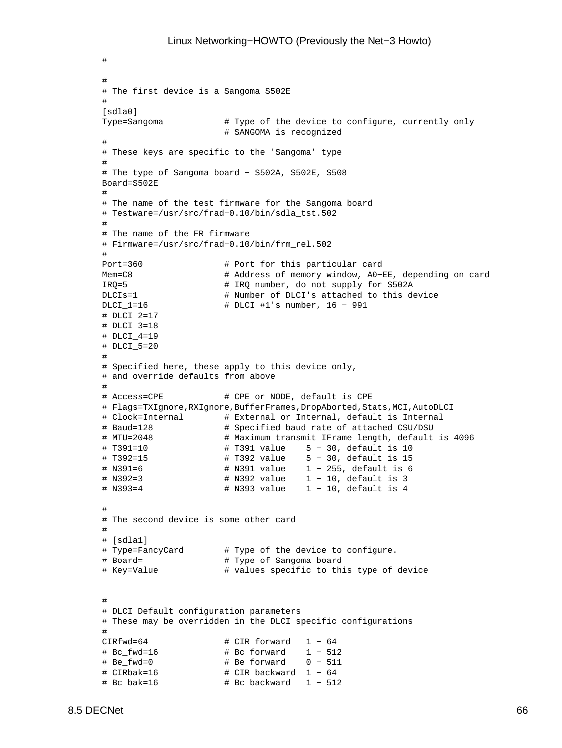```
#
# The first device is a Sangoma S502E
#
[sdla0]
Type=Sangoma # Type of the device to configure, currently only 
                      # SANGOMA is recognized
#
# These keys are specific to the 'Sangoma' type
#
# The type of Sangoma board − S502A, S502E, S508
Board=S502E
#
# The name of the test firmware for the Sangoma board
# Testware=/usr/src/frad−0.10/bin/sdla_tst.502
#
# The name of the FR firmware
# Firmware=/usr/src/frad−0.10/bin/frm_rel.502
#
Port=360 # Port for this particular card
Mem=C8 # Address of memory window, A0−EE, depending on card
IRQ=5 # IRQ number, do not supply for S502A
DLCIs=1 # Number of DLCI's attached to this device
DLCI_1=16 # DLCI #1's number, 16 − 991
# DLCI_2=17
# DLCI_3=18
# DLCI_4=19
# DLCI_5=20
#
# Specified here, these apply to this device only, 
# and override defaults from above
#
# Access=CPE # CPE or NODE, default is CPE 
# Flags=TXIgnore, RXIgnore, BufferFrames, DropAborted, Stats, MCI, AutoDLCI
# Clock=Internal # External or Internal, default is Internal
# Baud=128 # Specified baud rate of attached CSU/DSU
# MTU=2048 # Maximum transmit IFrame length, default is 4096
# T391=10 # T391 value 5 − 30, default is 10
# T392=15 # T392 value 5 − 30, default is 15
# N391=6 # N391 value 1 − 255, default is 6
# N392=3 # N392 value 1 − 10, default is 3
# N393=4 # N393 value 1 − 10, default is 4
#
# The second device is some other card
#
# [sdla1]
# Type=FancyCard # Type of the device to configure.
# Board= # Type of Sangoma board
# Key=Value \qquad # values specific to this type of device
#
# DLCI Default configuration parameters
# These may be overridden in the DLCI specific configurations
#
CIRfwd=64 # CIR forward 1 - 64<br># Bc_fwd=16 # Bc forward 1 - 51<br>\therefore Forward 0 = 51# Bc_fwd=16 # Bc forward 1 − 512 
# Be_fwd=0 # Be forward 0 − 511
# CIRbak=16 # CIR backward 1 − 64
# Bc_bak=16 # Bc backward 1 − 512
```
#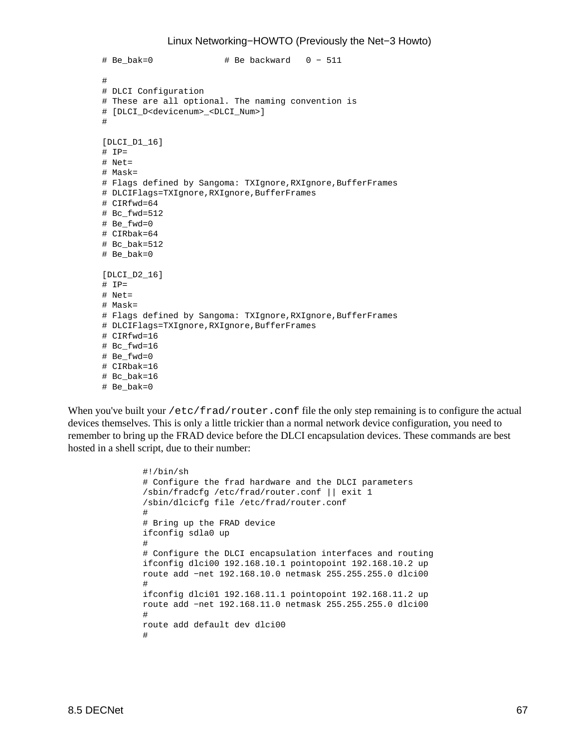```
# Be_bak=0 # Be backward 0 − 511
#
# DLCI Configuration
# These are all optional. The naming convention is
# [DLCI_D<devicenum>_<DLCI_Num>]
#
[DLCI_D1_16]
# IP=# Net=
# Mask=
# Flags defined by Sangoma: TXIgnore, RXIgnore, BufferFrames
# DLCIFlags=TXIgnore,RXIgnore,BufferFrames
# CIRfwd=64
# Bc_fwd=512
# Be_fwd=0
# CIRbak=64
# Bc_bak=512
# Be_bak=0
[DLCI_D2_16]
# IP=
# Net=
# Mask=
# Flags defined by Sangoma: TXIgnore,RXIgnore,BufferFrames
# DLCIFlags=TXIgnore,RXIgnore,BufferFrames
# CIRfwd=16
# Bc_fwd=16
# Be_fwd=0
# CIRbak=16
# Bc_bak=16
# Be_bak=0
```
When you've built your  $/etc/fra d/router$ .conf file the only step remaining is to configure the actual devices themselves. This is only a little trickier than a normal network device configuration, you need to remember to bring up the FRAD device before the DLCI encapsulation devices. These commands are best hosted in a shell script, due to their number:

```
 #!/bin/sh
        # Configure the frad hardware and the DLCI parameters
        /sbin/fradcfg /etc/frad/router.conf || exit 1
        /sbin/dlcicfg file /etc/frad/router.conf
 #
        # Bring up the FRAD device
        ifconfig sdla0 up
 #
        # Configure the DLCI encapsulation interfaces and routing
        ifconfig dlci00 192.168.10.1 pointopoint 192.168.10.2 up
        route add −net 192.168.10.0 netmask 255.255.255.0 dlci00
 #
        ifconfig dlci01 192.168.11.1 pointopoint 192.168.11.2 up
        route add −net 192.168.11.0 netmask 255.255.255.0 dlci00
 #
        route add default dev dlci00
        #
```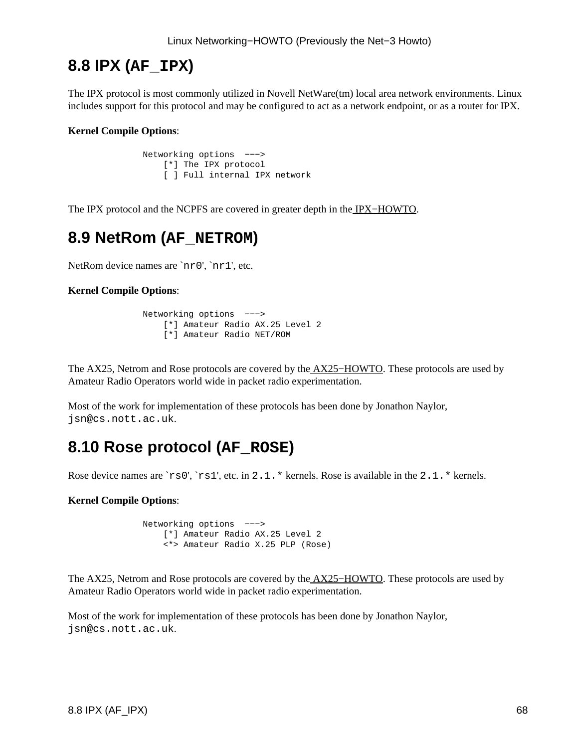# **8.8 IPX (AF\_IPX)**

The IPX protocol is most commonly utilized in Novell NetWare(tm) local area network environments. Linux includes support for this protocol and may be configured to act as a network endpoint, or as a router for IPX.

#### **Kernel Compile Options**:

```
 Networking options −−−>
     [*] The IPX protocol
     [ ] Full internal IPX network
```
The IPX protocol and the NCPFS are covered in greater depth in the IPX−HOWTO.

# **8.9 NetRom (AF\_NETROM)**

NetRom device names are `nr0', `nr1', etc.

#### **Kernel Compile Options**:

 Networking options −−−> [\*] Amateur Radio AX.25 Level 2 [\*] Amateur Radio NET/ROM

The AX25, Netrom and Rose protocols are covered by the AX25–HOWTO. These protocols are used by Amateur Radio Operators world wide in packet radio experimentation.

Most of the work for implementation of these protocols has been done by Jonathon Naylor, jsn@cs.nott.ac.uk.

# **8.10 Rose protocol (AF\_ROSE)**

Rose device names are `rs0', `rs1', etc. in 2.1. \* kernels. Rose is available in the 2.1. \* kernels.

#### **Kernel Compile Options**:

```
 Networking options −−−>
     [*] Amateur Radio AX.25 Level 2
     <*> Amateur Radio X.25 PLP (Rose)
```
The AX25, Netrom and Rose protocols are covered by the AX25–HOWTO. These protocols are used by Amateur Radio Operators world wide in packet radio experimentation.

Most of the work for implementation of these protocols has been done by Jonathon Naylor, jsn@cs.nott.ac.uk.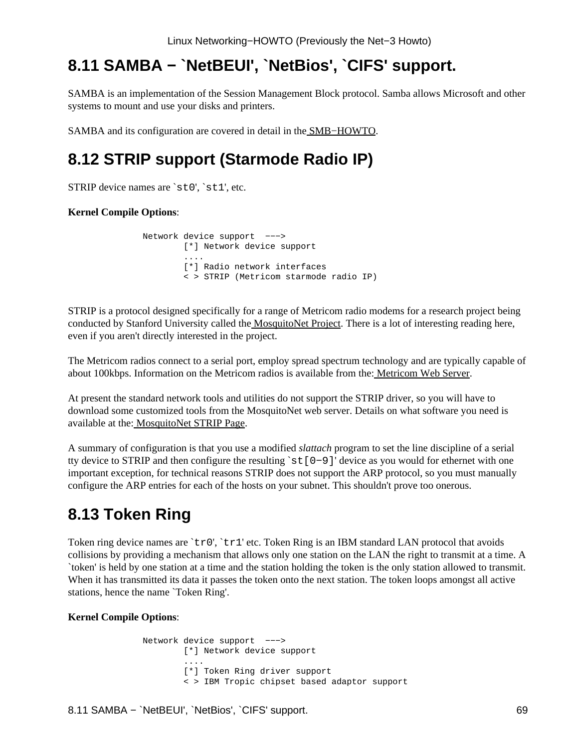# **8.11 SAMBA − `NetBEUI', `NetBios', `CIFS' support.**

SAMBA is an implementation of the Session Management Block protocol. Samba allows Microsoft and other systems to mount and use your disks and printers.

SAMBA and its configuration are covered in detail in the SMB−HOWTO.

# **8.12 STRIP support (Starmode Radio IP)**

STRIP device names are `st0', `st1', etc.

#### **Kernel Compile Options**:

```
 Network device support −−−>
       [*] Network device support
        ....
        [*] Radio network interfaces
        < > STRIP (Metricom starmode radio IP)
```
STRIP is a protocol designed specifically for a range of Metricom radio modems for a research project being conducted by Stanford University called the [MosquitoNet Project.](http://mosquitonet.Stanford.EDU/mosquitonet.html) There is a lot of interesting reading here, even if you aren't directly interested in the project.

The Metricom radios connect to a serial port, employ spread spectrum technology and are typically capable of about 100kbps. Information on the Metricom radios is available from the[: Metricom Web Server](http://www.metricom.com/).

At present the standard network tools and utilities do not support the STRIP driver, so you will have to download some customized tools from the MosquitoNet web server. Details on what software you need is available at the: [MosquitoNet STRIP Page](http://mosquitonet.Stanford.EDU/strip.html).

A summary of configuration is that you use a modified *slattach* program to set the line discipline of a serial tty device to STRIP and then configure the resulting `st[0−9]' device as you would for ethernet with one important exception, for technical reasons STRIP does not support the ARP protocol, so you must manually configure the ARP entries for each of the hosts on your subnet. This shouldn't prove too onerous.

# **8.13 Token Ring**

Token ring device names are 'tr0', 'tr1' etc. Token Ring is an IBM standard LAN protocol that avoids collisions by providing a mechanism that allows only one station on the LAN the right to transmit at a time. A `token' is held by one station at a time and the station holding the token is the only station allowed to transmit. When it has transmitted its data it passes the token onto the next station. The token loops amongst all active stations, hence the name `Token Ring'.

#### **Kernel Compile Options**:

```
 Network device support −−−>
        [*] Network device support
        ....
        [*] Token Ring driver support
        < > IBM Tropic chipset based adaptor support
```
8.11 SAMBA − `NetBEUI', `NetBios', `CIFS' support. 69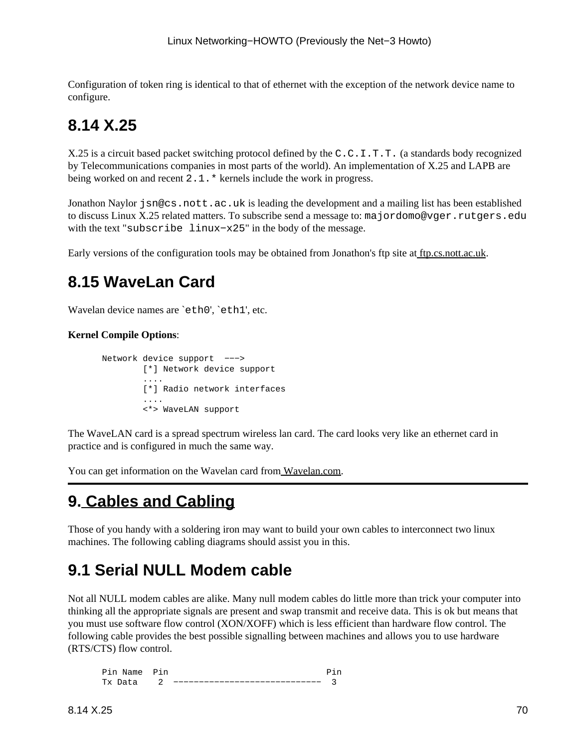Configuration of token ring is identical to that of ethernet with the exception of the network device name to configure.

### **8.14 X.25**

X.25 is a circuit based packet switching protocol defined by the C.C.I.T.T. (a standards body recognized by Telecommunications companies in most parts of the world). An implementation of X.25 and LAPB are being worked on and recent 2.1. \* kernels include the work in progress.

Jonathon Naylor jsn@cs.nott.ac.uk is leading the development and a mailing list has been established to discuss Linux X.25 related matters. To subscribe send a message to: majordomo@vger.rutgers.edu with the text "subscribe linux−x25" in the body of the message.

Early versions of the configuration tools may be obtained from Jonathon's ftp site at [ftp.cs.nott.ac.uk](ftp://ftp.cs.nott.ac.uk/jsn/).

# **8.15 WaveLan Card**

Wavelan device names are `eth0', `eth1', etc.

### **Kernel Compile Options**:

```
Network device support −−−>
       [*] Network device support
....
      [*] Radio network interfaces
....
       <*> WaveLAN support
```
The WaveLAN card is a spread spectrum wireless lan card. The card looks very like an ethernet card in practice and is configured in much the same way.

You can get information on the Wavelan card fro[m Wavelan.com.](http://www.wavelan.com/)

# **9[. Cables and Cabling](#page-6-0)**

Those of you handy with a soldering iron may want to build your own cables to interconnect two linux machines. The following cabling diagrams should assist you in this.

### **9.1 Serial NULL Modem cable**

Not all NULL modem cables are alike. Many null modem cables do little more than trick your computer into thinking all the appropriate signals are present and swap transmit and receive data. This is ok but means that you must use software flow control (XON/XOFF) which is less efficient than hardware flow control. The following cable provides the best possible signalling between machines and allows you to use hardware (RTS/CTS) flow control.

| Pin Name | מו-ט |  |
|----------|------|--|
| Tx Data  |      |  |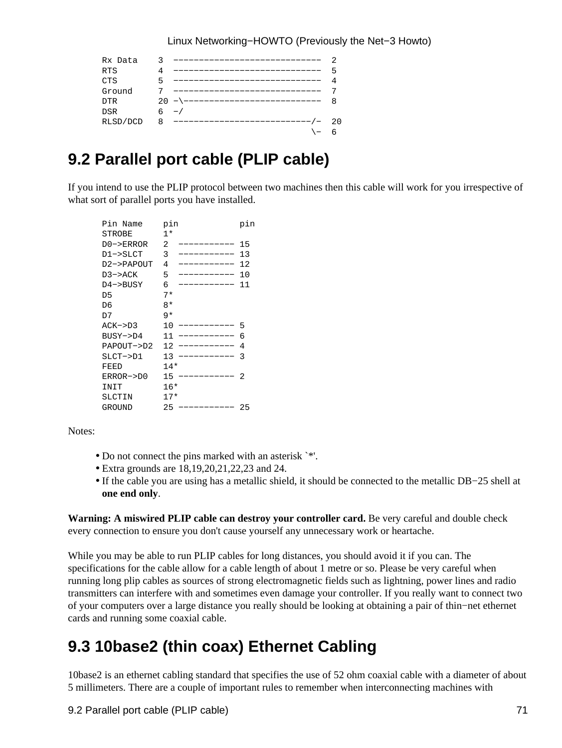Linux Networking−HOWTO (Previously the Net−3 Howto)

| Rx Data    |   | -------------------------------   |    |
|------------|---|-----------------------------------|----|
| RTS        |   |                                   |    |
| <b>CTS</b> |   | ________________________________  |    |
| Ground     |   | _________________________________ |    |
| DTR        |   |                                   |    |
| DSR        | 6 | $-1$                              |    |
| RLSD/DCD   | я |                                   | 20 |
|            |   |                                   |    |

# **9.2 Parallel port cable (PLIP cable)**

If you intend to use the PLIP protocol between two machines then this cable will work for you irrespective of what sort of parallel ports you have installed.

| Pin Name       | pin   | pin                   |     |
|----------------|-------|-----------------------|-----|
| <b>STROBE</b>  | $1*$  |                       |     |
| D0->ERROR      | 2     | . _ _ _ _ _ _ _ _ _ _ | 15  |
| $D1->SLCT$     | 3     | . - - - - - - - -     | 13  |
| D2->PAPOUT     | 4     | -------               | 12  |
| $D3->ACK$      | 5     | . _ _ _ _ _ _         | 10  |
| D4->BUSY       | 6     |                       | 11  |
| D <sub>5</sub> | 7*    |                       |     |
| D6             | 8*    |                       |     |
| D7             | 9*    |                       |     |
| $ACK->D3$      | 10    | . _ _ _ _ _ _ _ _ _ _ | - 5 |
| BUSY->D4       | 11    |                       | 6   |
| PAPOUT->D2     | 12    |                       | 4   |
| $SLCT->D1$     | 13    | .                     | 3   |
| FEED           | $14*$ |                       |     |
| ERROR->D0      | 15    | -----------           | 2   |
| INIT           | 16*   |                       |     |
| SLCTIN         | $17*$ |                       |     |
| GROUND         | 25    | ----------            | 25  |
|                |       |                       |     |

#### Notes:

- Do not connect the pins marked with an asterisk `\*'.
- Extra grounds are 18,19,20,21,22,23 and 24.
- If the cable you are using has a metallic shield, it should be connected to the metallic DB−25 shell at **one end only**.

**Warning: A miswired PLIP cable can destroy your controller card.** Be very careful and double check every connection to ensure you don't cause yourself any unnecessary work or heartache.

While you may be able to run PLIP cables for long distances, you should avoid it if you can. The specifications for the cable allow for a cable length of about 1 metre or so. Please be very careful when running long plip cables as sources of strong electromagnetic fields such as lightning, power lines and radio transmitters can interfere with and sometimes even damage your controller. If you really want to connect two of your computers over a large distance you really should be looking at obtaining a pair of thin−net ethernet cards and running some coaxial cable.

# **9.3 10base2 (thin coax) Ethernet Cabling**

10base2 is an ethernet cabling standard that specifies the use of 52 ohm coaxial cable with a diameter of about 5 millimeters. There are a couple of important rules to remember when interconnecting machines with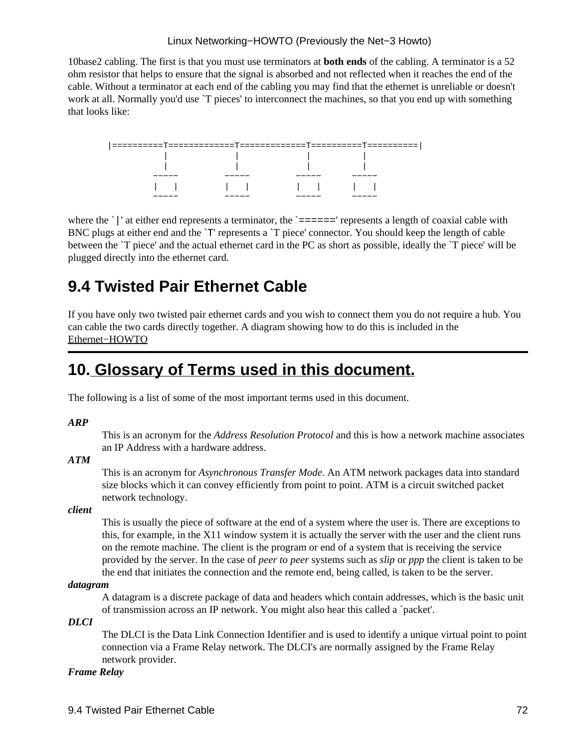### Linux Networking−HOWTO (Previously the Net−3 Howto)

10base2 cabling. The first is that you must use terminators at **both ends** of the cabling. A terminator is a 52 ohm resistor that helps to ensure that the signal is absorbed and not reflected when it reaches the end of the cable. Without a terminator at each end of the cabling you may find that the ethernet is unreliable or doesn't work at all. Normally you'd use `T pieces' to interconnect the machines, so that you end up with something that looks like:



where the `|' at either end represents a terminator, the `======' represents a length of coaxial cable with BNC plugs at either end and the `T' represents a `T piece' connector. You should keep the length of cable between the `T piece' and the actual ethernet card in the PC as short as possible, ideally the `T piece' will be plugged directly into the ethernet card.

# **9.4 Twisted Pair Ethernet Cable**

If you have only two twisted pair ethernet cards and you wish to connect them you do not require a hub. You can cable the two cards directly together. A diagram showing how to do this is included in the Ethernet−HOWTO

# **10. [Glossary of Terms used in this document.](#page-6-1)**

The following is a list of some of the most important terms used in this document.

#### *ARP*

This is an acronym for the *Address Resolution Protocol* and this is how a network machine associates an IP Address with a hardware address.

#### *ATM*

This is an acronym for *Asynchronous Transfer Mode*. An ATM network packages data into standard size blocks which it can convey efficiently from point to point. ATM is a circuit switched packet network technology.

### *client*

This is usually the piece of software at the end of a system where the user is. There are exceptions to this, for example, in the X11 window system it is actually the server with the user and the client runs on the remote machine. The client is the program or end of a system that is receiving the service provided by the server. In the case of *peer to peer* systems such as *slip* or *ppp* the client is taken to be the end that initiates the connection and the remote end, being called, is taken to be the server.

#### *datagram*

A datagram is a discrete package of data and headers which contain addresses, which is the basic unit of transmission across an IP network. You might also hear this called a `packet'.

#### *DLCI*

The DLCI is the Data Link Connection Identifier and is used to identify a unique virtual point to point connection via a Frame Relay network. The DLCI's are normally assigned by the Frame Relay network provider.

### *Frame Relay*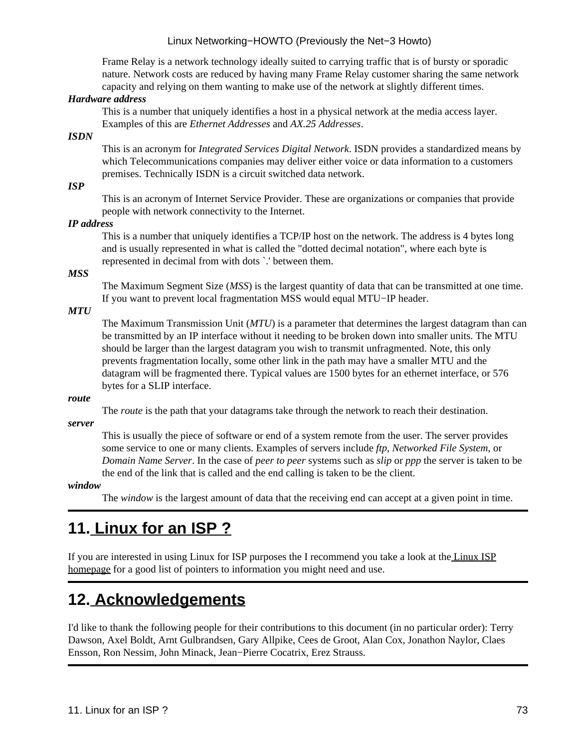### Linux Networking−HOWTO (Previously the Net−3 Howto)

Frame Relay is a network technology ideally suited to carrying traffic that is of bursty or sporadic nature. Network costs are reduced by having many Frame Relay customer sharing the same network capacity and relying on them wanting to make use of the network at slightly different times.

#### *Hardware address*

This is a number that uniquely identifies a host in a physical network at the media access layer. Examples of this are *Ethernet Addresses* and *AX.25 Addresses*.

#### *ISDN*

This is an acronym for *Integrated Services Digital Network*. ISDN provides a standardized means by which Telecommunications companies may deliver either voice or data information to a customers premises. Technically ISDN is a circuit switched data network.

#### *ISP*

This is an acronym of Internet Service Provider. These are organizations or companies that provide people with network connectivity to the Internet.

#### *IP address*

This is a number that uniquely identifies a TCP/IP host on the network. The address is 4 bytes long and is usually represented in what is called the "dotted decimal notation", where each byte is represented in decimal from with dots `.' between them.

### *MSS*

The Maximum Segment Size (*MSS*) is the largest quantity of data that can be transmitted at one time. If you want to prevent local fragmentation MSS would equal MTU−IP header.

#### *MTU*

The Maximum Transmission Unit (*MTU*) is a parameter that determines the largest datagram than can be transmitted by an IP interface without it needing to be broken down into smaller units. The MTU should be larger than the largest datagram you wish to transmit unfragmented. Note, this only prevents fragmentation locally, some other link in the path may have a smaller MTU and the datagram will be fragmented there. Typical values are 1500 bytes for an ethernet interface, or 576 bytes for a SLIP interface.

#### *route*

The *route* is the path that your datagrams take through the network to reach their destination.

#### *server*

This is usually the piece of software or end of a system remote from the user. The server provides some service to one or many clients. Examples of servers include *ftp*, *Networked File System*, or *Domain Name Server*. In the case of *peer to peer* systems such as *slip* or *ppp* the server is taken to be the end of the link that is called and the end calling is taken to be the client.

#### *window*

The *window* is the largest amount of data that the receiving end can accept at a given point in time.

### **11. [Linux for an ISP ?](#page-6-2)**

If you are interested in using Linux for ISP purposes the I recommend you take a look at the [Linux ISP](http://www.anime.net/linuxisp/) [homepage](http://www.anime.net/linuxisp/) for a good list of pointers to information you might need and use.

### **12. [Acknowledgements](#page-6-3)**

I'd like to thank the following people for their contributions to this document (in no particular order): Terry Dawson, Axel Boldt, Arnt Gulbrandsen, Gary Allpike, Cees de Groot, Alan Cox, Jonathon Naylor, Claes Ensson, Ron Nessim, John Minack, Jean−Pierre Cocatrix, Erez Strauss.